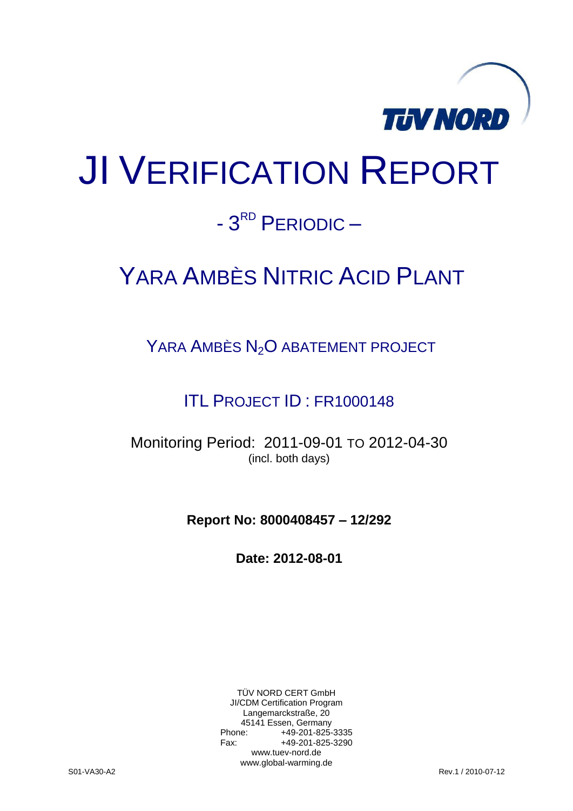

# JI VERIFICATION REPORT

# - 3<sup>RD</sup> PERIODIC -

# YARA AMBÈS NITRIC ACID PLANT

YARA AMBÈS N<sub>2</sub>O ABATEMENT PROJECT

ITL PROJECT ID : FR1000148

Monitoring Period: 2011-09-01 TO 2012-04-30 (incl. both days)

**Report No: 8000408457 – 12/292**

**Date: 2012-08-01**

TÜV NORD CERT GmbH JI/CDM Certification Program Langemarckstraße, 20 45141 Essen, Germany<br>+49-201-825-49 +49-201-825-3335 Fax: +49-201-825-3290 www.tuev-nord.de www.global-warming.de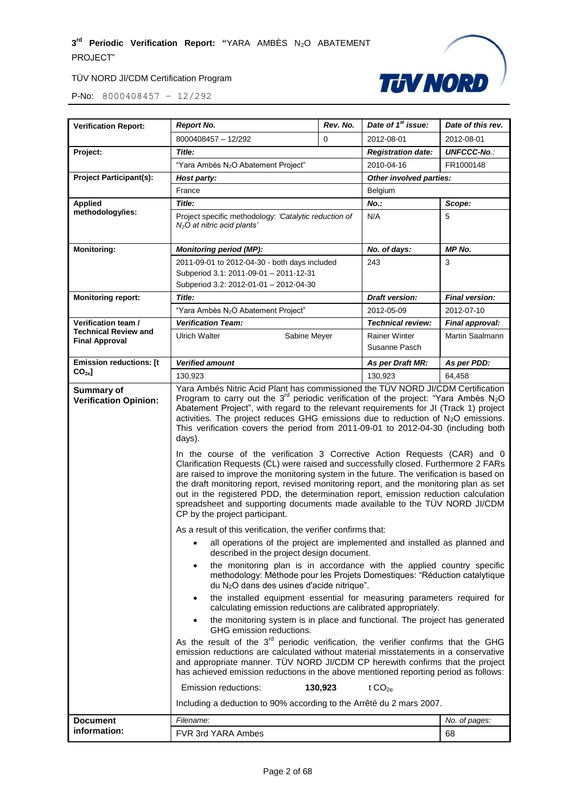

| <b>Verification Report:</b>                          | <b>Report No.</b>                                                                                                                                                                                                                                                                                                                                                                                                                                                                                                                                                                                                                                                                                                                                                                                                                                                                                                                                                                                                                                                                                                                                                                                                                                                                                                                                                                                                                                                                                                                                                                                                                                                                                                                                                                                                                                                                                                                                                                                                                                                                                                       | Rev. No. | Date of 1 <sup>st</sup> issue:                                       | Date of this rev.     |
|------------------------------------------------------|-------------------------------------------------------------------------------------------------------------------------------------------------------------------------------------------------------------------------------------------------------------------------------------------------------------------------------------------------------------------------------------------------------------------------------------------------------------------------------------------------------------------------------------------------------------------------------------------------------------------------------------------------------------------------------------------------------------------------------------------------------------------------------------------------------------------------------------------------------------------------------------------------------------------------------------------------------------------------------------------------------------------------------------------------------------------------------------------------------------------------------------------------------------------------------------------------------------------------------------------------------------------------------------------------------------------------------------------------------------------------------------------------------------------------------------------------------------------------------------------------------------------------------------------------------------------------------------------------------------------------------------------------------------------------------------------------------------------------------------------------------------------------------------------------------------------------------------------------------------------------------------------------------------------------------------------------------------------------------------------------------------------------------------------------------------------------------------------------------------------------|----------|----------------------------------------------------------------------|-----------------------|
|                                                      | 8000408457 - 12/292                                                                                                                                                                                                                                                                                                                                                                                                                                                                                                                                                                                                                                                                                                                                                                                                                                                                                                                                                                                                                                                                                                                                                                                                                                                                                                                                                                                                                                                                                                                                                                                                                                                                                                                                                                                                                                                                                                                                                                                                                                                                                                     | $\Omega$ | 2012-08-01                                                           | 2012-08-01            |
| Project:                                             | Title:<br>"Yara Ambès N <sub>2</sub> O Abatement Project"                                                                                                                                                                                                                                                                                                                                                                                                                                                                                                                                                                                                                                                                                                                                                                                                                                                                                                                                                                                                                                                                                                                                                                                                                                                                                                                                                                                                                                                                                                                                                                                                                                                                                                                                                                                                                                                                                                                                                                                                                                                               |          | <b>Registration date:</b>                                            | <b>UNFCCC-No.:</b>    |
|                                                      |                                                                                                                                                                                                                                                                                                                                                                                                                                                                                                                                                                                                                                                                                                                                                                                                                                                                                                                                                                                                                                                                                                                                                                                                                                                                                                                                                                                                                                                                                                                                                                                                                                                                                                                                                                                                                                                                                                                                                                                                                                                                                                                         |          | 2010-04-16                                                           | FR1000148             |
| <b>Project Participant(s):</b>                       | Host party:                                                                                                                                                                                                                                                                                                                                                                                                                                                                                                                                                                                                                                                                                                                                                                                                                                                                                                                                                                                                                                                                                                                                                                                                                                                                                                                                                                                                                                                                                                                                                                                                                                                                                                                                                                                                                                                                                                                                                                                                                                                                                                             |          | Other involved parties:                                              |                       |
|                                                      | France                                                                                                                                                                                                                                                                                                                                                                                                                                                                                                                                                                                                                                                                                                                                                                                                                                                                                                                                                                                                                                                                                                                                                                                                                                                                                                                                                                                                                                                                                                                                                                                                                                                                                                                                                                                                                                                                                                                                                                                                                                                                                                                  |          | Belgium                                                              |                       |
| <b>Applied</b>                                       | Title:                                                                                                                                                                                                                                                                                                                                                                                                                                                                                                                                                                                                                                                                                                                                                                                                                                                                                                                                                                                                                                                                                                                                                                                                                                                                                                                                                                                                                                                                                                                                                                                                                                                                                                                                                                                                                                                                                                                                                                                                                                                                                                                  |          | No.:                                                                 | Scope:                |
| methodology/ies:                                     | Project specific methodology: 'Catalytic reduction of<br>$N2O$ at nitric acid plants'                                                                                                                                                                                                                                                                                                                                                                                                                                                                                                                                                                                                                                                                                                                                                                                                                                                                                                                                                                                                                                                                                                                                                                                                                                                                                                                                                                                                                                                                                                                                                                                                                                                                                                                                                                                                                                                                                                                                                                                                                                   |          | N/A                                                                  | 5                     |
| <b>Monitoring:</b>                                   | <b>Monitoring period (MP):</b>                                                                                                                                                                                                                                                                                                                                                                                                                                                                                                                                                                                                                                                                                                                                                                                                                                                                                                                                                                                                                                                                                                                                                                                                                                                                                                                                                                                                                                                                                                                                                                                                                                                                                                                                                                                                                                                                                                                                                                                                                                                                                          |          | No. of days:                                                         | MP No.                |
|                                                      | 2011-09-01 to 2012-04-30 - both days included                                                                                                                                                                                                                                                                                                                                                                                                                                                                                                                                                                                                                                                                                                                                                                                                                                                                                                                                                                                                                                                                                                                                                                                                                                                                                                                                                                                                                                                                                                                                                                                                                                                                                                                                                                                                                                                                                                                                                                                                                                                                           |          | 243                                                                  | 3                     |
|                                                      | Subperiod 3.1: 2011-09-01 - 2011-12-31                                                                                                                                                                                                                                                                                                                                                                                                                                                                                                                                                                                                                                                                                                                                                                                                                                                                                                                                                                                                                                                                                                                                                                                                                                                                                                                                                                                                                                                                                                                                                                                                                                                                                                                                                                                                                                                                                                                                                                                                                                                                                  |          |                                                                      |                       |
|                                                      | Subperiod 3.2: 2012-01-01 - 2012-04-30                                                                                                                                                                                                                                                                                                                                                                                                                                                                                                                                                                                                                                                                                                                                                                                                                                                                                                                                                                                                                                                                                                                                                                                                                                                                                                                                                                                                                                                                                                                                                                                                                                                                                                                                                                                                                                                                                                                                                                                                                                                                                  |          |                                                                      |                       |
| <b>Monitoring report:</b>                            | Title:                                                                                                                                                                                                                                                                                                                                                                                                                                                                                                                                                                                                                                                                                                                                                                                                                                                                                                                                                                                                                                                                                                                                                                                                                                                                                                                                                                                                                                                                                                                                                                                                                                                                                                                                                                                                                                                                                                                                                                                                                                                                                                                  |          | <b>Draft version:</b>                                                | <b>Final version:</b> |
|                                                      | "Yara Ambès N <sub>2</sub> O Abatement Project"                                                                                                                                                                                                                                                                                                                                                                                                                                                                                                                                                                                                                                                                                                                                                                                                                                                                                                                                                                                                                                                                                                                                                                                                                                                                                                                                                                                                                                                                                                                                                                                                                                                                                                                                                                                                                                                                                                                                                                                                                                                                         |          | 2012-05-09                                                           | 2012-07-10            |
| Verification team /                                  | <b>Verification Team:</b>                                                                                                                                                                                                                                                                                                                                                                                                                                                                                                                                                                                                                                                                                                                                                                                                                                                                                                                                                                                                                                                                                                                                                                                                                                                                                                                                                                                                                                                                                                                                                                                                                                                                                                                                                                                                                                                                                                                                                                                                                                                                                               |          | <b>Technical review:</b>                                             | Final approval:       |
| <b>Technical Review and</b><br><b>Final Approval</b> | <b>Ulrich Walter</b><br>Sabine Meyer                                                                                                                                                                                                                                                                                                                                                                                                                                                                                                                                                                                                                                                                                                                                                                                                                                                                                                                                                                                                                                                                                                                                                                                                                                                                                                                                                                                                                                                                                                                                                                                                                                                                                                                                                                                                                                                                                                                                                                                                                                                                                    |          | <b>Rainer Winter</b>                                                 | Martin Saalmann       |
|                                                      |                                                                                                                                                                                                                                                                                                                                                                                                                                                                                                                                                                                                                                                                                                                                                                                                                                                                                                                                                                                                                                                                                                                                                                                                                                                                                                                                                                                                                                                                                                                                                                                                                                                                                                                                                                                                                                                                                                                                                                                                                                                                                                                         |          | Susanne Pasch                                                        |                       |
| <b>Emission reductions: [t</b>                       | <b>Verified amount</b>                                                                                                                                                                                                                                                                                                                                                                                                                                                                                                                                                                                                                                                                                                                                                                                                                                                                                                                                                                                                                                                                                                                                                                                                                                                                                                                                                                                                                                                                                                                                                                                                                                                                                                                                                                                                                                                                                                                                                                                                                                                                                                  |          | As per Draft MR:                                                     | As per PDD:           |
| CO <sub>2e</sub>                                     | 130,923                                                                                                                                                                                                                                                                                                                                                                                                                                                                                                                                                                                                                                                                                                                                                                                                                                                                                                                                                                                                                                                                                                                                                                                                                                                                                                                                                                                                                                                                                                                                                                                                                                                                                                                                                                                                                                                                                                                                                                                                                                                                                                                 | 130,923  | 64,458                                                               |                       |
| <b>Verification Opinion:</b>                         | Yara Ambés Nitric Acid Plant has commissioned the TÜV NORD JI/CDM Certification<br>Program to carry out the $3^{rd}$ periodic verification of the project: "Yara Ambès N <sub>2</sub> O<br>Abatement Project", with regard to the relevant requirements for JI (Track 1) project<br>activities. The project reduces GHG emissions due to reduction of $N_2O$ emissions.<br>This verification covers the period from 2011-09-01 to 2012-04-30 (including both<br>days).<br>In the course of the verification 3 Corrective Action Requests (CAR) and 0<br>Clarification Requests (CL) were raised and successfully closed. Furthermore 2 FARs<br>are raised to improve the monitoring system in the future. The verification is based on<br>the draft monitoring report, revised monitoring report, and the monitoring plan as set<br>out in the registered PDD, the determination report, emission reduction calculation<br>spreadsheet and supporting documents made available to the TÜV NORD JI/CDM<br>CP by the project participant.<br>As a result of this verification, the verifier confirms that:<br>all operations of the project are implemented and installed as planned and<br>٠<br>described in the project design document.<br>the monitoring plan is in accordance with the applied country specific<br>٠<br>methodology: Méthode pour les Projets Domestiques: "Réduction catalytique<br>du $N_2O$ dans des usines d'acide nitrique".<br>the installed equipment essential for measuring parameters required for<br>٠<br>calculating emission reductions are calibrated appropriately.<br>the monitoring system is in place and functional. The project has generated<br>GHG emission reductions.<br>As the result of the $3rd$ periodic verification, the verifier confirms that the GHG<br>emission reductions are calculated without material misstatements in a conservative<br>and appropriate manner. TUV NORD JI/CDM CP herewith confirms that the project<br>has achieved emission reductions in the above mentioned reporting period as follows:<br>Emission reductions:<br>130,923<br>t $CO2e$ |          | Including a deduction to 90% according to the Arrêté du 2 mars 2007. |                       |
| <b>Document</b>                                      | Filename:                                                                                                                                                                                                                                                                                                                                                                                                                                                                                                                                                                                                                                                                                                                                                                                                                                                                                                                                                                                                                                                                                                                                                                                                                                                                                                                                                                                                                                                                                                                                                                                                                                                                                                                                                                                                                                                                                                                                                                                                                                                                                                               |          |                                                                      | No. of pages:         |
| information:<br>FVR 3rd YARA Ambes<br>68             |                                                                                                                                                                                                                                                                                                                                                                                                                                                                                                                                                                                                                                                                                                                                                                                                                                                                                                                                                                                                                                                                                                                                                                                                                                                                                                                                                                                                                                                                                                                                                                                                                                                                                                                                                                                                                                                                                                                                                                                                                                                                                                                         |          |                                                                      |                       |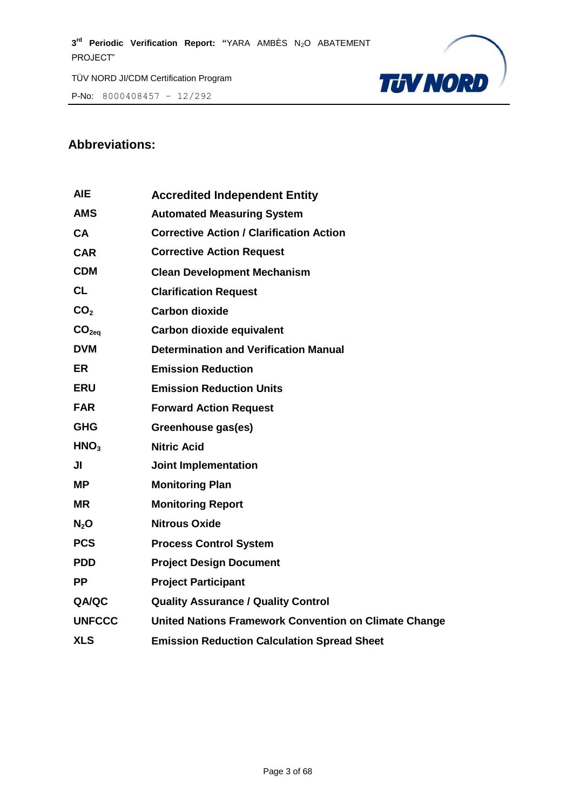P-No: 8000408457 – 12/292



# **Abbreviations:**

| <b>AIE</b>        | <b>Accredited Independent Entity</b>                  |
|-------------------|-------------------------------------------------------|
| <b>AMS</b>        | <b>Automated Measuring System</b>                     |
| <b>CA</b>         | <b>Corrective Action / Clarification Action</b>       |
| <b>CAR</b>        | <b>Corrective Action Request</b>                      |
| <b>CDM</b>        | <b>Clean Development Mechanism</b>                    |
| <b>CL</b>         | <b>Clarification Request</b>                          |
| CO <sub>2</sub>   | <b>Carbon dioxide</b>                                 |
| CO <sub>2eq</sub> | Carbon dioxide equivalent                             |
| <b>DVM</b>        | <b>Determination and Verification Manual</b>          |
| <b>ER</b>         | <b>Emission Reduction</b>                             |
| <b>ERU</b>        | <b>Emission Reduction Units</b>                       |
| <b>FAR</b>        | <b>Forward Action Request</b>                         |
| <b>GHG</b>        | Greenhouse gas(es)                                    |
| HNO <sub>3</sub>  | <b>Nitric Acid</b>                                    |
| JI                | <b>Joint Implementation</b>                           |
| <b>MP</b>         | <b>Monitoring Plan</b>                                |
| <b>MR</b>         | <b>Monitoring Report</b>                              |
| N <sub>2</sub> O  | <b>Nitrous Oxide</b>                                  |
| <b>PCS</b>        | <b>Process Control System</b>                         |
| <b>PDD</b>        | <b>Project Design Document</b>                        |
| <b>PP</b>         | <b>Project Participant</b>                            |
| <b>QA/QC</b>      | <b>Quality Assurance / Quality Control</b>            |
| <b>UNFCCC</b>     | United Nations Framework Convention on Climate Change |
| <b>XLS</b>        | <b>Emission Reduction Calculation Spread Sheet</b>    |
|                   |                                                       |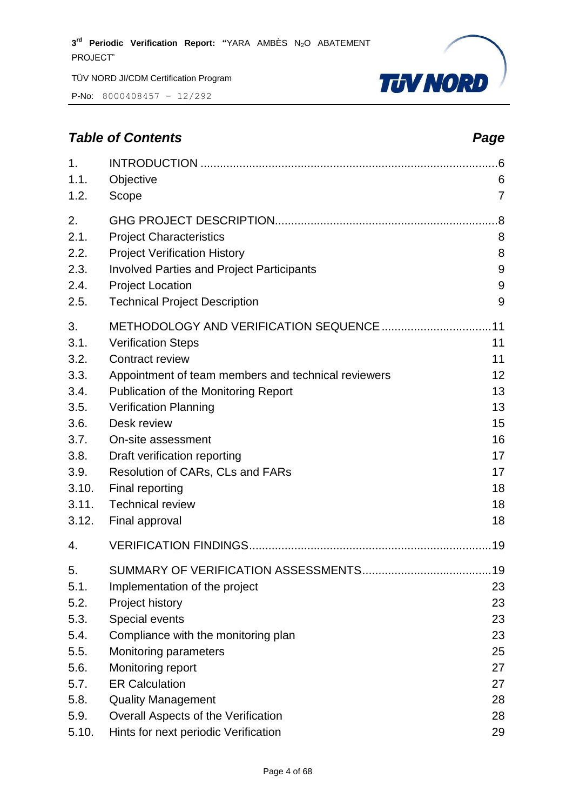P-No: 8000408457 – 12/292



# *Table of Contents Page*

| 1.<br>1.1.<br>1.2. | Objective<br>Scope                                  | .6<br>6<br>$\overline{7}$ |
|--------------------|-----------------------------------------------------|---------------------------|
| 2.                 |                                                     | .8                        |
| 2.1.               | <b>Project Characteristics</b>                      | 8                         |
| 2.2.               | <b>Project Verification History</b>                 | 8                         |
| 2.3.               | <b>Involved Parties and Project Participants</b>    | 9                         |
| 2.4.               | <b>Project Location</b>                             | 9                         |
| 2.5.               | <b>Technical Project Description</b>                | 9                         |
| 3.                 |                                                     | .11                       |
| 3.1.               | <b>Verification Steps</b>                           | 11                        |
| 3.2.               | <b>Contract review</b>                              | 11                        |
| 3.3.               | Appointment of team members and technical reviewers | 12                        |
| 3.4.               | Publication of the Monitoring Report                | 13                        |
| 3.5.               | <b>Verification Planning</b>                        | 13                        |
| 3.6.               | Desk review                                         | 15                        |
| 3.7.               | On-site assessment                                  | 16                        |
| 3.8.               | Draft verification reporting                        | 17                        |
| 3.9.               | Resolution of CARs, CLs and FARs                    | 17                        |
| 3.10.              | Final reporting                                     | 18                        |
| 3.11.              | <b>Technical review</b>                             | 18                        |
| 3.12.              | Final approval                                      | 18                        |
| 4.                 |                                                     |                           |
| 5.                 |                                                     |                           |
| 5.1.               | Implementation of the project                       | 23                        |
| 5.2.               | Project history                                     | 23                        |
| 5.3.               | Special events                                      | 23                        |
| 5.4.               | Compliance with the monitoring plan                 | 23                        |
| 5.5.               | <b>Monitoring parameters</b>                        | 25                        |
| 5.6.               | Monitoring report                                   | 27                        |
| 5.7.               | <b>ER Calculation</b>                               | 27                        |
| 5.8.               | <b>Quality Management</b>                           | 28                        |
| 5.9.               | Overall Aspects of the Verification                 | 28                        |
| 5.10.              | Hints for next periodic Verification                | 29                        |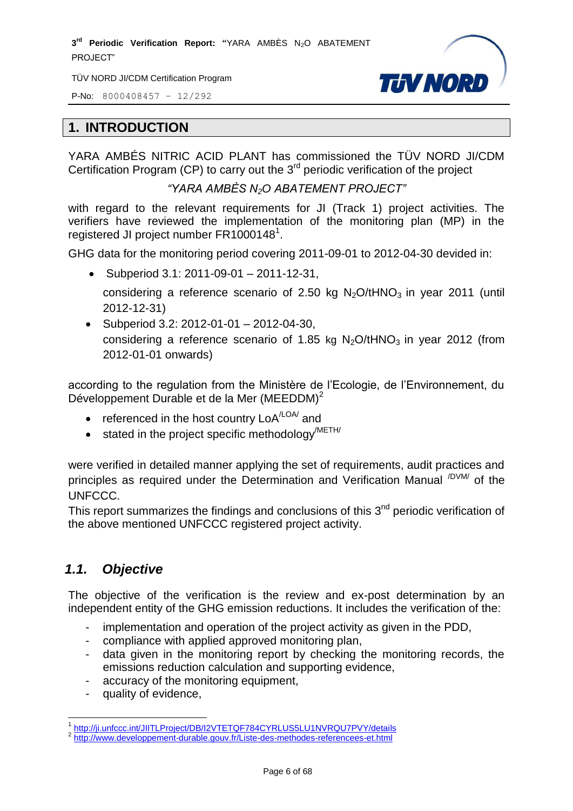TÜV NORD JI/CDM Certification Program

P-No: 8000408457 – 12/292



#### <span id="page-5-0"></span>**1. INTRODUCTION**

YARA AMBÉS NITRIC ACID PLANT has commissioned the TÜV NORD JI/CDM Certification Program (CP) to carry out the  $3<sup>rd</sup>$  periodic verification of the project

*"YARA AMBÈS N2O ABATEMENT PROJECT"*

with regard to the relevant requirements for JI (Track 1) project activities. The verifiers have reviewed the implementation of the monitoring plan (MP) in the registered JI project number FR1000148<sup>1</sup>.

GHG data for the monitoring period covering 2011-09-01 to 2012-04-30 devided in:

Subperiod 3.1: 2011-09-01 – 2011-12-31,

considering a reference scenario of 2.50 kg  $N_2O/tHNO_3$  in year 2011 (until 2012-12-31)

 $\bullet$  Subperiod 3.2: 2012-01-01 – 2012-04-30, considering a reference scenario of 1.85 kg  $N_2O/tHNO_3$  in year 2012 (from 2012-01-01 onwards)

according to the regulation from the Ministère de l'Ecologie, de l'Environnement, du Développement Durable et de la Mer (MEEDDM)<sup>2</sup>

- referenced in the host country  $\text{LoA}^{\text{LOA} \text{}}$  and
- $\bullet$  stated in the project specific methodology<sup>/METH/</sup>

were verified in detailed manner applying the set of requirements, audit practices and principles as required under the Determination and Verification Manual <sup>/DVM/</sup> of the UNFCCC.

This report summarizes the findings and conclusions of this 3<sup>nd</sup> periodic verification of the above mentioned UNFCCC registered project activity.

# <span id="page-5-1"></span>*1.1. Objective*

The objective of the verification is the review and ex-post determination by an independent entity of the GHG emission reductions. It includes the verification of the:

- implementation and operation of the project activity as given in the PDD.
- compliance with applied approved monitoring plan,
- data given in the monitoring report by checking the monitoring records, the emissions reduction calculation and supporting evidence,
- accuracy of the monitoring equipment,
- quality of evidence.

 $\overline{a}$ <sup>1</sup> <http://ji.unfccc.int/JIITLProject/DB/I2VTETQF784CYRLUS5LU1NVRQU7PVY/details>

<sup>&</sup>lt;sup>2</sup> <http://www.developpement-durable.gouv.fr/Liste-des-methodes-referencees-et.html>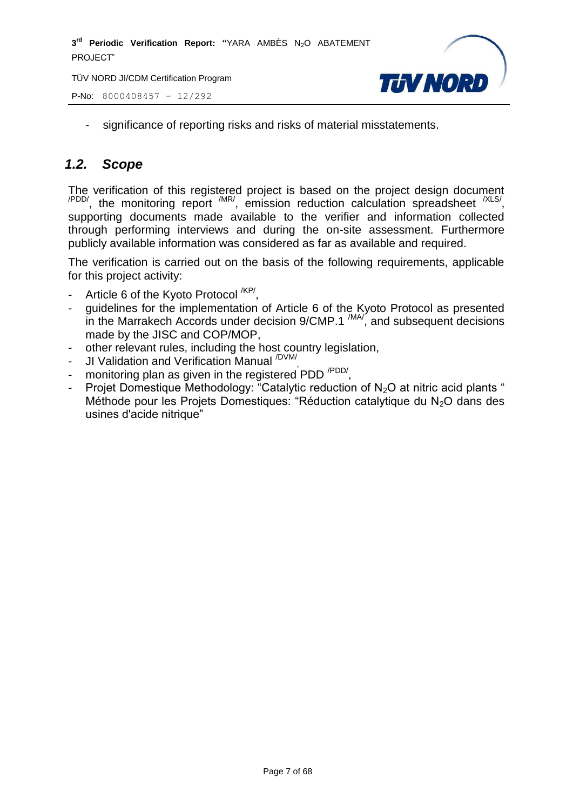TÜV NORD JI/CDM Certification Program

P-No: 8000408457 – 12/292



- significance of reporting risks and risks of material misstatements.

# <span id="page-6-0"></span>*1.2. Scope*

The verification of this registered project is based on the project design document  $\alpha$ <sup>PDD/</sup>, the monitoring report  $\alpha$ <sup>MR/</sup>, emission reduction calculation spreadsheet  $\alpha$ <sup>XLS/</sup>, supporting documents made available to the verifier and information collected through performing interviews and during the on-site assessment. Furthermore publicly available information was considered as far as available and required.

The verification is carried out on the basis of the following requirements, applicable for this project activity:

- Article 6 of the Kyoto Protocol <sup>/KP/</sup>,
- guidelines for the implementation of Article 6 of the Kyoto Protocol as presented in the Marrakech Accords under decision  $9/CMP.1$   $^{(MA)}$ , and subsequent decisions made by the JISC and COP/MOP,
- other relevant rules, including the host country legislation,
- JI Validation and Verification Manual <sup>/DVM/</sup>,
- monitoring plan as given in the registered PDD <sup>/PDD/</sup>,
- Projet Domestique Methodology: "Catalytic reduction of  $N_2O$  at nitric acid plants " Méthode pour les Projets Domestiques: "Réduction catalytique du  $N_2O$  dans des usines d'acide nitrique"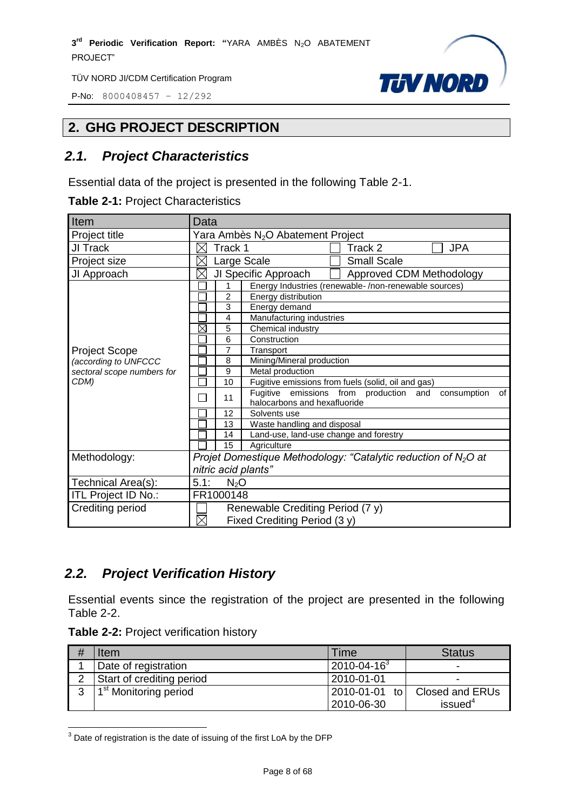P-No: 8000408457 – 12/292



# <span id="page-7-0"></span>**2. GHG PROJECT DESCRIPTION**

# <span id="page-7-1"></span>*2.1. Project Characteristics*

Essential data of the project is presented in the following Table 2-1.

| Item                       | Data                                                                                              |  |  |
|----------------------------|---------------------------------------------------------------------------------------------------|--|--|
| Project title              | Yara Ambès N <sub>2</sub> O Abatement Project                                                     |  |  |
| JI Track                   | Track 1<br><b>JPA</b><br>Track 2<br>X                                                             |  |  |
| Project size               | <b>Small Scale</b><br>Large Scale<br>X                                                            |  |  |
| JI Approach                | JI Specific Approach<br>Approved CDM Methodology<br>$\times$                                      |  |  |
|                            | Energy Industries (renewable-/non-renewable sources)                                              |  |  |
|                            | $\overline{c}$<br>Energy distribution                                                             |  |  |
|                            | 3<br>Energy demand                                                                                |  |  |
|                            | 4<br>Manufacturing industries                                                                     |  |  |
|                            | X<br>Chemical industry<br>5                                                                       |  |  |
|                            | Construction<br>6                                                                                 |  |  |
| <b>Project Scope</b>       | 7<br>Transport                                                                                    |  |  |
| (according to UNFCCC       | Mining/Mineral production<br>8                                                                    |  |  |
| sectoral scope numbers for | 9<br>Metal production                                                                             |  |  |
| CDM)                       | 10<br>Fugitive emissions from fuels (solid, oil and gas)                                          |  |  |
|                            | Fugitive emissions from production and<br>consumption<br>of<br>11<br>halocarbons and hexafluoride |  |  |
|                            | 12<br>Solvents use                                                                                |  |  |
|                            | Waste handling and disposal<br>13                                                                 |  |  |
|                            | Land-use, land-use change and forestry<br>14                                                      |  |  |
|                            | 15<br>Agriculture                                                                                 |  |  |
| Methodology:               | Projet Domestique Methodology: "Catalytic reduction of $N_2O$ at                                  |  |  |
|                            | nitric acid plants"                                                                               |  |  |
| Technical Area(s):         | 5.1:<br>$N_2O$                                                                                    |  |  |
| ITL Project ID No.:        | FR1000148                                                                                         |  |  |
| Crediting period           | Renewable Crediting Period (7 y)                                                                  |  |  |
|                            | $\times$<br>Fixed Crediting Period (3 y)                                                          |  |  |

# <span id="page-7-2"></span>*2.2. Project Verification History*

Essential events since the registration of the project are presented in the following Table 2-2.

|  | Table 2-2: Project verification history |  |
|--|-----------------------------------------|--|
|--|-----------------------------------------|--|

 $\overline{a}$ 

| Item                              | Time                        | <b>Status</b>                                 |
|-----------------------------------|-----------------------------|-----------------------------------------------|
| Date of registration              | $2010 - 04 - 16^3$          | -                                             |
| Start of crediting period         | 2010-01-01                  | -                                             |
| 1 <sup>st</sup> Monitoring period | 2010-01-01 to<br>2010-06-30 | <b>Closed and ERUs</b><br>issued <sup>4</sup> |

 $3$  Date of registration is the date of issuing of the first LoA by the DFP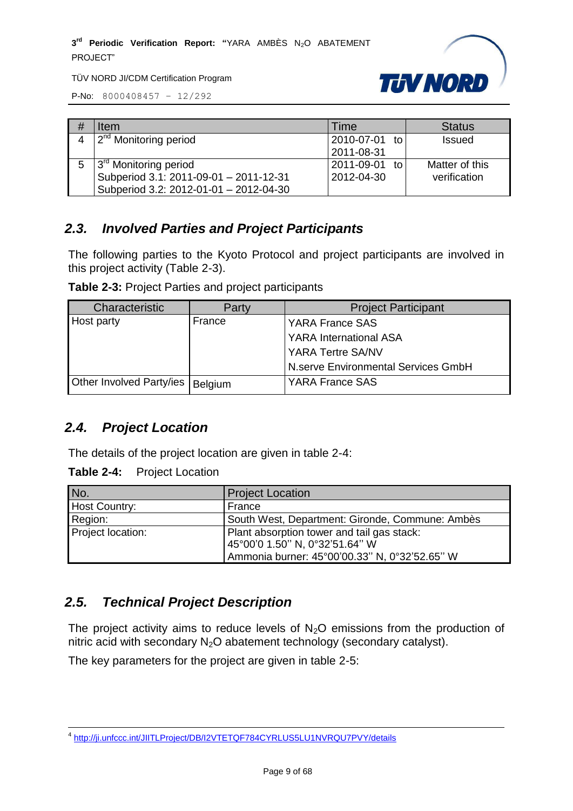

P-No: 8000408457 – 12/292

| <b>Item</b>                            | Time              | <b>Status</b>  |
|----------------------------------------|-------------------|----------------|
| 2 <sup>nd</sup> Monitoring period      | 2010-07-01 to     | <b>Issued</b>  |
|                                        | 2011-08-31        |                |
| 3 <sup>rd</sup> Monitoring period      | 2011-09-01<br>−t∩ | Matter of this |
| Subperiod 3.1: 2011-09-01 - 2011-12-31 | 2012-04-30        | verification   |
| Subperiod 3.2: 2012-01-01 - 2012-04-30 |                   |                |

# <span id="page-8-0"></span>*2.3. Involved Parties and Project Participants*

The following parties to the Kyoto Protocol and project participants are involved in this project activity (Table 2-3).

**Table 2-3:** Project Parties and project participants

| Characteristic           | Party   | <b>Project Participant</b>          |
|--------------------------|---------|-------------------------------------|
| Host party               | France  | <b>YARA France SAS</b>              |
|                          |         | <b>YARA International ASA</b>       |
|                          |         | <b>YARA Tertre SA/NV</b>            |
|                          |         | N.serve Environmental Services GmbH |
| Other Involved Party/ies | Belgium | <b>YARA France SAS</b>              |

# <span id="page-8-1"></span>*2.4. Project Location*

The details of the project location are given in table 2-4:

**Table 2-4:** Project Location

| INo.                 | <b>Project Location</b>                                                      |
|----------------------|------------------------------------------------------------------------------|
| <b>Host Country:</b> | France                                                                       |
| Region:              | South West, Department: Gironde, Commune: Ambès                              |
| Project location:    | Plant absorption tower and tail gas stack:<br>45°00'0 1.50" N, 0°32'51.64" W |
|                      | Ammonia burner: 45°00'00.33" N, 0°32'52.65" W                                |

# <span id="page-8-2"></span>*2.5. Technical Project Description*

The project activity aims to reduce levels of  $N<sub>2</sub>O$  emissions from the production of nitric acid with secondary  $N_2O$  abatement technology (secondary catalyst).

The key parameters for the project are given in table 2-5:

 4 <http://ji.unfccc.int/JIITLProject/DB/I2VTETQF784CYRLUS5LU1NVRQU7PVY/details>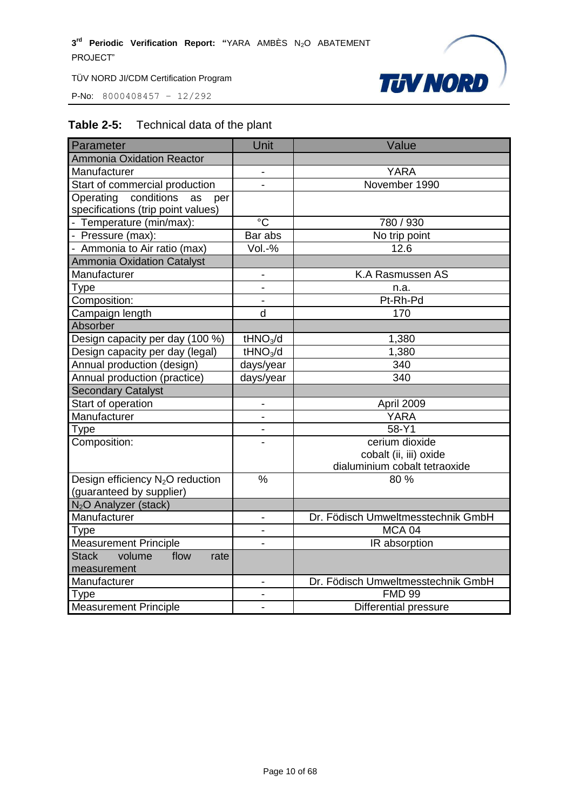P-No: 8000408457 – 12/292



# **Table 2-5:** Technical data of the plant

| Parameter                                                                  | Unit                     | Value                              |
|----------------------------------------------------------------------------|--------------------------|------------------------------------|
| <b>Ammonia Oxidation Reactor</b>                                           |                          |                                    |
| Manufacturer                                                               | $\overline{\phantom{a}}$ | <b>YARA</b>                        |
| Start of commercial production                                             | $\overline{\phantom{0}}$ | November 1990                      |
| conditions<br>Operating<br>as<br>per<br>specifications (trip point values) |                          |                                    |
| - Temperature (min/max):                                                   | $^{\circ}C$              | 780 / 930                          |
| - Pressure (max):                                                          | Bar abs                  | No trip point                      |
| - Ammonia to Air ratio (max)                                               | Vol.-%                   | 12.6                               |
| <b>Ammonia Oxidation Catalyst</b>                                          |                          |                                    |
| Manufacturer                                                               | $\overline{\phantom{0}}$ | K.A Rasmussen AS                   |
| Type                                                                       | $\blacksquare$           | n.a.                               |
| Composition:                                                               | $\blacksquare$           | Pt-Rh-Pd                           |
| Campaign length                                                            | d                        | 170                                |
| Absorber                                                                   |                          |                                    |
| Design capacity per day (100 %)                                            | tHNO <sub>3</sub> /d     | 1,380                              |
| Design capacity per day (legal)                                            | tHNO <sub>3</sub> /d     | 1,380                              |
| Annual production (design)                                                 | days/year                | 340                                |
| Annual production (practice)                                               | days/year                | 340                                |
| <b>Secondary Catalyst</b>                                                  |                          |                                    |
| Start of operation                                                         | $\overline{\phantom{0}}$ | April 2009                         |
| Manufacturer                                                               |                          | <b>YARA</b>                        |
| Type                                                                       | $\overline{a}$           | 58-Y1                              |
| Composition:                                                               |                          | cerium dioxide                     |
|                                                                            |                          | cobalt (ii, iii) oxide             |
|                                                                            |                          | dialuminium cobalt tetraoxide      |
| Design efficiency N <sub>2</sub> O reduction<br>(guaranteed by supplier)   | %                        | 80 %                               |
| N <sub>2</sub> O Analyzer (stack)                                          |                          |                                    |
| Manufacturer                                                               | $\overline{\phantom{a}}$ | Dr. Födisch Umweltmesstechnik GmbH |
| Type                                                                       | $\overline{\phantom{0}}$ | MCA 04                             |
| <b>Measurement Principle</b>                                               |                          | IR absorption                      |
| <b>Stack</b><br>volume<br>flow<br>rate<br>measurement                      |                          |                                    |
| Manufacturer                                                               | $\overline{\phantom{0}}$ | Dr. Födisch Umweltmesstechnik GmbH |
| Type                                                                       |                          | <b>FMD 99</b>                      |
| <b>Measurement Principle</b>                                               | $\overline{\phantom{0}}$ | Differential pressure              |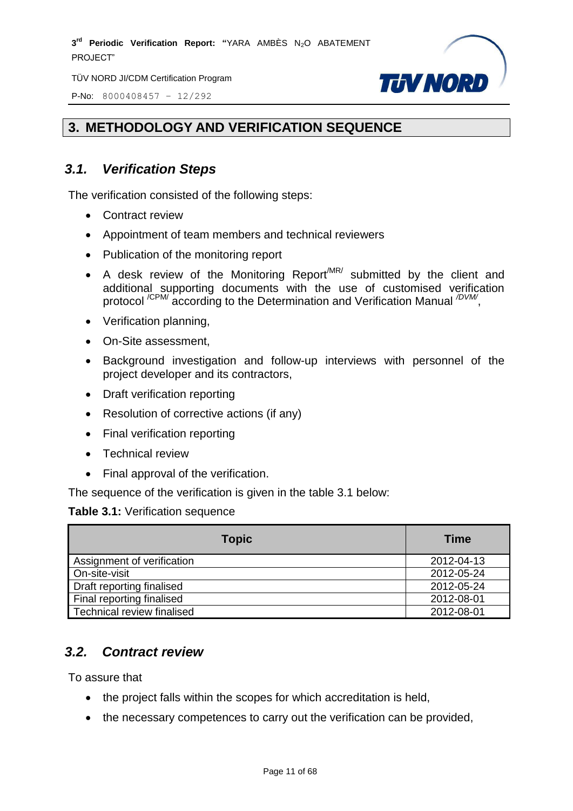TÜV NORD JI/CDM Certification Program

P-No: 8000408457 – 12/292



# <span id="page-10-0"></span>**3. METHODOLOGY AND VERIFICATION SEQUENCE**

# <span id="page-10-1"></span>*3.1. Verification Steps*

The verification consisted of the following steps:

- Contract review
- Appointment of team members and technical reviewers
- Publication of the monitoring report
- A desk review of the Monitoring Report<sup>MR/</sup> submitted by the client and additional supporting documents with the use of customised verification protocol<sup>/CPM/</sup> according to the Determination and Verification Manual <sup>/DVM/</sup>,
- Verification planning,
- On-Site assessment,
- Background investigation and follow-up interviews with personnel of the project developer and its contractors,
- Draft verification reporting
- Resolution of corrective actions (if any)
- Final verification reporting
- Technical review
- Final approval of the verification.

The sequence of the verification is given in the table 3.1 below:

#### **Table 3.1:** Verification sequence

| <b>Topic</b>               | <b>Time</b> |
|----------------------------|-------------|
| Assignment of verification | 2012-04-13  |
| On-site-visit              | 2012-05-24  |
| Draft reporting finalised  | 2012-05-24  |
| Final reporting finalised  | 2012-08-01  |
| Technical review finalised | 2012-08-01  |

#### <span id="page-10-2"></span>*3.2. Contract review*

To assure that

- the project falls within the scopes for which accreditation is held,
- the necessary competences to carry out the verification can be provided,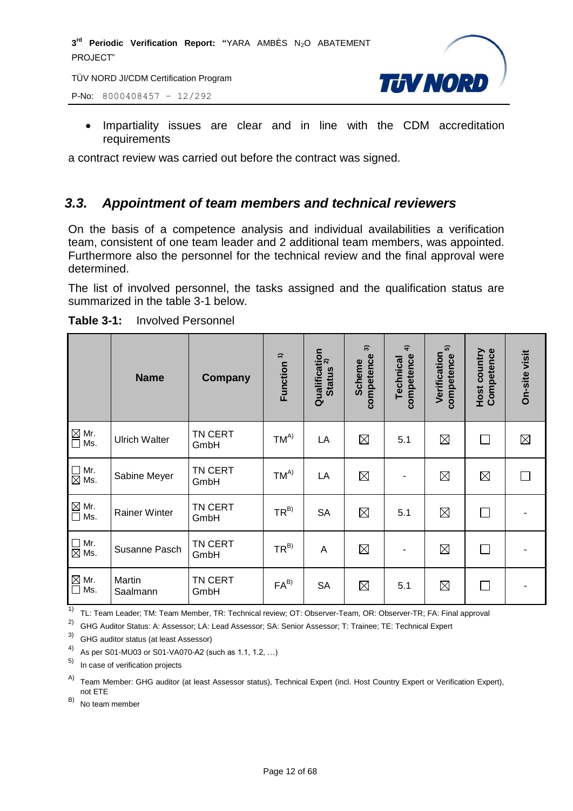P-No: 8000408457 – 12/292



• Impartiality issues are clear and in line with the CDM accreditation requirements

a contract review was carried out before the contract was signed.

# <span id="page-11-0"></span>*3.3. Appointment of team members and technical reviewers*

On the basis of a competence analysis and individual availabilities a verification team, consistent of one team leader and 2 additional team members, was appointed. Furthermore also the personnel for the technical review and the final approval were determined.

The list of involved personnel, the tasks assigned and the qualification status are summarized in the table 3-1 below.

|                                  | <b>Name</b>          | <b>Company</b>  | Function <sup>1)</sup> | Qualification<br>Status <sup>2)</sup><br><b>Status</b> | $\widehat{\mathcal{E}}$<br>competence<br><b>Scheme</b> | $\widehat{\mathbf{f}}$<br>competence<br>Technical | 5<br>Verification<br>competence | Host country<br>Competence | On-site visit |
|----------------------------------|----------------------|-----------------|------------------------|--------------------------------------------------------|--------------------------------------------------------|---------------------------------------------------|---------------------------------|----------------------------|---------------|
| $\boxtimes$ Mr.<br>$\square$ Ms. | <b>Ulrich Walter</b> | TN CERT<br>GmbH | $TM^{A)}$              | LA                                                     | $\boxtimes$                                            | 5.1                                               | $\boxtimes$                     |                            | $\boxtimes$   |
| $\Box$ Mr.<br>$\boxtimes$ Ms.    | Sabine Meyer         | TN CERT<br>GmbH | $TM^{A)}$              | LA                                                     | $\boxtimes$                                            | $\overline{\phantom{0}}$                          | $\boxtimes$                     | $\boxtimes$                |               |
| $\boxtimes$ Mr.<br>$\square$ Ms. | <b>Rainer Winter</b> | TN CERT<br>GmbH | $TR^{B)}$              | <b>SA</b>                                              | $\boxtimes$                                            | 5.1                                               | $\boxtimes$                     | $\Box$                     |               |
| $\Box$ Mr.<br>$\boxtimes$ Ms.    | Susanne Pasch        | TN CERT<br>GmbH | $TR^{B)}$              | A                                                      | $\boxtimes$                                            | $\overline{\phantom{0}}$                          | ⊠                               | П                          |               |
| $\boxtimes$ Mr.<br>$\square$ Ms. | Martin<br>Saalmann   | TN CERT<br>GmbH | $FA^{B}$               | <b>SA</b>                                              | $\boxtimes$                                            | 5.1                                               | $\boxtimes$                     | $\perp$                    |               |

**Table 3-1:** Involved Personnel

<sup>1)</sup> TL: Team Leader; TM: Team Member, TR: Technical review; OT: Observer-Team, OR: Observer-TR; FA: Final approval

<sup>2)</sup> GHG Auditor Status: A: Assessor; LA: Lead Assessor; SA: Senior Assessor; T: Trainee; TE: Technical Expert

3) GHG auditor status (at least Assessor)

4) As per S01-MU03 or S01-VA070-A2 (such as 1.1, 1.2, …)

In case of verification projects

A) Team Member: GHG auditor (at least Assessor status), Technical Expert (incl. Host Country Expert or Verification Expert), not ETE

 $(B)$  No team member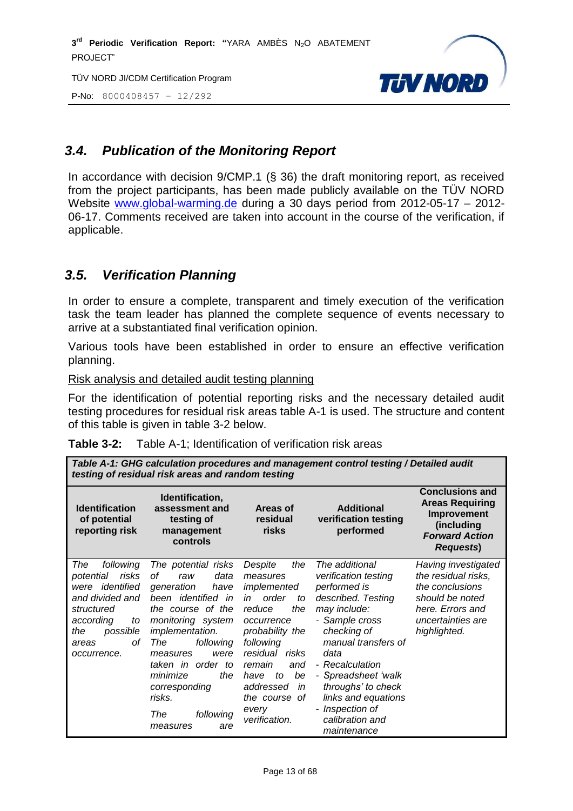TÜV NORD JI/CDM Certification Program

P-No: 8000408457 – 12/292



# <span id="page-12-0"></span>*3.4. Publication of the Monitoring Report*

In accordance with decision 9/CMP.1 (§ 36) the draft monitoring report, as received from the project participants, has been made publicly available on the TÜV NORD Website [www.global-warming.de](http://www.global-warming.de/) during a 30 days period from 2012-05-17 – 2012- 06-17. Comments received are taken into account in the course of the verification, if applicable.

# <span id="page-12-1"></span>*3.5. Verification Planning*

In order to ensure a complete, transparent and timely execution of the verification task the team leader has planned the complete sequence of events necessary to arrive at a substantiated final verification opinion.

Various tools have been established in order to ensure an effective verification planning.

Risk analysis and detailed audit testing planning

For the identification of potential reporting risks and the necessary detailed audit testing procedures for residual risk areas table A-1 is used. The structure and content of this table is given in table 3-2 below.

| Table 3-2:<br>Table A-1; Identification of verification risk areas |
|--------------------------------------------------------------------|
|--------------------------------------------------------------------|

| Table A-1: GHG calculation procedures and management control testing / Detailed audit<br>testing of residual risk areas and random testing                        |                                                                                                                                                                                                                                                                                                            |                                                                                                                                                                                                                                                    |                                                                                                                                                                                                                                                                                                          |                                                                                                                                           |
|-------------------------------------------------------------------------------------------------------------------------------------------------------------------|------------------------------------------------------------------------------------------------------------------------------------------------------------------------------------------------------------------------------------------------------------------------------------------------------------|----------------------------------------------------------------------------------------------------------------------------------------------------------------------------------------------------------------------------------------------------|----------------------------------------------------------------------------------------------------------------------------------------------------------------------------------------------------------------------------------------------------------------------------------------------------------|-------------------------------------------------------------------------------------------------------------------------------------------|
| <b>Identification</b><br>of potential<br>reporting risk                                                                                                           | Identification,<br>assessment and<br>testing of<br>management<br>controls                                                                                                                                                                                                                                  | Areas of<br>residual<br>risks                                                                                                                                                                                                                      | <b>Additional</b><br>verification testing<br>performed                                                                                                                                                                                                                                                   | <b>Conclusions and</b><br><b>Areas Requiring</b><br>Improvement<br>(including<br><b>Forward Action</b><br><b>Requests)</b>                |
| The<br>following<br>risks<br>potential<br>identified<br>were<br>and divided and<br>structured<br>according<br>to<br>the<br>possible<br>оf<br>areas<br>occurrence. | The potential risks<br>οf<br>data<br>raw<br>generation<br>have<br>been identified in<br>the course of the<br>monitoring system<br><i>implementation.</i><br>following<br>The<br>were<br>measures<br>taken in order to<br>minimize<br>the<br>corresponding<br>risks.<br>The<br>following<br>measures<br>are | the<br>Despite<br>measures<br>implemented<br>order<br>in<br>to<br>reduce<br>the<br>occurrence<br>probability the<br>following<br>residual risks<br>remain<br>and<br>be<br>to<br>have<br>addressed<br>in<br>the course of<br>every<br>verification. | The additional<br>verification testing<br>performed is<br>described. Testing<br>may include:<br>- Sample cross<br>checking of<br>manual transfers of<br>data<br>- Recalculation<br>- Spreadsheet 'walk<br>throughs' to check<br>links and equations<br>- Inspection of<br>calibration and<br>maintenance | Having investigated<br>the residual risks,<br>the conclusions<br>should be noted<br>here. Errors and<br>uncertainties are<br>highlighted. |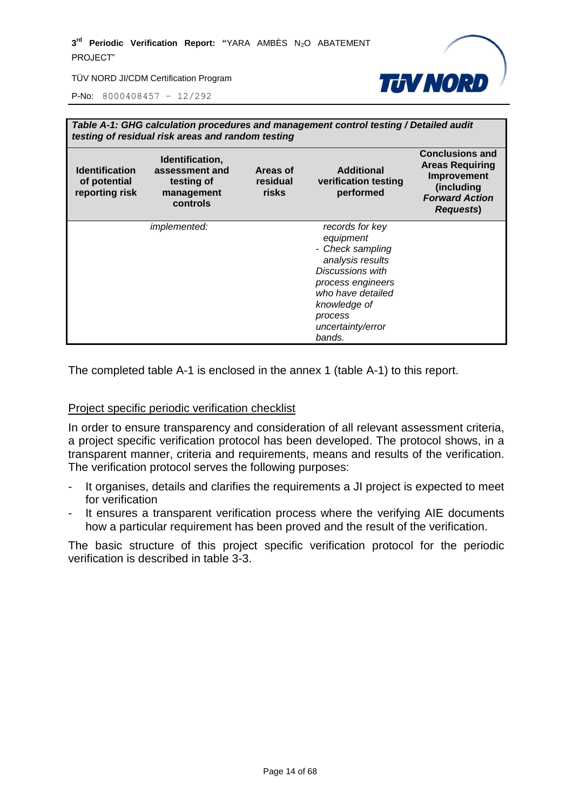

P-No: 8000408457 – 12/292

|                                                         | Table A-1: GHG calculation procedures and management control testing / Detailed audit<br>testing of residual risk areas and random testing |                                      |                                                                                                                                                                                              |                                                                                                                             |
|---------------------------------------------------------|--------------------------------------------------------------------------------------------------------------------------------------------|--------------------------------------|----------------------------------------------------------------------------------------------------------------------------------------------------------------------------------------------|-----------------------------------------------------------------------------------------------------------------------------|
| <b>Identification</b><br>of potential<br>reporting risk | Identification,<br>assessment and<br>testing of<br>management<br>controls                                                                  | Areas of<br>residual<br><b>risks</b> | <b>Additional</b><br>verification testing<br>performed                                                                                                                                       | <b>Conclusions and</b><br><b>Areas Requiring</b><br>Improvement<br>(including<br><b>Forward Action</b><br><b>Requests</b> ) |
|                                                         | <i>implemented:</i>                                                                                                                        |                                      | records for key<br>equipment<br>- Check sampling<br>analysis results<br>Discussions with<br>process engineers<br>who have detailed<br>knowledge of<br>process<br>uncertainty/error<br>bands. |                                                                                                                             |

The completed table A-1 is enclosed in the annex 1 (table A-1) to this report.

#### Project specific periodic verification checklist

In order to ensure transparency and consideration of all relevant assessment criteria, a project specific verification protocol has been developed. The protocol shows, in a transparent manner, criteria and requirements, means and results of the verification. The verification protocol serves the following purposes:

- It organises, details and clarifies the requirements a JI project is expected to meet for verification
- It ensures a transparent verification process where the verifying AIE documents how a particular requirement has been proved and the result of the verification.

The basic structure of this project specific verification protocol for the periodic verification is described in table 3-3.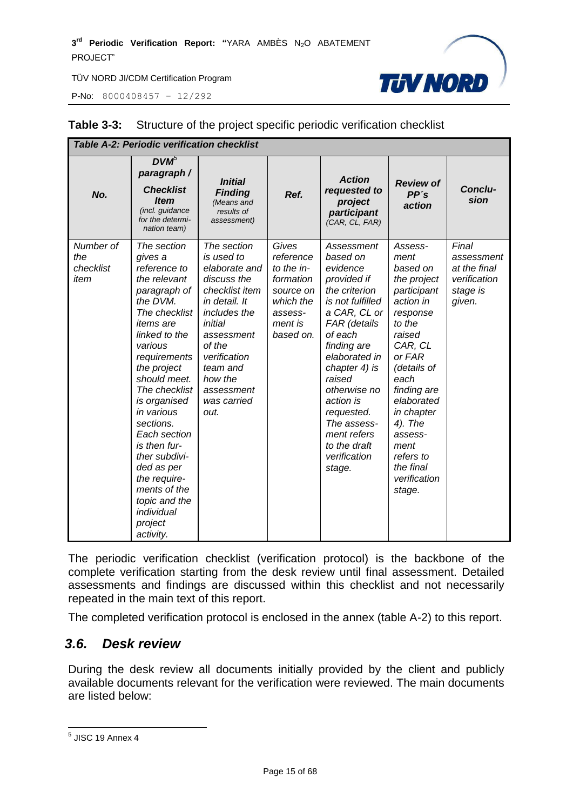P-No: 8000408457 – 12/292



| <b>Table A-2: Periodic verification checklist</b> |                                                                                                                                                                                                                                                                                                                                                                                                                      |                                                                                                                                                                                                                             |                                                                                                            |                                                                                                                                                                                                                                                                                                                 |                                                                                                                                                                                                                                                                                 |                                                                           |
|---------------------------------------------------|----------------------------------------------------------------------------------------------------------------------------------------------------------------------------------------------------------------------------------------------------------------------------------------------------------------------------------------------------------------------------------------------------------------------|-----------------------------------------------------------------------------------------------------------------------------------------------------------------------------------------------------------------------------|------------------------------------------------------------------------------------------------------------|-----------------------------------------------------------------------------------------------------------------------------------------------------------------------------------------------------------------------------------------------------------------------------------------------------------------|---------------------------------------------------------------------------------------------------------------------------------------------------------------------------------------------------------------------------------------------------------------------------------|---------------------------------------------------------------------------|
| No.                                               | $DVM^5$<br>paragraph /<br><b>Checklist</b><br><b>Item</b><br>(incl. guidance<br>for the determi-<br>nation team)                                                                                                                                                                                                                                                                                                     | <b>Initial</b><br><b>Finding</b><br>(Means and<br>results of<br>assessment)                                                                                                                                                 | Ref.                                                                                                       | <b>Action</b><br>requested to<br>project<br>participant<br>(CAR, CL, FAR)                                                                                                                                                                                                                                       | <b>Review of</b><br>PP's<br>action                                                                                                                                                                                                                                              | Conclu-<br>sion                                                           |
| Number of<br>the<br>checklist<br>item             | The section<br>gives a<br>reference to<br>the relevant<br>paragraph of<br>the DVM.<br>The checklist<br><i>items</i> are<br>linked to the<br>various<br>requirements<br>the project<br>should meet.<br>The checklist<br>is organised<br>in various<br>sections.<br>Each section<br>is then fur-<br>ther subdivi-<br>ded as per<br>the require-<br>ments of the<br>topic and the<br>individual<br>project<br>activity. | The section<br>is used to<br>elaborate and<br>discuss the<br>checklist item<br>in detail. It<br>includes the<br>initial<br>assessment<br>of the<br>verification<br>team and<br>how the<br>assessment<br>was carried<br>out. | Gives<br>reference<br>to the in-<br>formation<br>source on<br>which the<br>assess-<br>ment is<br>based on. | Assessment<br>based on<br>evidence<br>provided if<br>the criterion<br>is not fulfilled<br>a CAR, CL or<br>FAR (details<br>of each<br>finding are<br>elaborated in<br>chapter 4) is<br>raised<br>otherwise no<br>action is<br>requested.<br>The assess-<br>ment refers<br>to the draft<br>verification<br>stage. | Assess-<br>ment<br>based on<br>the project<br>participant<br>action in<br>response<br>to the<br>raised<br>CAR, CL<br>or FAR<br>(details of<br>each<br>finding are<br>elaborated<br>in chapter<br>4). The<br>assess-<br>ment<br>refers to<br>the final<br>verification<br>stage. | Final<br>assessment<br>at the final<br>verification<br>stage is<br>given. |

#### **Table 3-3:** Structure of the project specific periodic verification checklist

The periodic verification checklist (verification protocol) is the backbone of the complete verification starting from the desk review until final assessment. Detailed assessments and findings are discussed within this checklist and not necessarily repeated in the main text of this report.

The completed verification protocol is enclosed in the annex (table A-2) to this report.

#### <span id="page-14-0"></span>*3.6. Desk review*

During the desk review all documents initially provided by the client and publicly available documents relevant for the verification were reviewed. The main documents are listed below:

<sup>&</sup>lt;u>5</u><br><sup>5</sup> JISC 19 Annex 4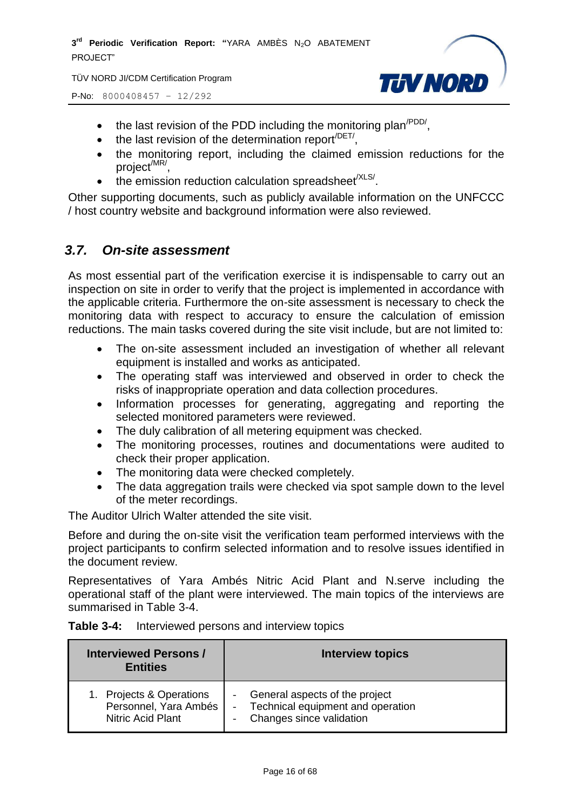TÜV NORD JI/CDM Certification Program





- $\bullet$  the last revision of the PDD including the monitoring plan<sup>/PDD/</sup>,
- $\bullet$  the last revision of the determination report<sup>/DET/</sup>,
- the monitoring report, including the claimed emission reductions for the project<sup>/MR/</sup>,
- $\bullet$  the emission reduction calculation spreadsheet<sup>/XLS/</sup>.

Other supporting documents, such as publicly available information on the UNFCCC / host country website and background information were also reviewed.

#### <span id="page-15-0"></span>*3.7. On-site assessment*

As most essential part of the verification exercise it is indispensable to carry out an inspection on site in order to verify that the project is implemented in accordance with the applicable criteria. Furthermore the on-site assessment is necessary to check the monitoring data with respect to accuracy to ensure the calculation of emission reductions. The main tasks covered during the site visit include, but are not limited to:

- The on-site assessment included an investigation of whether all relevant equipment is installed and works as anticipated.
- The operating staff was interviewed and observed in order to check the risks of inappropriate operation and data collection procedures.
- Information processes for generating, aggregating and reporting the selected monitored parameters were reviewed.
- The duly calibration of all metering equipment was checked.
- The monitoring processes, routines and documentations were audited to check their proper application.
- The monitoring data were checked completely.
- The data aggregation trails were checked via spot sample down to the level of the meter recordings.

The Auditor Ulrich Walter attended the site visit.

Before and during the on-site visit the verification team performed interviews with the project participants to confirm selected information and to resolve issues identified in the document review.

Representatives of Yara Ambés Nitric Acid Plant and N.serve including the operational staff of the plant were interviewed. The main topics of the interviews are summarised in Table 3-4.

| Table 3-4: | Interviewed persons and interview topics |  |  |
|------------|------------------------------------------|--|--|
|------------|------------------------------------------|--|--|

| <b>Interviewed Persons/</b><br><b>Entities</b> | <b>Interview topics</b>           |
|------------------------------------------------|-----------------------------------|
| 1. Projects & Operations                       | General aspects of the project    |
| Personnel, Yara Ambés                          | Technical equipment and operation |
| <b>Nitric Acid Plant</b>                       | Changes since validation          |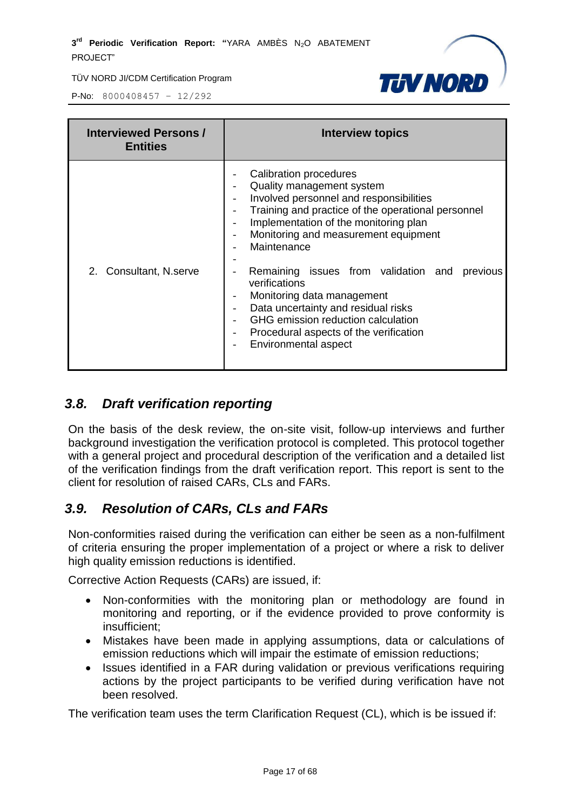



P-No: 8000408457 – 12/292

| <b>Interviewed Persons /</b><br><b>Entities</b> | <b>Interview topics</b>                                                                                                                                                                                                                                                                                                                                                                                                                                                                                                                                        |
|-------------------------------------------------|----------------------------------------------------------------------------------------------------------------------------------------------------------------------------------------------------------------------------------------------------------------------------------------------------------------------------------------------------------------------------------------------------------------------------------------------------------------------------------------------------------------------------------------------------------------|
| 2. Consultant, N.serve                          | Calibration procedures<br>Quality management system<br>Involved personnel and responsibilities<br>Training and practice of the operational personnel<br>Implementation of the monitoring plan<br>Monitoring and measurement equipment<br>$\overline{\phantom{a}}$<br>Maintenance<br>Remaining issues from validation and<br>previous<br>verifications<br>Monitoring data management<br>Data uncertainty and residual risks<br>$\overline{\phantom{a}}$<br>GHG emission reduction calculation<br>Procedural aspects of the verification<br>Environmental aspect |

# <span id="page-16-0"></span>*3.8. Draft verification reporting*

On the basis of the desk review, the on-site visit, follow-up interviews and further background investigation the verification protocol is completed. This protocol together with a general project and procedural description of the verification and a detailed list of the verification findings from the draft verification report. This report is sent to the client for resolution of raised CARs, CLs and FARs.

# <span id="page-16-1"></span>*3.9. Resolution of CARs, CLs and FARs*

Non-conformities raised during the verification can either be seen as a non-fulfilment of criteria ensuring the proper implementation of a project or where a risk to deliver high quality emission reductions is identified.

Corrective Action Requests (CARs) are issued, if:

- Non-conformities with the monitoring plan or methodology are found in monitoring and reporting, or if the evidence provided to prove conformity is insufficient;
- Mistakes have been made in applying assumptions, data or calculations of emission reductions which will impair the estimate of emission reductions;
- Issues identified in a FAR during validation or previous verifications requiring actions by the project participants to be verified during verification have not been resolved.

The verification team uses the term Clarification Request (CL), which is be issued if: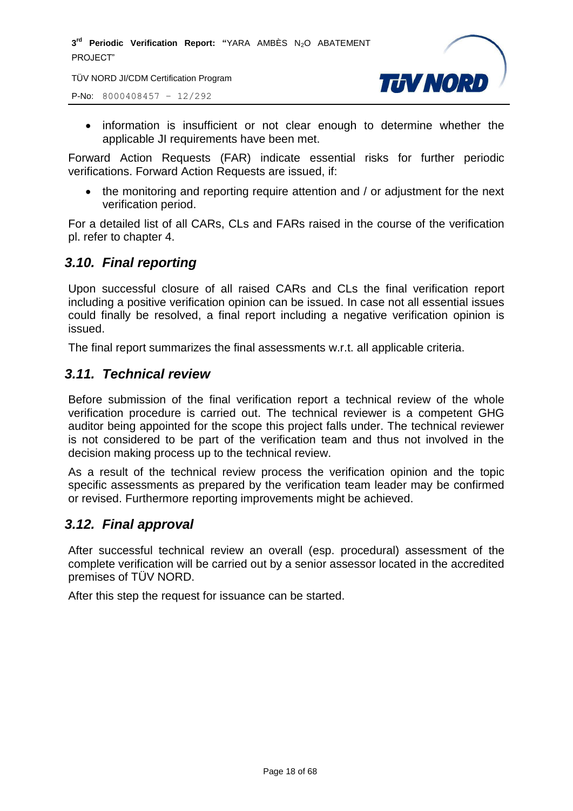TÜV NORD JI/CDM Certification Program

P-No: 8000408457 – 12/292



• information is insufficient or not clear enough to determine whether the applicable JI requirements have been met.

Forward Action Requests (FAR) indicate essential risks for further periodic verifications. Forward Action Requests are issued, if:

• the monitoring and reporting require attention and / or adjustment for the next verification period.

For a detailed list of all CARs, CLs and FARs raised in the course of the verification pl. refer to chapter 4.

# <span id="page-17-0"></span>*3.10. Final reporting*

Upon successful closure of all raised CARs and CLs the final verification report including a positive verification opinion can be issued. In case not all essential issues could finally be resolved, a final report including a negative verification opinion is issued.

The final report summarizes the final assessments w.r.t. all applicable criteria.

#### <span id="page-17-1"></span>*3.11. Technical review*

Before submission of the final verification report a technical review of the whole verification procedure is carried out. The technical reviewer is a competent GHG auditor being appointed for the scope this project falls under. The technical reviewer is not considered to be part of the verification team and thus not involved in the decision making process up to the technical review.

As a result of the technical review process the verification opinion and the topic specific assessments as prepared by the verification team leader may be confirmed or revised. Furthermore reporting improvements might be achieved.

#### <span id="page-17-2"></span>*3.12. Final approval*

After successful technical review an overall (esp. procedural) assessment of the complete verification will be carried out by a senior assessor located in the accredited premises of TÜV NORD.

After this step the request for issuance can be started.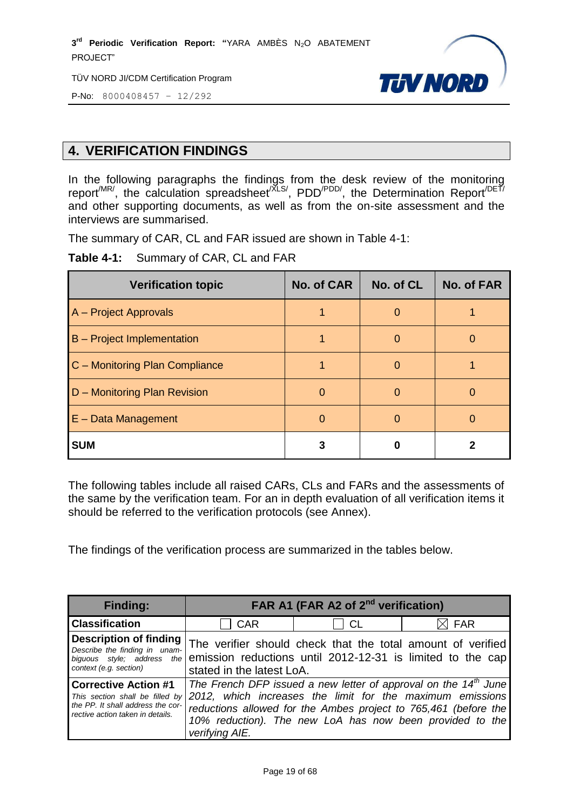TÜV NORD JI/CDM Certification Program



P-No: 8000408457 – 12/292

# <span id="page-18-0"></span>**4. VERIFICATION FINDINGS**

In the following paragraphs the findings from the desk review of the monitoring report<sup>/MR/</sup>, the calculation spreadsheet<sup>/XLS/</sup>, PDD<sup>/PDD/</sup>, the Determination Report<sup>/DET/</sup> and other supporting documents, as well as from the on-site assessment and the interviews are summarised.

The summary of CAR, CL and FAR issued are shown in Table 4-1:

**Table 4-1:** Summary of CAR, CL and FAR

| <b>Verification topic</b>         | <b>No. of CAR</b> | No. of CL | <b>No. of FAR</b> |
|-----------------------------------|-------------------|-----------|-------------------|
| A - Project Approvals             |                   | O         |                   |
| <b>B</b> – Project Implementation |                   | O         |                   |
| C - Monitoring Plan Compliance    |                   |           |                   |
| D - Monitoring Plan Revision      | 0                 | O         |                   |
| E - Data Management               | O                 | O         |                   |
| <b>SUM</b>                        |                   |           |                   |

The following tables include all raised CARs, CLs and FARs and the assessments of the same by the verification team. For an in depth evaluation of all verification items it should be referred to the verification protocols (see Annex).

<span id="page-18-1"></span>The findings of the verification process are summarized in the tables below.

| <b>Finding:</b>                                                                                                                         | FAR A1 (FAR A2 of 2 <sup>nd</sup> verification)                                                                                                                                                                                                                                           |    |                 |  |
|-----------------------------------------------------------------------------------------------------------------------------------------|-------------------------------------------------------------------------------------------------------------------------------------------------------------------------------------------------------------------------------------------------------------------------------------------|----|-----------------|--|
| <b>Classification</b>                                                                                                                   | <b>CAR</b>                                                                                                                                                                                                                                                                                | СL | $\boxtimes$ FAR |  |
| <b>Description of finding</b><br>Describe the finding in unam-<br>context (e.g. section)                                                | The verifier should check that the total amount of verified<br>$biguous$ style; address the emission reductions until 2012-12-31 is limited to the cap<br>stated in the latest LoA.                                                                                                       |    |                 |  |
| <b>Corrective Action #1</b><br>This section shall be filled by<br>the PP. It shall address the cor-<br>rective action taken in details. | The French DFP issued a new letter of approval on the 14 <sup>th</sup> June<br>2012, which increases the limit for the maximum emissions<br>reductions allowed for the Ambes project to 765,461 (before the<br>10% reduction). The new LoA has now been provided to the<br>verifying AIE. |    |                 |  |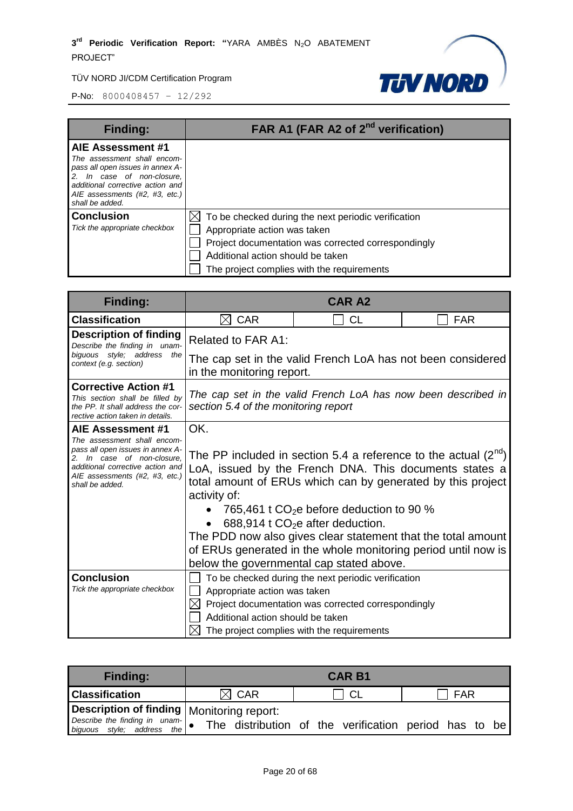

| <b>Finding:</b>                                                                                                                                                                                             | FAR A1 (FAR A2 of 2 <sup>nd</sup> verification)                                                                                                                                                                                           |
|-------------------------------------------------------------------------------------------------------------------------------------------------------------------------------------------------------------|-------------------------------------------------------------------------------------------------------------------------------------------------------------------------------------------------------------------------------------------|
| AIE Assessment #1<br>The assessment shall encom-<br>pass all open issues in annex A-<br>2. In case of non-closure,<br>additional corrective action and<br>AIE assessments (#2, #3, etc.)<br>shall be added. |                                                                                                                                                                                                                                           |
| <b>Conclusion</b><br>Tick the appropriate checkbox                                                                                                                                                          | $\boxtimes$ To be checked during the next periodic verification<br>Appropriate action was taken<br>Project documentation was corrected correspondingly<br>Additional action should be taken<br>The project complies with the requirements |

| <b>Finding:</b>                                                                                                                                                                                                    | <b>CAR A2</b>                                                                                                                                                                                                                                                                                                                                                                                                                                                                           |           |            |  |
|--------------------------------------------------------------------------------------------------------------------------------------------------------------------------------------------------------------------|-----------------------------------------------------------------------------------------------------------------------------------------------------------------------------------------------------------------------------------------------------------------------------------------------------------------------------------------------------------------------------------------------------------------------------------------------------------------------------------------|-----------|------------|--|
| <b>Classification</b>                                                                                                                                                                                              | <b>CAR</b><br>M                                                                                                                                                                                                                                                                                                                                                                                                                                                                         | <b>CL</b> | <b>FAR</b> |  |
| <b>Description of finding</b><br>Describe the finding in unam-                                                                                                                                                     | Related to FAR A1:                                                                                                                                                                                                                                                                                                                                                                                                                                                                      |           |            |  |
| biquous style; address the<br>context (e.g. section)                                                                                                                                                               | The cap set in the valid French LoA has not been considered<br>in the monitoring report.                                                                                                                                                                                                                                                                                                                                                                                                |           |            |  |
| <b>Corrective Action #1</b><br>This section shall be filled by<br>the PP. It shall address the cor-<br>rective action taken in details.                                                                            | The cap set in the valid French LoA has now been described in<br>section 5.4 of the monitoring report                                                                                                                                                                                                                                                                                                                                                                                   |           |            |  |
| <b>AIE Assessment #1</b><br>The assessment shall encom-<br>pass all open issues in annex A-<br>2. In case of non-closure.<br>additional corrective action and<br>AIE assessments (#2, #3, etc.)<br>shall be added. | OK.<br>The PP included in section 5.4 a reference to the actual $(2^{n\alpha})$<br>LoA, issued by the French DNA. This documents states a<br>total amount of ERUs which can by generated by this project<br>activity of:<br>765,461 t $CO2e$ before deduction to 90 %<br>688,914 t $CO2e$ after deduction.<br>The PDD now also gives clear statement that the total amount<br>of ERUs generated in the whole monitoring period until now is<br>below the governmental cap stated above. |           |            |  |
| <b>Conclusion</b><br>Tick the appropriate checkbox                                                                                                                                                                 | To be checked during the next periodic verification<br>Appropriate action was taken<br>$\bowtie$<br>Project documentation was corrected correspondingly<br>Additional action should be taken<br>The project complies with the requirements                                                                                                                                                                                                                                              |           |            |  |

| <b>Finding:</b>                                                                               | <b>CAR B1</b>   |      |     |
|-----------------------------------------------------------------------------------------------|-----------------|------|-----|
| <b>Classification</b>                                                                         | $\boxtimes$ CAR | ! CL | FAR |
| Description of finding   Monitoring report:                                                   |                 |      |     |
| Describe the finding in unam- $\bullet$ The distribution of the verification period has to be |                 |      |     |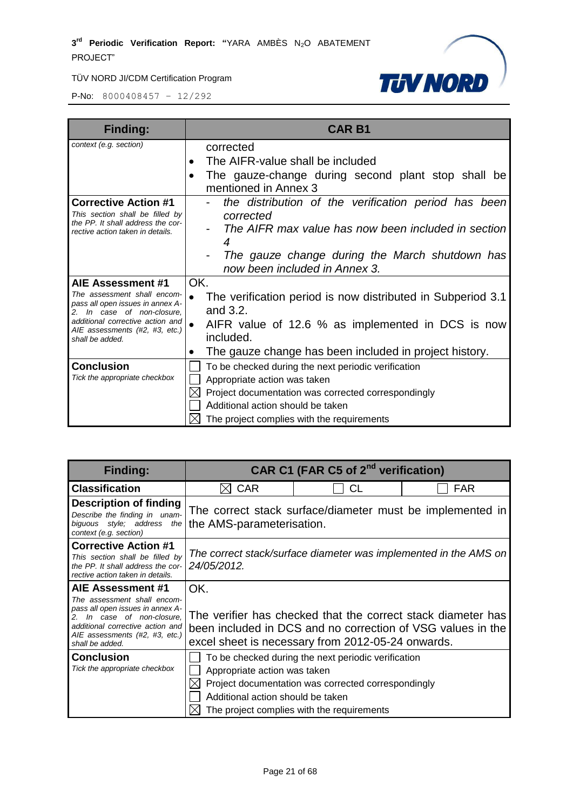

| <b>Finding:</b>                                                                               | <b>CAR B1</b>                                                                           |
|-----------------------------------------------------------------------------------------------|-----------------------------------------------------------------------------------------|
| context (e.g. section)                                                                        | corrected                                                                               |
|                                                                                               | The AIFR-value shall be included<br>$\bullet$                                           |
|                                                                                               | The gauze-change during second plant stop shall be<br>$\bullet$<br>mentioned in Annex 3 |
| <b>Corrective Action #1</b><br>This section shall be filled by                                | the distribution of the verification period has been<br>corrected                       |
| the PP. It shall address the cor-<br>rective action taken in details.                         | The AIFR max value has now been included in section<br>4                                |
|                                                                                               | The gauze change during the March shutdown has                                          |
|                                                                                               | now been included in Annex 3.                                                           |
| AIE Assessment #1                                                                             | OK.                                                                                     |
| The assessment shall encom-<br>pass all open issues in annex A-<br>2. In case of non-closure, | The verification period is now distributed in Subperiod 3.1<br>and 3.2.                 |
| additional corrective action and<br>AIE assessments (#2, #3, etc.)<br>shall be added.         | AIFR value of 12.6 % as implemented in DCS is now<br>included.                          |
|                                                                                               | The gauze change has been included in project history.<br>$\bullet$                     |
| <b>Conclusion</b>                                                                             | To be checked during the next periodic verification                                     |
| Tick the appropriate checkbox                                                                 | Appropriate action was taken                                                            |
|                                                                                               | Project documentation was corrected correspondingly                                     |
|                                                                                               | Additional action should be taken                                                       |
|                                                                                               | The project complies with the requirements                                              |

| <b>Finding:</b>                                                                                                                                                                        | CAR C1 (FAR C5 of 2 <sup>nd</sup> verification)                                        |                                                                                                                  |                                                              |
|----------------------------------------------------------------------------------------------------------------------------------------------------------------------------------------|----------------------------------------------------------------------------------------|------------------------------------------------------------------------------------------------------------------|--------------------------------------------------------------|
| <b>Classification</b>                                                                                                                                                                  | <b>CAR</b>                                                                             | CL                                                                                                               | <b>FAR</b>                                                   |
| <b>Description of finding</b><br>Describe the finding in unam-<br>biguous style; address the<br>context (e.g. section)                                                                 | The correct stack surface/diameter must be implemented in<br>the AMS-parameterisation. |                                                                                                                  |                                                              |
| <b>Corrective Action #1</b><br>This section shall be filled by<br>the PP. It shall address the cor-<br>rective action taken in details.                                                | The correct stack/surface diameter was implemented in the AMS on<br>24/05/2012.        |                                                                                                                  |                                                              |
| AIE Assessment #1                                                                                                                                                                      | OK.                                                                                    |                                                                                                                  |                                                              |
| The assessment shall encom-<br>pass all open issues in annex A-<br>2. In case of non-closure.<br>additional corrective action and<br>AIE assessments (#2, #3, etc.)<br>shall be added. |                                                                                        | been included in DCS and no correction of VSG values in the<br>excel sheet is necessary from 2012-05-24 onwards. | The verifier has checked that the correct stack diameter has |
| <b>Conclusion</b>                                                                                                                                                                      |                                                                                        | To be checked during the next periodic verification                                                              |                                                              |
| Tick the appropriate checkbox                                                                                                                                                          | Appropriate action was taken                                                           |                                                                                                                  |                                                              |
|                                                                                                                                                                                        |                                                                                        | Project documentation was corrected correspondingly                                                              |                                                              |
|                                                                                                                                                                                        | Additional action should be taken                                                      |                                                                                                                  |                                                              |
|                                                                                                                                                                                        |                                                                                        | The project complies with the requirements                                                                       |                                                              |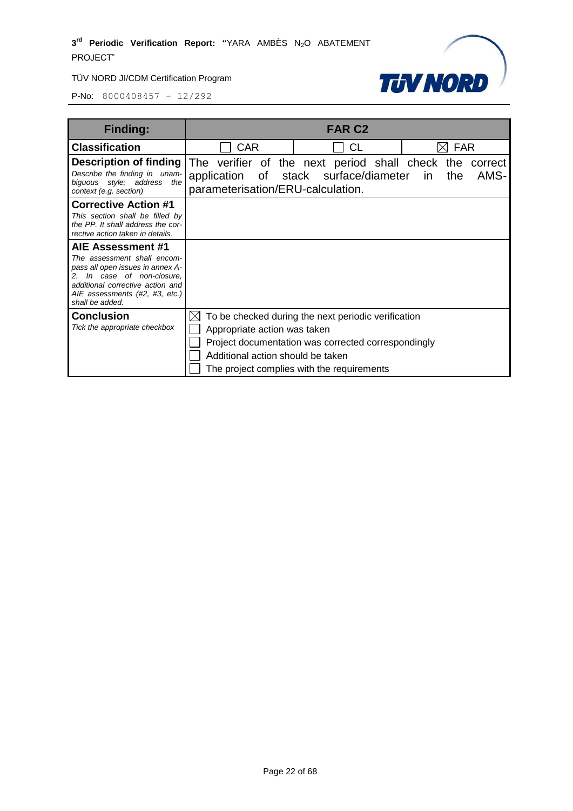

| <b>Finding:</b>                                                                                                                                                                                                 | <b>FAR C2</b>                                                     |                                                                                                                                                          |                              |
|-----------------------------------------------------------------------------------------------------------------------------------------------------------------------------------------------------------------|-------------------------------------------------------------------|----------------------------------------------------------------------------------------------------------------------------------------------------------|------------------------------|
| <b>Classification</b>                                                                                                                                                                                           | <b>CAR</b>                                                        | СL                                                                                                                                                       | <b>FAR</b>                   |
| <b>Description of finding</b> The verifier of the next period shall check the<br>Describe the finding in unam-<br>biguous style; address the<br>context (e.g. section)                                          | parameterisation/ERU-calculation.                                 | application of stack surface/diameter                                                                                                                    | correct<br>AMS-<br>in<br>the |
| <b>Corrective Action #1</b><br>This section shall be filled by<br>the PP. It shall address the cor-<br>rective action taken in details.                                                                         |                                                                   |                                                                                                                                                          |                              |
| <b>AIE Assessment #1</b><br>The assessment shall encom-<br>pass all open issues in annex A-<br>In case of non-closure,<br>additional corrective action and<br>AIE assessments (#2, #3, etc.)<br>shall be added. |                                                                   |                                                                                                                                                          |                              |
| <b>Conclusion</b><br>Tick the appropriate checkbox                                                                                                                                                              | Appropriate action was taken<br>Additional action should be taken | To be checked during the next periodic verification<br>Project documentation was corrected correspondingly<br>The project complies with the requirements |                              |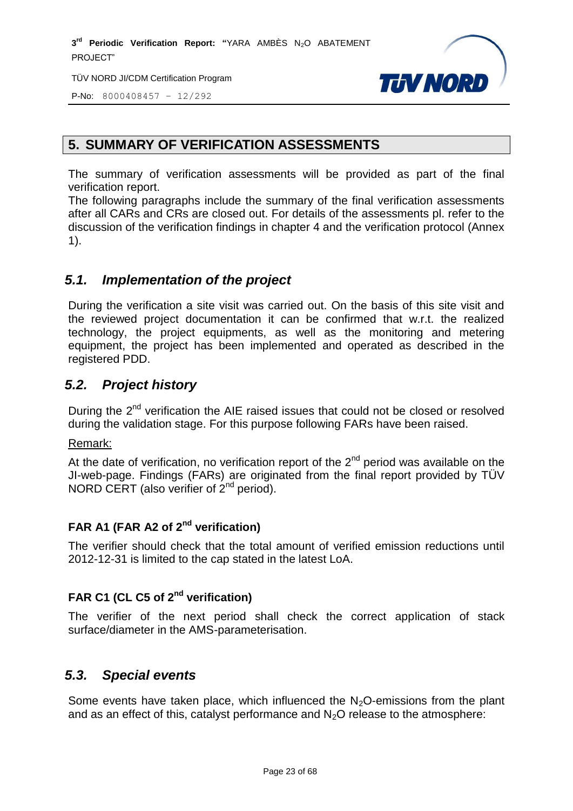TÜV NORD JI/CDM Certification Program



P-No: 8000408457 – 12/292

# **5. SUMMARY OF VERIFICATION ASSESSMENTS**

The summary of verification assessments will be provided as part of the final verification report.

The following paragraphs include the summary of the final verification assessments after all CARs and CRs are closed out. For details of the assessments pl. refer to the discussion of the verification findings in chapter 4 and the verification protocol (Annex 1).

# <span id="page-22-0"></span>*5.1. Implementation of the project*

During the verification a site visit was carried out. On the basis of this site visit and the reviewed project documentation it can be confirmed that w.r.t. the realized technology, the project equipments, as well as the monitoring and metering equipment, the project has been implemented and operated as described in the registered PDD.

# <span id="page-22-1"></span>*5.2. Project history*

During the 2<sup>nd</sup> verification the AIE raised issues that could not be closed or resolved during the validation stage. For this purpose following FARs have been raised.

Remark:

At the date of verification, no verification report of the  $2<sup>nd</sup>$  period was available on the JI-web-page. Findings (FARs) are originated from the final report provided by TÜV NORD CERT (also verifier of 2<sup>nd</sup> period).

# **FAR A1 (FAR A2 of 2nd verification)**

The verifier should check that the total amount of verified emission reductions until 2012-12-31 is limited to the cap stated in the latest LoA.

# **FAR C1 (CL C5 of 2nd verification)**

The verifier of the next period shall check the correct application of stack surface/diameter in the AMS-parameterisation.

# <span id="page-22-2"></span>*5.3. Special events*

<span id="page-22-3"></span>Some events have taken place, which influenced the  $N<sub>2</sub>O$ -emissions from the plant and as an effect of this, catalyst performance and  $N_2O$  release to the atmosphere: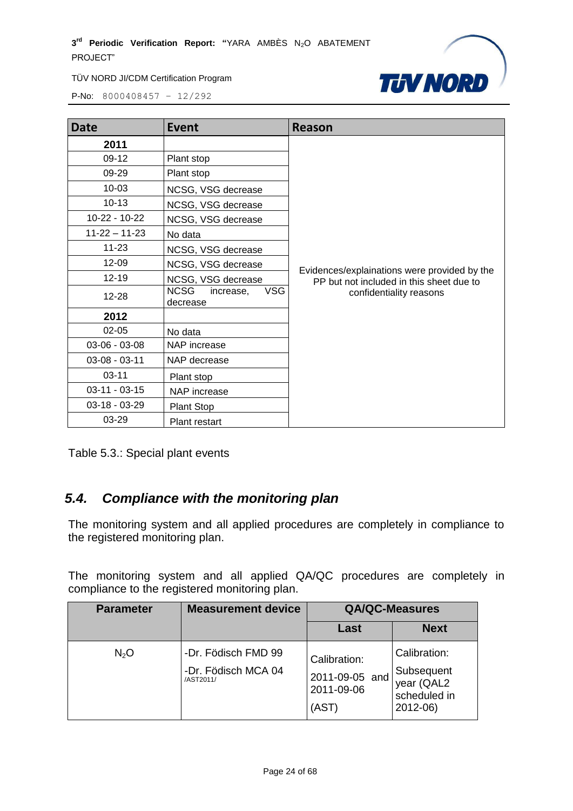

P-No: 8000408457 – 12/292

| <b>Date</b>         | <b>Event</b>                                       | Reason                                                                                   |
|---------------------|----------------------------------------------------|------------------------------------------------------------------------------------------|
| 2011                |                                                    |                                                                                          |
| $09-12$             | Plant stop                                         |                                                                                          |
| 09-29               | Plant stop                                         |                                                                                          |
| $10 - 03$           | NCSG, VSG decrease                                 |                                                                                          |
| $10 - 13$           | NCSG, VSG decrease                                 |                                                                                          |
| 10-22 - 10-22       | NCSG, VSG decrease                                 |                                                                                          |
| $11 - 22 - 11 - 23$ | No data                                            |                                                                                          |
| $11 - 23$           | NCSG, VSG decrease                                 |                                                                                          |
| $12 - 09$           | NCSG, VSG decrease                                 |                                                                                          |
| $12 - 19$           | NCSG, VSG decrease                                 | Evidences/explainations were provided by the<br>PP but not included in this sheet due to |
| 12-28               | <b>NCSG</b><br><b>VSG</b><br>increase,<br>decrease | confidentiality reasons                                                                  |
| 2012                |                                                    |                                                                                          |
| $02 - 05$           | No data                                            |                                                                                          |
| $03-06 - 03-08$     | NAP increase                                       |                                                                                          |
| $03-08 - 03-11$     | NAP decrease                                       |                                                                                          |
| $03 - 11$           | Plant stop                                         |                                                                                          |
| $03-11 - 03-15$     | NAP increase                                       |                                                                                          |
| $03-18 - 03-29$     | Plant Stop                                         |                                                                                          |
| 03-29               | Plant restart                                      |                                                                                          |

Table 5.3.: Special plant events

# *5.4. Compliance with the monitoring plan*

The monitoring system and all applied procedures are completely in compliance to the registered monitoring plan.

The monitoring system and all applied QA/QC procedures are completely in compliance to the registered monitoring plan.

| <b>Parameter</b> | <b>Measurement device</b>                               | <b>QA/QC-Measures</b>                                 |                                                                      |
|------------------|---------------------------------------------------------|-------------------------------------------------------|----------------------------------------------------------------------|
|                  |                                                         | Last                                                  | <b>Next</b>                                                          |
| N <sub>2</sub> O | -Dr. Födisch FMD 99<br>-Dr. Födisch MCA 04<br>/AST2011/ | Calibration:<br>2011-09-05 and<br>2011-09-06<br>(AST) | Calibration:<br>Subsequent<br>year (QAL2<br>scheduled in<br>2012-06) |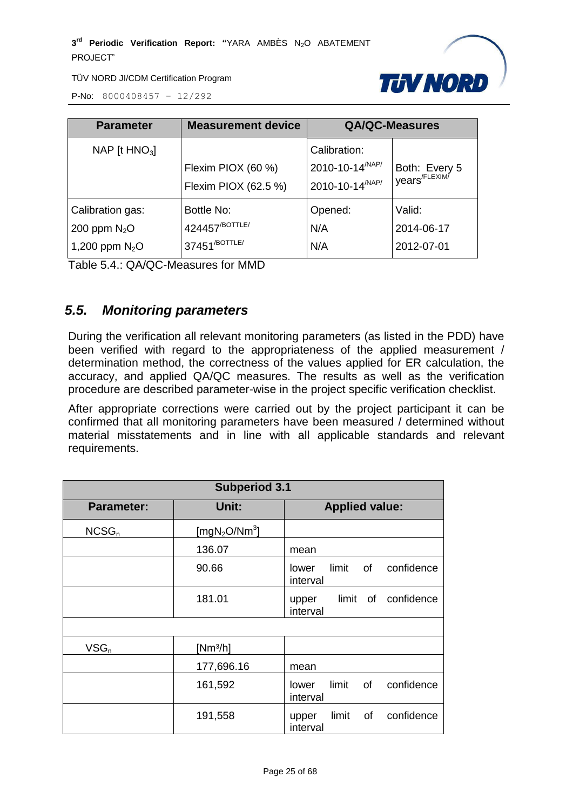

P-No: 8000408457 – 12/292

| <b>Parameter</b>                                       | <b>Measurement device</b>                                             |                                                                        | <b>QA/QC-Measures</b>                      |
|--------------------------------------------------------|-----------------------------------------------------------------------|------------------------------------------------------------------------|--------------------------------------------|
| NAP [t $HNO3$ ]                                        | Flexim PIOX (60 %)<br>Flexim PIOX (62.5 %)                            | Calibration:<br>2010-10-14 <sup>/NAP/</sup><br>$12010 - 10 - 14^{NAP}$ | Both: Every 5<br>years <sup>/FLEXIM/</sup> |
| Calibration gas:<br>200 ppm $N_2O$<br>1,200 ppm $N_2O$ | Bottle No:<br>424457 <sup>/BOTTLE/</sup><br>37451 <sup>/BOTTLE/</sup> | Opened:<br>N/A<br>N/A                                                  | Valid:<br>2014-06-17<br>2012-07-01         |

Table 5.4.: QA/QC-Measures for MMD

# <span id="page-24-0"></span>*5.5. Monitoring parameters*

During the verification all relevant monitoring parameters (as listed in the PDD) have been verified with regard to the appropriateness of the applied measurement / determination method, the correctness of the values applied for ER calculation, the accuracy, and applied QA/QC measures. The results as well as the verification procedure are described parameter-wise in the project specific verification checklist.

After appropriate corrections were carried out by the project participant it can be confirmed that all monitoring parameters have been measured / determined without material misstatements and in line with all applicable standards and relevant requirements.

| <b>Subperiod 3.1</b> |                                       |                                                |  |
|----------------------|---------------------------------------|------------------------------------------------|--|
| <b>Parameter:</b>    | Unit:                                 | <b>Applied value:</b>                          |  |
| NCSG <sub>n</sub>    | [mgN <sub>2</sub> O/Nm <sup>3</sup> ] |                                                |  |
|                      | 136.07                                | mean                                           |  |
|                      | 90.66                                 | limit of<br>confidence<br>lower<br>interval    |  |
|                      | 181.01                                | limit of confidence<br>upper<br>interval       |  |
|                      |                                       |                                                |  |
| $VSG_n$              | $[Nm^3/h]$                            |                                                |  |
|                      | 177,696.16                            | mean                                           |  |
|                      | 161,592                               | limit of<br>confidence<br>lower<br>interval    |  |
|                      | 191,558                               | of<br>confidence<br>limit<br>upper<br>interval |  |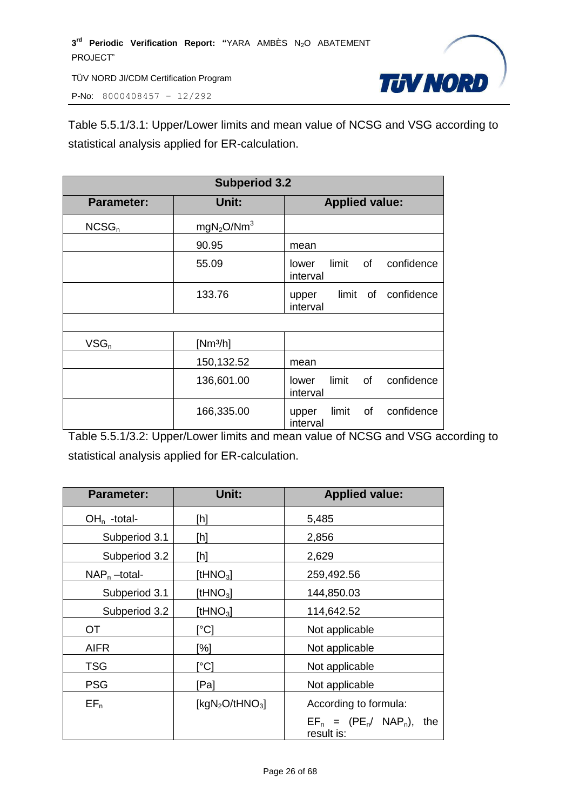P-No: 8000408457 – 12/292



Table 5.5.1/3.1: Upper/Lower limits and mean value of NCSG and VSG according to statistical analysis applied for ER-calculation.

| <b>Subperiod 3.2</b> |                                    |                                                |
|----------------------|------------------------------------|------------------------------------------------|
| <b>Parameter:</b>    | Unit:                              | <b>Applied value:</b>                          |
| NCSG <sub>n</sub>    | mgN <sub>2</sub> O/Nm <sup>3</sup> |                                                |
|                      | 90.95                              | mean                                           |
|                      | 55.09                              | limit of<br>confidence<br>lower<br>interval    |
|                      | 133.76                             | limit of<br>confidence<br>upper<br>interval    |
|                      |                                    |                                                |
| $VSG_n$              | [ $Nm3/h$ ]                        |                                                |
|                      | 150,132.52                         | mean                                           |
|                      | 136,601.00                         | limit<br>of<br>confidence<br>lower<br>interval |
|                      | 166,335.00                         | confidence<br>of<br>limit<br>upper<br>interval |

Table 5.5.1/3.2: Upper/Lower limits and mean value of NCSG and VSG according to statistical analysis applied for ER-calculation.

| <b>Parameter:</b> | Unit:             | <b>Applied value:</b>                          |  |
|-------------------|-------------------|------------------------------------------------|--|
| $OHn$ -total-     | [h]               | 5,485                                          |  |
| Subperiod 3.1     | [h]               | 2,856                                          |  |
| Subperiod 3.2     | [h]               | 2,629                                          |  |
| $NAP_n$ -total-   | [t $HNO3$ ]       | 259,492.56                                     |  |
| Subperiod 3.1     | [t $HNO3$ ]       | 144,850.03                                     |  |
| Subperiod 3.2     | [t $HNO3$ ]       | 114,642.52                                     |  |
| <b>OT</b>         | [°C]              | Not applicable                                 |  |
| <b>AIFR</b>       | [%]               | Not applicable                                 |  |
| <b>TSG</b>        | [°C]              | Not applicable                                 |  |
| <b>PSG</b>        | [Pa]              | Not applicable                                 |  |
| $EF_n$            | [ $kgN2O/tHNO3$ ] | According to formula:                          |  |
|                   |                   | $EF_n = (PE_n / NAP_n)$ ,<br>the<br>result is: |  |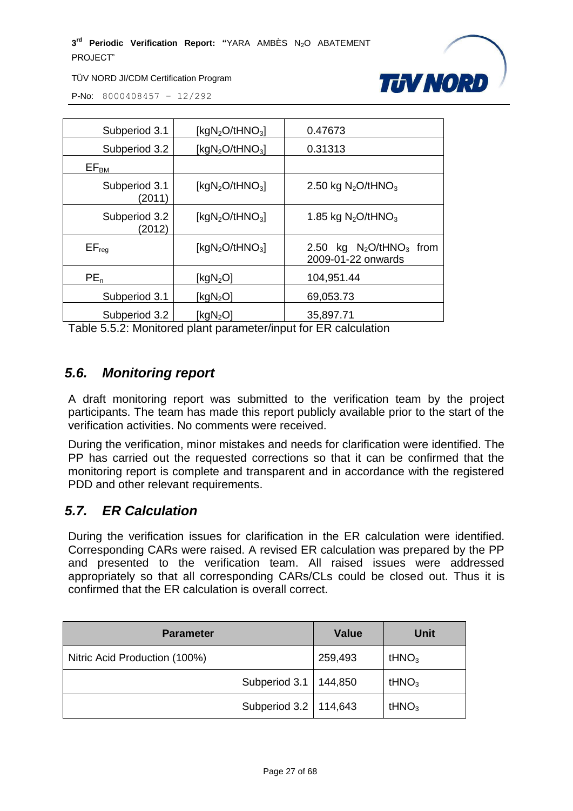

TÜV NORD JI/CDM Certification Program

P-No: 8000408457 – 12/292

| Subperiod 3.1           | [ $kgN_2O$ /tHNO <sub>3</sub> ] | 0.47673                                                      |
|-------------------------|---------------------------------|--------------------------------------------------------------|
| Subperiod 3.2           | [ $kgN2O/tHNO3$ ]               | 0.31313                                                      |
| $EF_{BM}$               |                                 |                                                              |
| Subperiod 3.1<br>(2011) | [ $kgN2O/tHNO3$ ]               | 2.50 kg $N_2$ O/tHNO <sub>3</sub>                            |
| Subperiod 3.2<br>(2012) | [ $kgN_2O/tHNO_3$ ]             | 1.85 kg $N_2O$ /tHNO <sub>3</sub>                            |
| $EF_{\text{rea}}$       | [ $kgN_2O$ /tHNO <sub>3</sub> ] | 2.50 kg $N_2$ O/tHNO <sub>3</sub> from<br>2009-01-22 onwards |
| $PE_n$                  | [ $kgN2O$ ]                     | 104,951.44                                                   |
| Subperiod 3.1           | [ $kgN2O$ ]                     | 69,053.73                                                    |
| Subperiod 3.2           | [ $kgN2O$ ]                     | 35,897.71                                                    |

Table 5.5.2: Monitored plant parameter/input for ER calculation

#### <span id="page-26-0"></span>*5.6. Monitoring report*

A draft monitoring report was submitted to the verification team by the project participants. The team has made this report publicly available prior to the start of the verification activities. No comments were received.

During the verification, minor mistakes and needs for clarification were identified. The PP has carried out the requested corrections so that it can be confirmed that the monitoring report is complete and transparent and in accordance with the registered PDD and other relevant requirements.

#### <span id="page-26-1"></span>*5.7. ER Calculation*

During the verification issues for clarification in the ER calculation were identified. Corresponding CARs were raised. A revised ER calculation was prepared by the PP and presented to the verification team. All raised issues were addressed appropriately so that all corresponding CARs/CLs could be closed out. Thus it is confirmed that the ER calculation is overall correct.

| <b>Parameter</b>              | <b>Value</b> | <b>Unit</b>       |
|-------------------------------|--------------|-------------------|
| Nitric Acid Production (100%) | 259,493      | tHNO <sub>3</sub> |
| Subperiod 3.1   144,850       |              | tHNO <sub>3</sub> |
| Subperiod 3.2   114,643       |              | tHNO <sub>3</sub> |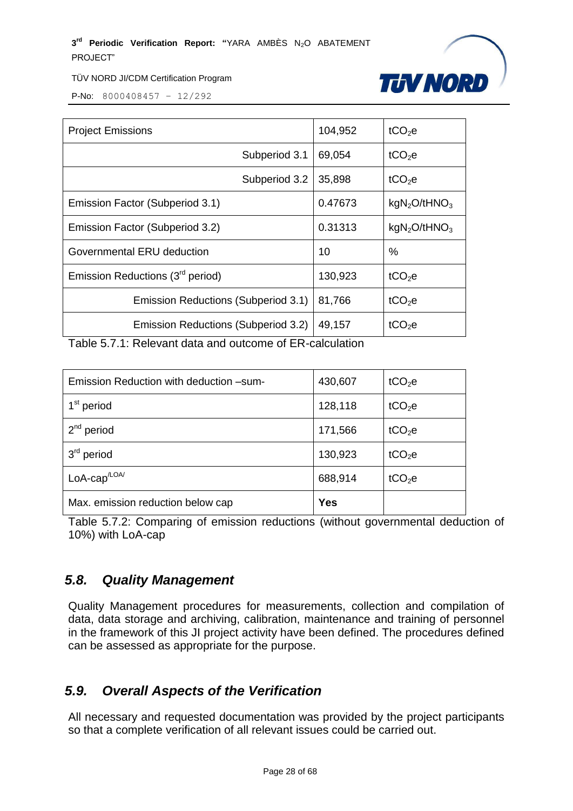

TÜV NORD JI/CDM Certification Program

P-No: 8000408457 – 12/292

| <b>Project Emissions</b>                     | 104,952 | tCO <sub>2</sub> e                   |
|----------------------------------------------|---------|--------------------------------------|
| Subperiod 3.1                                | 69,054  | $tCO2$ e                             |
| Subperiod 3.2                                | 35,898  | $tCO2$ e                             |
| Emission Factor (Subperiod 3.1)              | 0.47673 | kgN <sub>2</sub> O/tHNO <sub>3</sub> |
| Emission Factor (Subperiod 3.2)              | 0.31313 | kgN <sub>2</sub> O/tHNO <sub>3</sub> |
| Governmental ERU deduction                   | 10      | $\%$                                 |
| Emission Reductions (3 <sup>rd</sup> period) | 130,923 | $tCO2$ e                             |
| Emission Reductions (Subperiod 3.1)          | 81,766  | tCO <sub>2</sub> e                   |
| Emission Reductions (Subperiod 3.2)          | 49,157  | tCO <sub>2</sub> e                   |

Table 5.7.1: Relevant data and outcome of ER-calculation

| Emission Reduction with deduction -sum- | 430,607    | tCO <sub>2</sub> e |
|-----------------------------------------|------------|--------------------|
| 1 <sup>st</sup> period                  | 128,118    | tCO <sub>2</sub> e |
| $2^{nd}$ period                         | 171,566    | tCO <sub>2</sub> e |
| $3rd$ period                            | 130,923    | tCO <sub>2</sub> e |
| $LoA-cap/LOA/$                          | 688,914    | $tCO2$ e           |
| Max. emission reduction below cap       | <b>Yes</b> |                    |

Table 5.7.2: Comparing of emission reductions (without governmental deduction of 10%) with LoA-cap

# <span id="page-27-0"></span>*5.8. Quality Management*

Quality Management procedures for measurements, collection and compilation of data, data storage and archiving, calibration, maintenance and training of personnel in the framework of this JI project activity have been defined. The procedures defined can be assessed as appropriate for the purpose.

# <span id="page-27-1"></span>*5.9. Overall Aspects of the Verification*

All necessary and requested documentation was provided by the project participants so that a complete verification of all relevant issues could be carried out.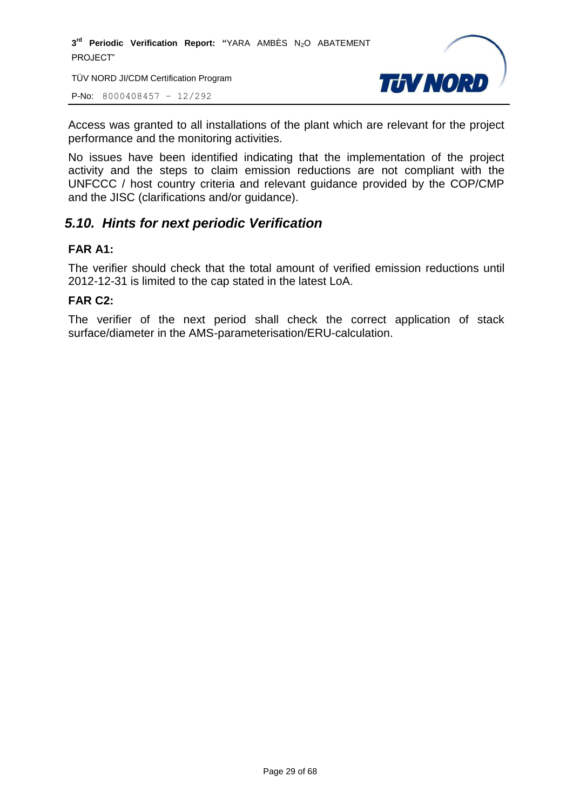TÜV NORD JI/CDM Certification Program

P-No: 8000408457 – 12/292



Access was granted to all installations of the plant which are relevant for the project performance and the monitoring activities.

No issues have been identified indicating that the implementation of the project activity and the steps to claim emission reductions are not compliant with the UNFCCC / host country criteria and relevant guidance provided by the COP/CMP and the JISC (clarifications and/or guidance).

# <span id="page-28-0"></span>*5.10. Hints for next periodic Verification*

#### **FAR A1:**

The verifier should check that the total amount of verified emission reductions until 2012-12-31 is limited to the cap stated in the latest LoA.

#### **FAR C2:**

The verifier of the next period shall check the correct application of stack surface/diameter in the AMS-parameterisation/ERU-calculation.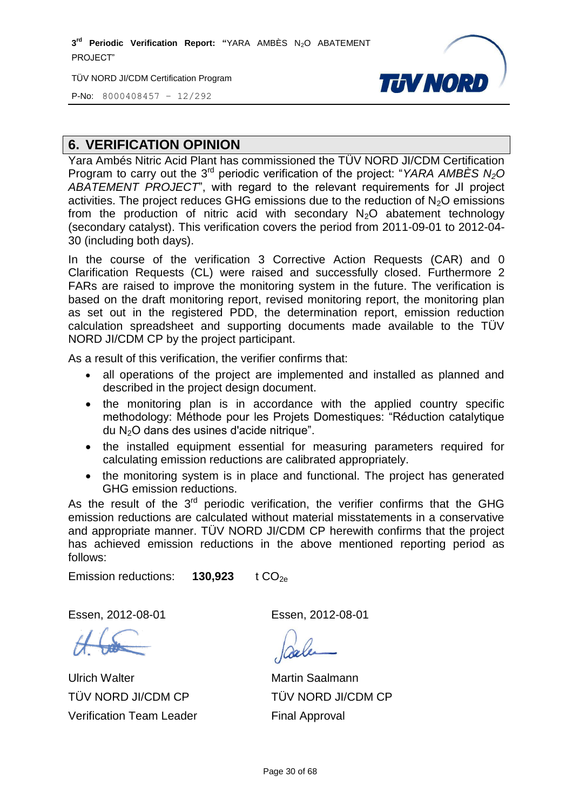TÜV NORD JI/CDM Certification Program

**THV NORD** 

P-No: 8000408457 – 12/292

# <span id="page-29-0"></span>**6. VERIFICATION OPINION**

Yara Ambés Nitric Acid Plant has commissioned the TÜV NORD JI/CDM Certification Program to carry out the 3<sup>rd</sup> periodic verification of the project: "YARA AMBES N<sub>2</sub>O *ABATEMENT PROJECT*", with regard to the relevant requirements for JI project activities. The project reduces GHG emissions due to the reduction of  $N_2O$  emissions from the production of nitric acid with secondary  $N_2O$  abatement technology (secondary catalyst). This verification covers the period from 2011-09-01 to 2012-04- 30 (including both days).

In the course of the verification 3 Corrective Action Requests (CAR) and 0 Clarification Requests (CL) were raised and successfully closed. Furthermore 2 FARs are raised to improve the monitoring system in the future. The verification is based on the draft monitoring report, revised monitoring report, the monitoring plan as set out in the registered PDD, the determination report, emission reduction calculation spreadsheet and supporting documents made available to the TÜV NORD JI/CDM CP by the project participant.

As a result of this verification, the verifier confirms that:

- all operations of the project are implemented and installed as planned and described in the project design document.
- the monitoring plan is in accordance with the applied country specific methodology: Méthode pour les Projets Domestiques: "Réduction catalytique du N2O dans des usines d'acide nitrique".
- the installed equipment essential for measuring parameters required for calculating emission reductions are calibrated appropriately.
- the monitoring system is in place and functional. The project has generated GHG emission reductions.

As the result of the  $3<sup>rd</sup>$  periodic verification, the verifier confirms that the GHG emission reductions are calculated without material misstatements in a conservative and appropriate manner. TÜV NORD JI/CDM CP herewith confirms that the project has achieved emission reductions in the above mentioned reporting period as follows:

Emission reductions: **130,923** t CO<sub>2e</sub>

Essen, 2012-08-01 Essen, 2012-08-01

Ulrich Walter TÜV NORD JI/CDM CP Verification Team Leader

Martin Saalmann TÜV NORD JI/CDM CP Final Approval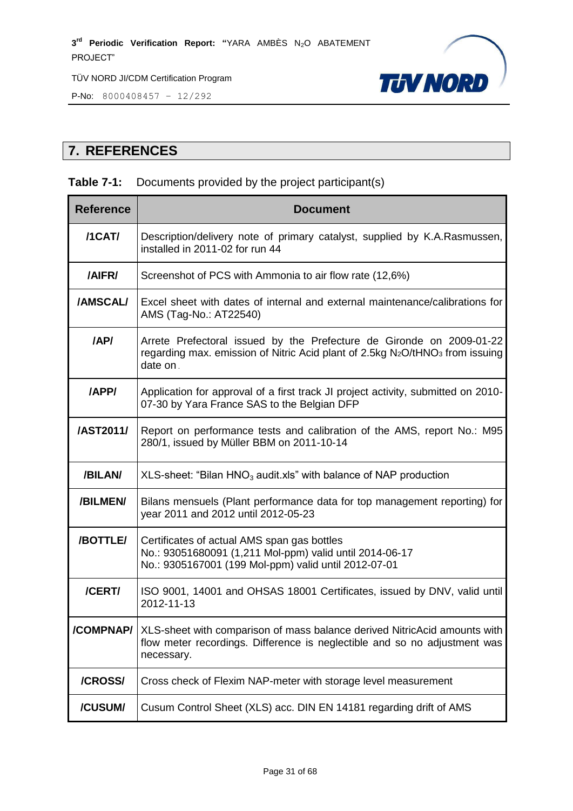

P-No: 8000408457 – 12/292

# <span id="page-30-0"></span>**7. REFERENCES**

#### **Table 7-1:** Documents provided by the project participant(s)

| <b>Reference</b> | <b>Document</b>                                                                                                                                                                           |  |  |
|------------------|-------------------------------------------------------------------------------------------------------------------------------------------------------------------------------------------|--|--|
| /1CAT/           | Description/delivery note of primary catalyst, supplied by K.A.Rasmussen,<br>installed in 2011-02 for run 44                                                                              |  |  |
| /AIFR/           | Screenshot of PCS with Ammonia to air flow rate (12,6%)                                                                                                                                   |  |  |
| /AMSCAL/         | Excel sheet with dates of internal and external maintenance/calibrations for<br>AMS (Tag-No.: AT22540)                                                                                    |  |  |
| /AP/             | Arrete Prefectoral issued by the Prefecture de Gironde on 2009-01-22<br>regarding max. emission of Nitric Acid plant of 2.5kg N <sub>2</sub> O/tHNO <sub>3</sub> from issuing<br>date on. |  |  |
| /APP/            | Application for approval of a first track JI project activity, submitted on 2010-<br>07-30 by Yara France SAS to the Belgian DFP                                                          |  |  |
| /AST2011/        | Report on performance tests and calibration of the AMS, report No.: M95<br>280/1, issued by Müller BBM on 2011-10-14                                                                      |  |  |
| /BILAN/          | $XLS$ -sheet: "Bilan HNO <sub>3</sub> audit.xls" with balance of NAP production                                                                                                           |  |  |
| /BILMEN/         | Bilans mensuels (Plant performance data for top management reporting) for<br>year 2011 and 2012 until 2012-05-23                                                                          |  |  |
| /BOTTLE/         | Certificates of actual AMS span gas bottles<br>No.: 93051680091 (1,211 Mol-ppm) valid until 2014-06-17<br>No.: 9305167001 (199 Mol-ppm) valid until 2012-07-01                            |  |  |
| /CERT/           | ISO 9001, 14001 and OHSAS 18001 Certificates, issued by DNV, valid until<br>2012-11-13                                                                                                    |  |  |
|                  | <b>/COMPNAP/</b> XLS-sheet with comparison of mass balance derived NitricAcid amounts with<br>flow meter recordings. Difference is neglectible and so no adjustment was<br>necessary.     |  |  |
| /CROSS/          | Cross check of Flexim NAP-meter with storage level measurement                                                                                                                            |  |  |
| /CUSUM/          | Cusum Control Sheet (XLS) acc. DIN EN 14181 regarding drift of AMS                                                                                                                        |  |  |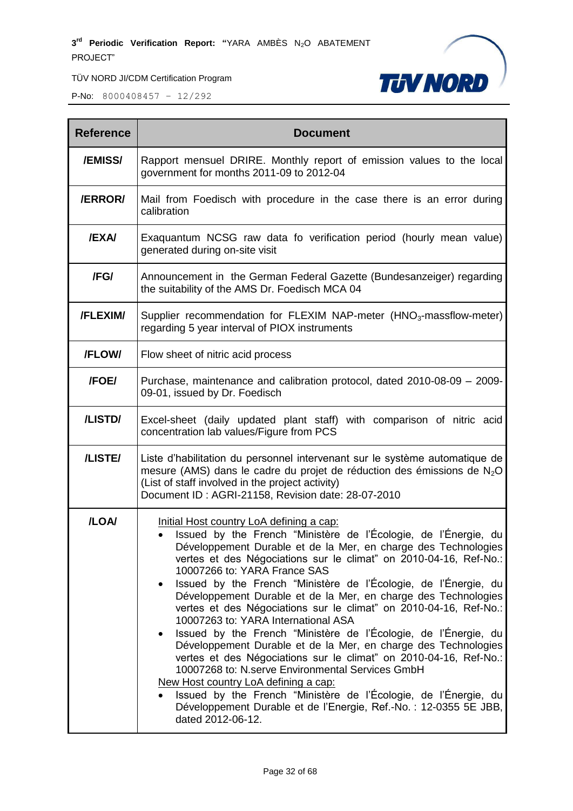

| <b>Reference</b> | <b>Document</b>                                                                                                                                                                                                                                                                                                                                                                                                                                                                                                                                                                                                                                                                                                                                                                                                                                                                                                                                                                                               |  |
|------------------|---------------------------------------------------------------------------------------------------------------------------------------------------------------------------------------------------------------------------------------------------------------------------------------------------------------------------------------------------------------------------------------------------------------------------------------------------------------------------------------------------------------------------------------------------------------------------------------------------------------------------------------------------------------------------------------------------------------------------------------------------------------------------------------------------------------------------------------------------------------------------------------------------------------------------------------------------------------------------------------------------------------|--|
| /EMISS/          | Rapport mensuel DRIRE. Monthly report of emission values to the local<br>government for months 2011-09 to 2012-04                                                                                                                                                                                                                                                                                                                                                                                                                                                                                                                                                                                                                                                                                                                                                                                                                                                                                             |  |
| <b>/ERROR/</b>   | Mail from Foedisch with procedure in the case there is an error during<br>calibration                                                                                                                                                                                                                                                                                                                                                                                                                                                                                                                                                                                                                                                                                                                                                                                                                                                                                                                         |  |
| <b>/EXA/</b>     | Exaquantum NCSG raw data fo verification period (hourly mean value)<br>generated during on-site visit                                                                                                                                                                                                                                                                                                                                                                                                                                                                                                                                                                                                                                                                                                                                                                                                                                                                                                         |  |
| /FG/             | Announcement in the German Federal Gazette (Bundesanzeiger) regarding<br>the suitability of the AMS Dr. Foedisch MCA 04                                                                                                                                                                                                                                                                                                                                                                                                                                                                                                                                                                                                                                                                                                                                                                                                                                                                                       |  |
| /FLEXIM/         | Supplier recommendation for FLEXIM NAP-meter (HNO <sub>3</sub> -massflow-meter)<br>regarding 5 year interval of PIOX instruments                                                                                                                                                                                                                                                                                                                                                                                                                                                                                                                                                                                                                                                                                                                                                                                                                                                                              |  |
| /FLOW/           | Flow sheet of nitric acid process                                                                                                                                                                                                                                                                                                                                                                                                                                                                                                                                                                                                                                                                                                                                                                                                                                                                                                                                                                             |  |
| <b>/FOE/</b>     | Purchase, maintenance and calibration protocol, dated 2010-08-09 - 2009-<br>09-01, issued by Dr. Foedisch                                                                                                                                                                                                                                                                                                                                                                                                                                                                                                                                                                                                                                                                                                                                                                                                                                                                                                     |  |
| /LISTD/          | Excel-sheet (daily updated plant staff) with comparison of nitric acid<br>concentration lab values/Figure from PCS                                                                                                                                                                                                                                                                                                                                                                                                                                                                                                                                                                                                                                                                                                                                                                                                                                                                                            |  |
| /LISTE/          | Liste d'habilitation du personnel intervenant sur le système automatique de<br>mesure (AMS) dans le cadre du projet de réduction des émissions de $N_2O$<br>(List of staff involved in the project activity)<br>Document ID: AGRI-21158, Revision date: 28-07-2010                                                                                                                                                                                                                                                                                                                                                                                                                                                                                                                                                                                                                                                                                                                                            |  |
| /LOA/            | Initial Host country LoA defining a cap:<br>Issued by the French "Ministère de l'Écologie, de l'Énergie, du<br>Développement Durable et de la Mer, en charge des Technologies<br>vertes et des Négociations sur le climat" on 2010-04-16, Ref-No.:<br>10007266 to: YARA France SAS<br>Issued by the French "Ministère de l'Écologie, de l'Énergie, du<br>Développement Durable et de la Mer, en charge des Technologies<br>vertes et des Négociations sur le climat" on 2010-04-16, Ref-No.:<br>10007263 to: YARA International ASA<br>Issued by the French "Ministère de l'Écologie, de l'Énergie, du<br>Développement Durable et de la Mer, en charge des Technologies<br>vertes et des Négociations sur le climat" on 2010-04-16, Ref-No.:<br>10007268 to: N.serve Environmental Services GmbH<br><u>New Host country LoA defining a cap:</u><br>Issued by the French "Ministère de l'Écologie, de l'Énergie, du<br>Développement Durable et de l'Energie, Ref.-No. : 12-0355 5E JBB,<br>dated 2012-06-12. |  |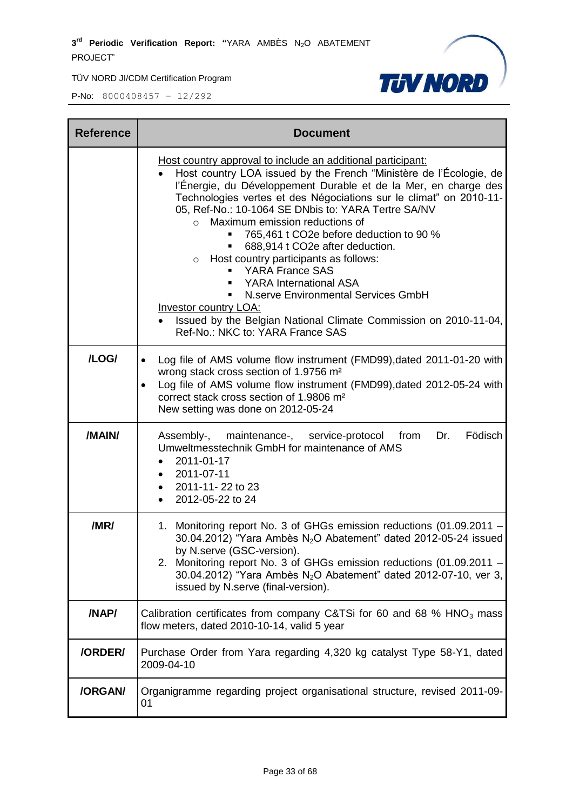

| <b>Reference</b> | <b>Document</b>                                                                                                                                                                                                                                                                                                                                                                                                                                                                                                                                                                                                                                                                                                                                                                          |  |
|------------------|------------------------------------------------------------------------------------------------------------------------------------------------------------------------------------------------------------------------------------------------------------------------------------------------------------------------------------------------------------------------------------------------------------------------------------------------------------------------------------------------------------------------------------------------------------------------------------------------------------------------------------------------------------------------------------------------------------------------------------------------------------------------------------------|--|
|                  | Host country approval to include an additional participant:<br>Host country LOA issued by the French "Ministère de l'Écologie, de<br>l'Énergie, du Développement Durable et de la Mer, en charge des<br>Technologies vertes et des Négociations sur le climat" on 2010-11-<br>05, Ref-No.: 10-1064 SE DNbis to: YARA Tertre SA/NV<br>Maximum emission reductions of<br>$\circ$<br>765,461 t CO2e before deduction to 90 %<br>688,914 t CO2e after deduction.<br>o Host country participants as follows:<br><b>YARA France SAS</b><br>٠<br><b>YARA International ASA</b><br>$\mathbf{r}$<br>N.serve Environmental Services GmbH<br>$\blacksquare$<br><b>Investor country LOA:</b><br>Issued by the Belgian National Climate Commission on 2010-11-04,<br>Ref-No.: NKC to: YARA France SAS |  |
| /LOG/            | Log file of AMS volume flow instrument (FMD99), dated 2011-01-20 with<br>$\bullet$<br>wrong stack cross section of 1.9756 m <sup>2</sup><br>Log file of AMS volume flow instrument (FMD99), dated 2012-05-24 with<br>$\bullet$<br>correct stack cross section of 1.9806 m <sup>2</sup><br>New setting was done on 2012-05-24                                                                                                                                                                                                                                                                                                                                                                                                                                                             |  |
| /MAIN/           | Assembly-, maintenance-, service-protocol from<br>Dr.<br>Födisch<br>Umweltmesstechnik GmbH for maintenance of AMS<br>2011-01-17<br>2011-07-11<br>2011-11-22 to 23<br>2012-05-22 to 24                                                                                                                                                                                                                                                                                                                                                                                                                                                                                                                                                                                                    |  |
| /MR/             | 1. Monitoring report No. 3 of GHGs emission reductions (01.09.2011 -<br>30.04.2012) "Yara Ambès N <sub>2</sub> O Abatement" dated 2012-05-24 issued<br>by N.serve (GSC-version).<br>2. Monitoring report No. 3 of GHGs emission reductions (01.09.2011 -<br>30.04.2012) "Yara Ambès N <sub>2</sub> O Abatement" dated 2012-07-10, ver 3,<br>issued by N.serve (final-version).                                                                                                                                                                                                                                                                                                                                                                                                           |  |
| /NAP/            | Calibration certificates from company C&TSi for 60 and 68 % $HNO3$ mass<br>flow meters, dated 2010-10-14, valid 5 year                                                                                                                                                                                                                                                                                                                                                                                                                                                                                                                                                                                                                                                                   |  |
| /ORDER/          | Purchase Order from Yara regarding 4,320 kg catalyst Type 58-Y1, dated<br>2009-04-10                                                                                                                                                                                                                                                                                                                                                                                                                                                                                                                                                                                                                                                                                                     |  |
| /ORGAN/          | Organigramme regarding project organisational structure, revised 2011-09-<br>01                                                                                                                                                                                                                                                                                                                                                                                                                                                                                                                                                                                                                                                                                                          |  |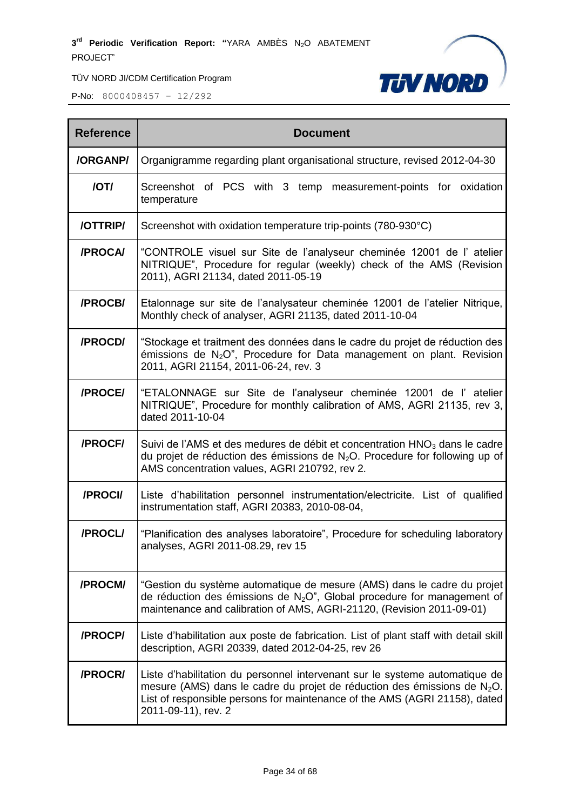

| <b>Reference</b> | <b>Document</b>                                                                                                                                                                                                                                                 |  |
|------------------|-----------------------------------------------------------------------------------------------------------------------------------------------------------------------------------------------------------------------------------------------------------------|--|
| /ORGANP/         | Organigramme regarding plant organisational structure, revised 2012-04-30                                                                                                                                                                                       |  |
| /OT/             | Screenshot of PCS with 3 temp measurement-points for oxidation<br>temperature                                                                                                                                                                                   |  |
| /OTTRIP/         | Screenshot with oxidation temperature trip-points (780-930°C)                                                                                                                                                                                                   |  |
| /PROCA/          | "CONTROLE visuel sur Site de l'analyseur cheminée 12001 de l'atelier<br>NITRIQUE", Procedure for regular (weekly) check of the AMS (Revision<br>2011), AGRI 21134, dated 2011-05-19                                                                             |  |
| /PROCB/          | Etalonnage sur site de l'analysateur cheminée 12001 de l'atelier Nitrique,<br>Monthly check of analyser, AGRI 21135, dated 2011-10-04                                                                                                                           |  |
| /PROCD/          | "Stockage et traitment des données dans le cadre du projet de réduction des<br>émissions de $N_2O$ ", Procedure for Data management on plant. Revision<br>2011, AGRI 21154, 2011-06-24, rev. 3                                                                  |  |
| /PROCE/          | "ETALONNAGE sur Site de l'analyseur cheminée 12001 de l'atelier<br>NITRIQUE", Procedure for monthly calibration of AMS, AGRI 21135, rev 3,<br>dated 2011-10-04                                                                                                  |  |
| /PROCF/          | Suivi de l'AMS et des medures de débit et concentration HNO <sub>3</sub> dans le cadre<br>du projet de réduction des émissions de $N_2O$ . Procedure for following up of<br>AMS concentration values, AGRI 210792, rev 2.                                       |  |
| /PROCI/          | Liste d'habilitation personnel instrumentation/electricite. List of qualified<br>instrumentation staff, AGRI 20383, 2010-08-04,                                                                                                                                 |  |
| /PROCL/          | "Planification des analyses laboratoire", Procedure for scheduling laboratory<br>analyses, AGRI 2011-08.29, rev 15                                                                                                                                              |  |
| /PROCM/          | "Gestion du système automatique de mesure (AMS) dans le cadre du projet<br>de réduction des émissions de $N_2O^{\prime\prime}$ , Global procedure for management of<br>maintenance and calibration of AMS, AGRI-21120, (Revision 2011-09-01)                    |  |
| /PROCP/          | Liste d'habilitation aux poste de fabrication. List of plant staff with detail skill<br>description, AGRI 20339, dated 2012-04-25, rev 26                                                                                                                       |  |
| /PROCR/          | Liste d'habilitation du personnel intervenant sur le systeme automatique de<br>mesure (AMS) dans le cadre du projet de réduction des émissions de $N_2O$ .<br>List of responsible persons for maintenance of the AMS (AGRI 21158), dated<br>2011-09-11), rev. 2 |  |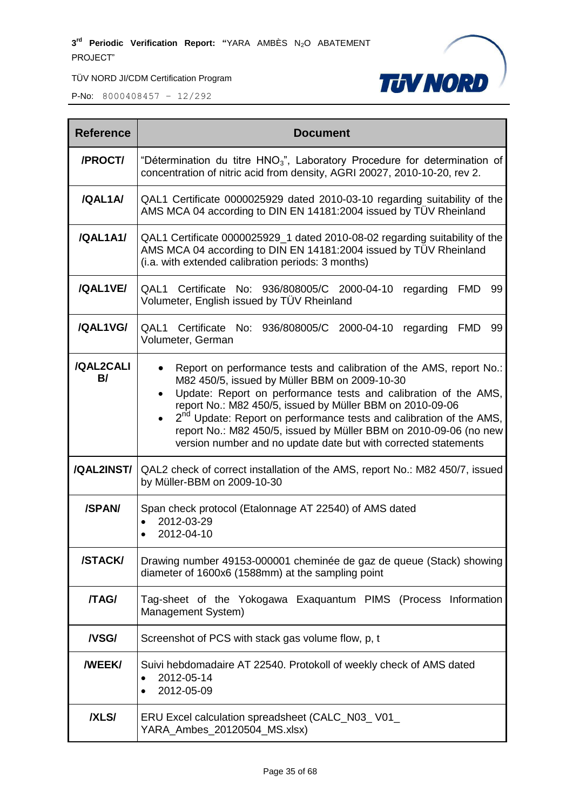

| <b>Reference</b>    | <b>Document</b>                                                                                                                                                                                                                                                                                                                                                                                                                                                                              |
|---------------------|----------------------------------------------------------------------------------------------------------------------------------------------------------------------------------------------------------------------------------------------------------------------------------------------------------------------------------------------------------------------------------------------------------------------------------------------------------------------------------------------|
| /PROCT/             | "Détermination du titre HNO <sub>3</sub> ", Laboratory Procedure for determination of<br>concentration of nitric acid from density, AGRI 20027, 2010-10-20, rev 2.                                                                                                                                                                                                                                                                                                                           |
| /QAL1A/             | QAL1 Certificate 0000025929 dated 2010-03-10 regarding suitability of the<br>AMS MCA 04 according to DIN EN 14181:2004 issued by TÜV Rheinland                                                                                                                                                                                                                                                                                                                                               |
| /QAL1A1/            | QAL1 Certificate 0000025929_1 dated 2010-08-02 regarding suitability of the<br>AMS MCA 04 according to DIN EN 14181:2004 issued by TÜV Rheinland<br>(i.a. with extended calibration periods: 3 months)                                                                                                                                                                                                                                                                                       |
| /QAL1VE/            | QAL1 Certificate No: 936/808005/C 2000-04-10<br>regarding FMD<br>99<br>Volumeter, English issued by TÜV Rheinland                                                                                                                                                                                                                                                                                                                                                                            |
| /QAL1VG/            | Certificate No: 936/808005/C 2000-04-10 regarding<br>QAL1<br>FMD<br>99<br>Volumeter, German                                                                                                                                                                                                                                                                                                                                                                                                  |
| /QAL2CALI<br>B/     | Report on performance tests and calibration of the AMS, report No.:<br>M82 450/5, issued by Müller BBM on 2009-10-30<br>Update: Report on performance tests and calibration of the AMS,<br>$\bullet$<br>report No.: M82 450/5, issued by Müller BBM on 2010-09-06<br>2 <sup>nd</sup> Update: Report on performance tests and calibration of the AMS,<br>report No.: M82 450/5, issued by Müller BBM on 2010-09-06 (no new<br>version number and no update date but with corrected statements |
| /QAL2INST/          | QAL2 check of correct installation of the AMS, report No.: M82 450/7, issued<br>by Müller-BBM on 2009-10-30                                                                                                                                                                                                                                                                                                                                                                                  |
| /SPAN/              | Span check protocol (Etalonnage AT 22540) of AMS dated<br>2012-03-29<br>$\bullet$<br>2012-04-10                                                                                                                                                                                                                                                                                                                                                                                              |
| /STACK/             | Drawing number 49153-000001 cheminée de gaz de queue (Stack) showing<br>diameter of 1600x6 (1588mm) at the sampling point                                                                                                                                                                                                                                                                                                                                                                    |
| /TAG/               | Tag-sheet of the Yokogawa Exaquantum PIMS (Process Information<br>Management System)                                                                                                                                                                                                                                                                                                                                                                                                         |
| <b>NSG/</b>         | Screenshot of PCS with stack gas volume flow, p, t                                                                                                                                                                                                                                                                                                                                                                                                                                           |
| <b><i>NEEKI</i></b> | Suivi hebdomadaire AT 22540. Protokoll of weekly check of AMS dated<br>2012-05-14<br>$\bullet$<br>2012-05-09<br>$\bullet$                                                                                                                                                                                                                                                                                                                                                                    |
| <b>/XLS/</b>        | ERU Excel calculation spreadsheet (CALC_N03_V01_<br>YARA_Ambes_20120504_MS.xlsx)                                                                                                                                                                                                                                                                                                                                                                                                             |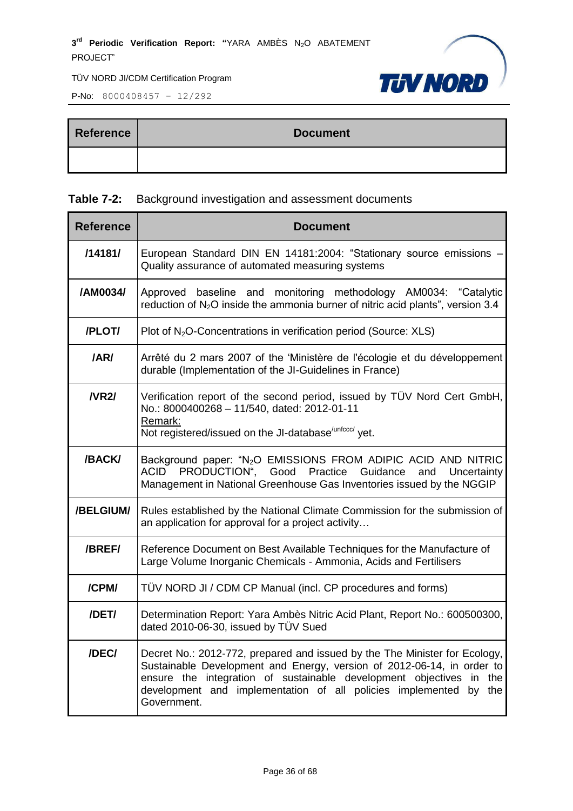P-No: 8000408457 – 12/292



| <b>Reference</b> | <b>Document</b> |
|------------------|-----------------|
|                  |                 |

#### **Table 7-2:** Background investigation and assessment documents

| <b>Reference</b> | <b>Document</b>                                                                                                                                                                                                                                                                                                       |  |  |
|------------------|-----------------------------------------------------------------------------------------------------------------------------------------------------------------------------------------------------------------------------------------------------------------------------------------------------------------------|--|--|
| /14181/          | European Standard DIN EN 14181:2004: "Stationary source emissions -<br>Quality assurance of automated measuring systems                                                                                                                                                                                               |  |  |
| /AM0034/         | Approved baseline and monitoring methodology AM0034: "Catalytic<br>reduction of $N_2O$ inside the ammonia burner of nitric acid plants", version 3.4                                                                                                                                                                  |  |  |
| /PLOT/           | Plot of $N_2O$ -Concentrations in verification period (Source: XLS)                                                                                                                                                                                                                                                   |  |  |
| /AR/             | Arrêté du 2 mars 2007 of the 'Ministère de l'écologie et du développement<br>durable (Implementation of the JI-Guidelines in France)                                                                                                                                                                                  |  |  |
| <b>NR2/</b>      | Verification report of the second period, issued by TÜV Nord Cert GmbH,<br>No.: 8000400268 - 11/540, dated: 2012-01-11<br>Remark:<br>Not registered/issued on the JI-database <sup>/unfccc/</sup> yet.                                                                                                                |  |  |
| /BACK/           | Background paper: "N <sub>2</sub> O EMISSIONS FROM ADIPIC ACID AND NITRIC<br>ACID<br>PRODUCTION", Good<br>Practice<br>Guidance<br>Uncertainty<br>and<br>Management in National Greenhouse Gas Inventories issued by the NGGIP                                                                                         |  |  |
| /BELGIUM/        | Rules established by the National Climate Commission for the submission of<br>an application for approval for a project activity                                                                                                                                                                                      |  |  |
| /BREF/           | Reference Document on Best Available Techniques for the Manufacture of<br>Large Volume Inorganic Chemicals - Ammonia, Acids and Fertilisers                                                                                                                                                                           |  |  |
| /CPM/            | TÜV NORD JI / CDM CP Manual (incl. CP procedures and forms)                                                                                                                                                                                                                                                           |  |  |
| /DET/            | Determination Report: Yara Ambès Nitric Acid Plant, Report No.: 600500300,<br>dated 2010-06-30, issued by TÜV Sued                                                                                                                                                                                                    |  |  |
| /DEC/            | Decret No.: 2012-772, prepared and issued by the The Minister for Ecology,<br>Sustainable Development and Energy, version of 2012-06-14, in order to<br>ensure the integration of sustainable development objectives in<br>the<br>development and implementation of all policies implemented by<br>the<br>Government. |  |  |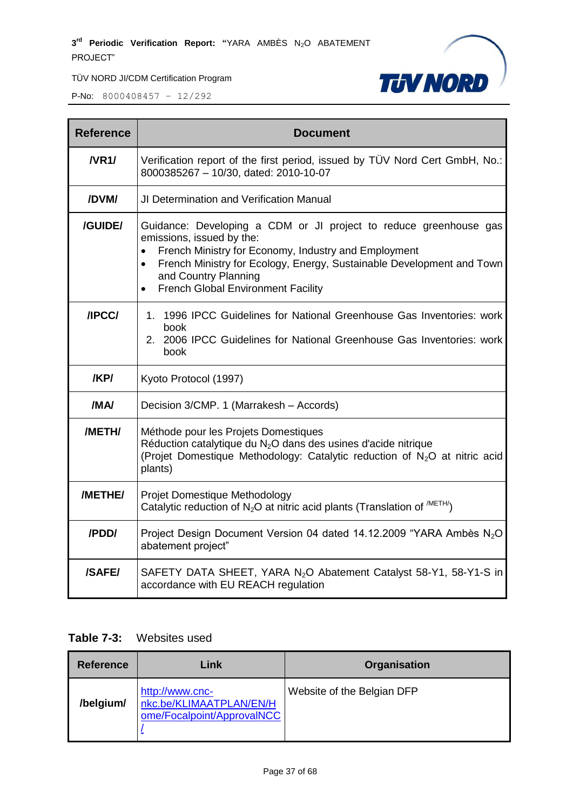

P-No: 8000408457 – 12/292

| <b>Reference</b> | <b>Document</b>                                                                                                                                                                                                                                                                                      |
|------------------|------------------------------------------------------------------------------------------------------------------------------------------------------------------------------------------------------------------------------------------------------------------------------------------------------|
| N <sub>R1</sub>  | Verification report of the first period, issued by TÜV Nord Cert GmbH, No.:<br>8000385267 - 10/30, dated: 2010-10-07                                                                                                                                                                                 |
| /DVM/            | <b>JI Determination and Verification Manual</b>                                                                                                                                                                                                                                                      |
| /GUIDE/          | Guidance: Developing a CDM or JI project to reduce greenhouse gas<br>emissions, issued by the:<br>French Ministry for Economy, Industry and Employment<br>French Ministry for Ecology, Energy, Sustainable Development and Town<br>and Country Planning<br><b>French Global Environment Facility</b> |
| <b>/IPCC/</b>    | 1. 1996 IPCC Guidelines for National Greenhouse Gas Inventories: work<br>book<br>2. 2006 IPCC Guidelines for National Greenhouse Gas Inventories: work<br>book                                                                                                                                       |
| /KP/             | Kyoto Protocol (1997)                                                                                                                                                                                                                                                                                |
| /MA/             | Decision 3/CMP. 1 (Marrakesh - Accords)                                                                                                                                                                                                                                                              |
| /METH/           | Méthode pour les Projets Domestiques<br>Réduction catalytique du N <sub>2</sub> O dans des usines d'acide nitrique<br>(Projet Domestique Methodology: Catalytic reduction of N <sub>2</sub> O at nitric acid<br>plants)                                                                              |
| /METHE/          | Projet Domestique Methodology<br>Catalytic reduction of $N_2O$ at nitric acid plants (Translation of $^{METH/}$ )                                                                                                                                                                                    |
| /PDD/            | Project Design Document Version 04 dated 14.12.2009 "YARA Ambès N <sub>2</sub> O<br>abatement project"                                                                                                                                                                                               |
| /SAFE/           | SAFETY DATA SHEET, YARA N <sub>2</sub> O Abatement Catalyst 58-Y1, 58-Y1-S in<br>accordance with EU REACH regulation                                                                                                                                                                                 |

#### **Table 7-3:** Websites used

| <b>Reference</b> | Link                                                                     | <b>Organisation</b>        |
|------------------|--------------------------------------------------------------------------|----------------------------|
| /belgium/        | http://www.cnc-<br>nkc.be/KLIMAATPLAN/EN/H<br>ome/Focalpoint/ApprovalNCC | Website of the Belgian DFP |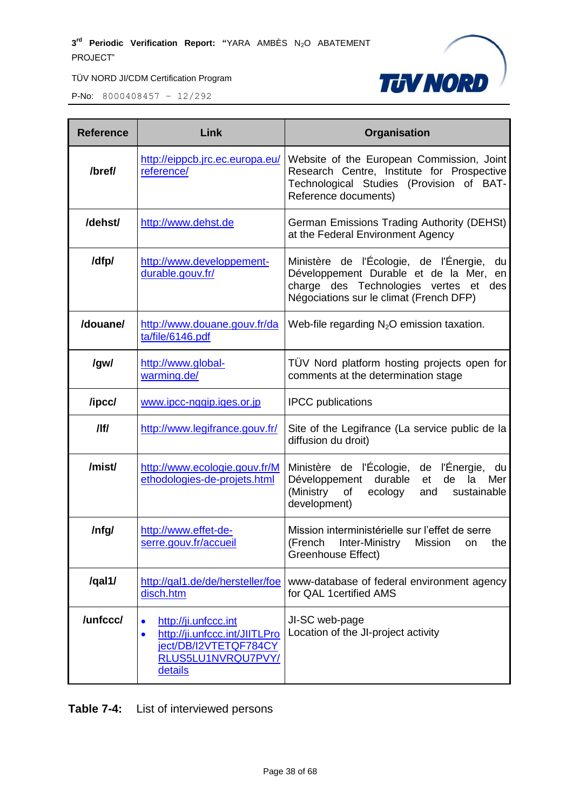

P-No: 8000408457 – 12/292

| <b>Reference</b> | Link                                                                                                                                      | Organisation                                                                                                                                                                  |
|------------------|-------------------------------------------------------------------------------------------------------------------------------------------|-------------------------------------------------------------------------------------------------------------------------------------------------------------------------------|
| /bref/           | http://eippcb.jrc.ec.europa.eu/<br>reference/                                                                                             | Website of the European Commission, Joint<br>Research Centre, Institute for Prospective<br>Technological Studies (Provision of BAT-<br>Reference documents)                   |
| /dehst/          | http://www.dehst.de                                                                                                                       | German Emissions Trading Authority (DEHSt)<br>at the Federal Environment Agency                                                                                               |
| /dfp/            | http://www.developpement-<br>durable.gouv.fr/                                                                                             | Ministère de l'Écologie, de l'Énergie,<br>du<br>Développement Durable et de la Mer,<br>en<br>charge des Technologies vertes et des<br>Négociations sur le climat (French DFP) |
| /douane/         | http://www.douane.gouv.fr/da<br>ta/file/6146.pdf                                                                                          | Web-file regarding $N_2O$ emission taxation.                                                                                                                                  |
| /gw/             | http://www.global-<br>warming.de/                                                                                                         | TÜV Nord platform hosting projects open for<br>comments at the determination stage                                                                                            |
| /ipcc/           | www.ipcc-nggip.iges.or.jp                                                                                                                 | <b>IPCC</b> publications                                                                                                                                                      |
| /                | http://www.legifrance.gouv.fr/                                                                                                            | Site of the Legifrance (La service public de la<br>diffusion du droit)                                                                                                        |
| /mist/           | http://www.ecologie.gouv.fr/M<br>ethodologies-de-projets.html                                                                             | Ministère de l'Écologie, de l'Énergie,<br>du<br>durable<br>Développement<br>de<br>Mer<br>et<br>la<br>(Ministry<br>of<br>ecology<br>sustainable<br>and<br>development)         |
| /nfg/            | http://www.effet-de-<br>serre.gouv.fr/accueil                                                                                             | Mission interministérielle sur l'effet de serre<br>(French<br>Inter-Ministry<br><b>Mission</b><br>the<br>on<br>Greenhouse Effect)                                             |
| /qal1/           | http://qal1.de/de/hersteller/foe<br>disch.htm                                                                                             | www-database of federal environment agency<br>for QAL 1 certified AMS                                                                                                         |
| /unfccc/         | http://ji.unfccc.int<br>$\bullet$<br>http://ji.unfccc.int/JIITLPro<br>$\bullet$<br>ject/DB/I2VTETQF784CY<br>RLUS5LU1NVRQU7PVY/<br>details | JI-SC web-page<br>Location of the JI-project activity                                                                                                                         |

**Table 7-4:** List of interviewed persons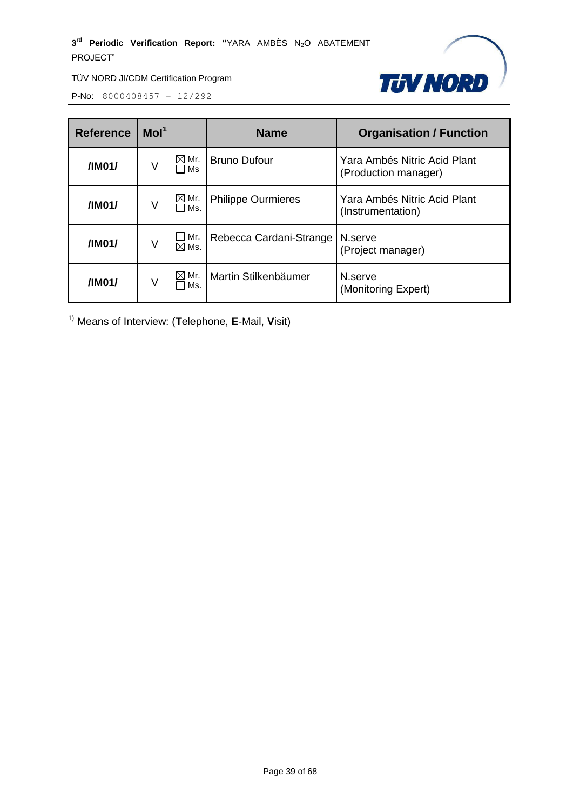

P-No: 8000408457 – 12/292

| <b>Reference</b>                               | Mol <sup>1</sup>                                                                                               |                        | <b>Name</b>               | <b>Organisation / Function</b>                       |
|------------------------------------------------|----------------------------------------------------------------------------------------------------------------|------------------------|---------------------------|------------------------------------------------------|
| /IM01/                                         | ٧                                                                                                              | $\boxtimes$ Mr.<br>Ms  | <b>Bruno Dufour</b>       | Yara Ambés Nitric Acid Plant<br>(Production manager) |
| $\boxtimes$ Mr.<br>/IM01/<br>٧<br>$\sqcap$ Ms. |                                                                                                                |                        | <b>Philippe Ourmieres</b> | Yara Ambés Nitric Acid Plant<br>(Instrumentation)    |
| /IM01/                                         | $\mathop{\blacksquare}$ Mr.<br>Rebecca Cardani-Strange<br>N.serve<br>V<br>$\boxtimes$ Ms.<br>(Project manager) |                        |                           |                                                      |
| /IM01/                                         | V                                                                                                              | $\boxtimes$ Mr.<br>Ms. | Martin Stilkenbäumer      | N.serve<br>(Monitoring Expert)                       |

1) Means of Interview: (**T**elephone, **E**-Mail, **V**isit)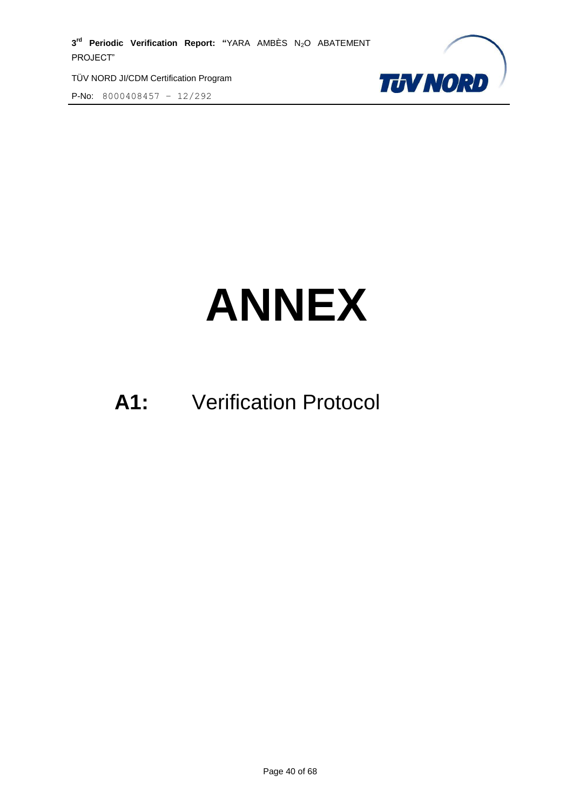TÜV NORD JI/CDM Certification Program





# **ANNEX**

# **A1:** Verification Protocol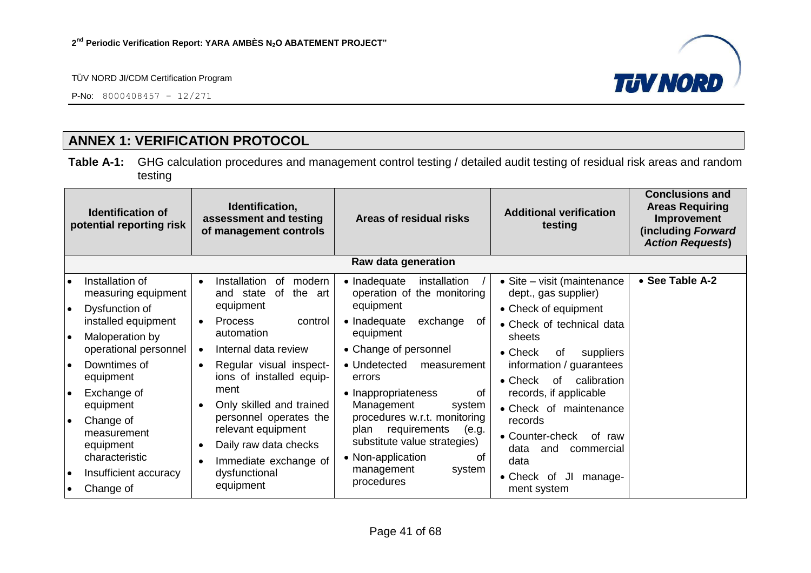P-No: 8000408457 – 12/271



# **ANNEX 1: VERIFICATION PROTOCOL**

**Table A-1:** GHG calculation procedures and management control testing / detailed audit testing of residual risk areas and random testing

<span id="page-40-0"></span>

| Identification,<br><b>Identification of</b><br>assessment and testing<br>potential reporting risk<br>of management controls |                                                                 | Areas of residual risks                                                                        | <b>Additional verification</b><br>testing                                                                                | <b>Conclusions and</b><br><b>Areas Requiring</b><br>Improvement<br>(including Forward<br><b>Action Requests)</b> |                 |
|-----------------------------------------------------------------------------------------------------------------------------|-----------------------------------------------------------------|------------------------------------------------------------------------------------------------|--------------------------------------------------------------------------------------------------------------------------|------------------------------------------------------------------------------------------------------------------|-----------------|
|                                                                                                                             |                                                                 |                                                                                                | Raw data generation                                                                                                      |                                                                                                                  |                 |
| $\bullet$<br>l e                                                                                                            | Installation of<br>measuring equipment<br>Dysfunction of        | Installation<br>modern<br>0f<br>$\bullet$<br>the<br>and state<br>of<br>art<br>equipment        | • Inadequate<br>installation<br>operation of the monitoring<br>equipment                                                 | • Site – visit (maintenance<br>dept., gas supplier)<br>• Check of equipment                                      | • See Table A-2 |
| I۰                                                                                                                          | installed equipment<br>Maloperation by<br>operational personnel | <b>Process</b><br>control<br>$\bullet$<br>automation<br>Internal data review                   | • Inadequate<br>exchange<br>οf<br>equipment<br>• Change of personnel                                                     | • Check of technical data<br>sheets<br>$\bullet$ Check<br>0f<br>suppliers                                        |                 |
| l e                                                                                                                         | Downtimes of<br>equipment                                       | Regular visual inspect-<br>$\bullet$<br>ions of installed equip-                               | • Undetected<br>measurement<br>errors                                                                                    | information / guarantees<br>calibration<br>$\bullet$ Check<br>of                                                 |                 |
| I۰                                                                                                                          | Exchange of<br>equipment                                        | ment<br>Only skilled and trained                                                               | • Inappropriateness<br>0f<br>Management<br>system                                                                        | records, if applicable<br>• Check of maintenance                                                                 |                 |
| $\bullet$                                                                                                                   | Change of<br>measurement<br>equipment<br>characteristic         | personnel operates the<br>relevant equipment<br>Daily raw data checks<br>Immediate exchange of | procedures w.r.t. monitoring<br>requirements<br>(e.g.<br>plan<br>substitute value strategies)<br>• Non-application<br>Ωt | records<br>• Counter-check<br>of raw<br>data<br>and<br>commercial<br>data                                        |                 |
| $\bullet$<br>$\bullet$                                                                                                      | Insufficient accuracy<br>Change of                              | dysfunctional<br>equipment                                                                     | management<br>system<br>procedures                                                                                       | • Check of<br>JI<br>manage-<br>ment system                                                                       |                 |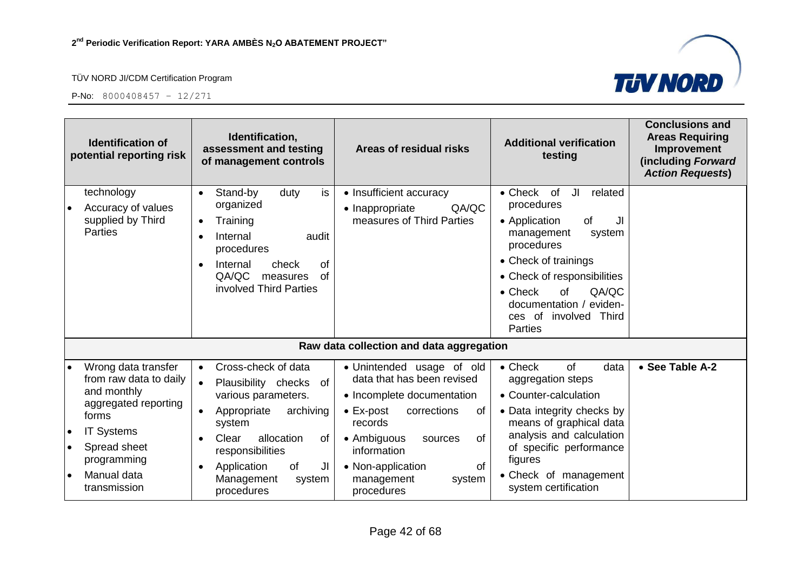



|                                                  | <b>Identification of</b><br>potential reporting risk                                                                                                                             | Identification,<br>assessment and testing<br>of management controls                                                                                                                                                                                                                                                                                                   | <b>Additional verification</b><br>Areas of residual risks<br>testing                                                                                                                                                                                                                                                                                                                                          | <b>Conclusions and</b><br><b>Areas Requiring</b><br>Improvement<br>(including Forward<br><b>Action Requests)</b> |
|--------------------------------------------------|----------------------------------------------------------------------------------------------------------------------------------------------------------------------------------|-----------------------------------------------------------------------------------------------------------------------------------------------------------------------------------------------------------------------------------------------------------------------------------------------------------------------------------------------------------------------|---------------------------------------------------------------------------------------------------------------------------------------------------------------------------------------------------------------------------------------------------------------------------------------------------------------------------------------------------------------------------------------------------------------|------------------------------------------------------------------------------------------------------------------|
|                                                  | technology<br>Accuracy of values<br>supplied by Third<br><b>Parties</b>                                                                                                          | Stand-by<br>is<br>duty<br>• Insufficient accuracy<br>$\bullet$<br>organized<br>• Inappropriate<br>Training<br>Internal<br>audit<br>procedures<br>Internal<br>check<br><b>of</b><br>$\bullet$<br>QA/QC<br>of<br>measures<br>involved Third Parties                                                                                                                     | $\bullet$ Check<br>of<br>JI<br>related<br>procedures<br>QA/QC<br>measures of Third Parties<br>of<br>• Application<br>JI<br>management<br>system<br>procedures<br>• Check of trainings<br>• Check of responsibilities<br>QA/QC<br>$\bullet$ Check<br><b>of</b><br>documentation / eviden-<br>ces of involved Third<br>Parties                                                                                  |                                                                                                                  |
|                                                  |                                                                                                                                                                                  | Raw data collection and data aggregation                                                                                                                                                                                                                                                                                                                              |                                                                                                                                                                                                                                                                                                                                                                                                               |                                                                                                                  |
| $\bullet$<br>$\bullet$<br>$\bullet$<br>$\bullet$ | Wrong data transfer<br>from raw data to daily<br>and monthly<br>aggregated reporting<br>forms<br><b>IT Systems</b><br>Spread sheet<br>programming<br>Manual data<br>transmission | Cross-check of data<br>$\bullet$<br>Plausibility checks of<br>$\bullet$<br>various parameters.<br>archiving<br>$\bullet$ Ex-post<br>Appropriate<br>records<br>system<br>Clear<br>allocation<br>• Ambiguous<br>0f<br>responsibilities<br>information<br>of<br>Application<br>JI<br>• Non-application<br>Management<br>management<br>system<br>procedures<br>procedures | $\bullet$ Check<br>of<br>data<br>· Unintended usage of old<br>data that has been revised<br>aggregation steps<br>• Counter-calculation<br>• Incomplete documentation<br>• Data integrity checks by<br>corrections<br>οf<br>means of graphical data<br>analysis and calculation<br>of<br>sources<br>of specific performance<br>figures<br><b>of</b><br>• Check of management<br>system<br>system certification | • See Table A-2                                                                                                  |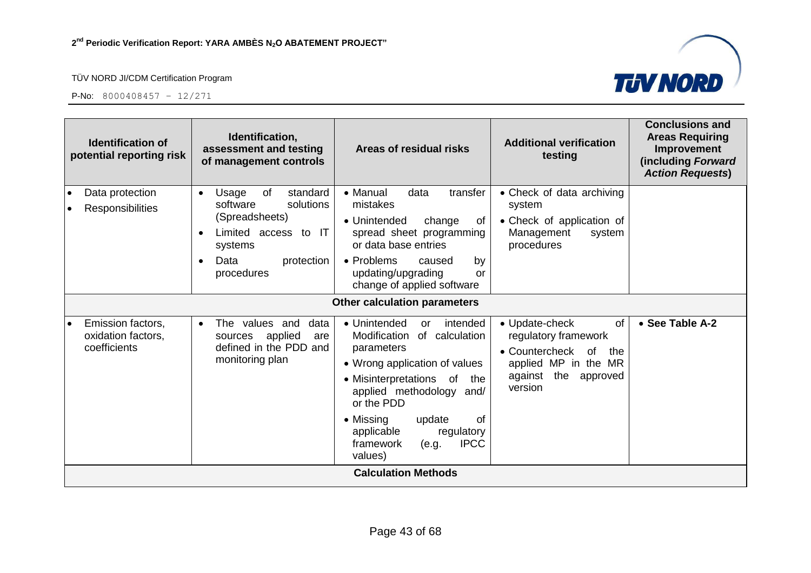

**TUV NORD** 

| <b>Identification of</b><br>potential reporting risk    | Identification,<br>assessment and testing<br>of management controls                                                                                    | Areas of residual risks                                                                                                                                                                                                                                                                                 | <b>Additional verification</b><br>testing                                                                                                           | <b>Conclusions and</b><br><b>Areas Requiring</b><br>Improvement<br>(including Forward<br><b>Action Requests)</b> |
|---------------------------------------------------------|--------------------------------------------------------------------------------------------------------------------------------------------------------|---------------------------------------------------------------------------------------------------------------------------------------------------------------------------------------------------------------------------------------------------------------------------------------------------------|-----------------------------------------------------------------------------------------------------------------------------------------------------|------------------------------------------------------------------------------------------------------------------|
| Data protection<br><b>Responsibilities</b>              | standard<br>of<br>Usage<br>$\bullet$<br>solutions<br>software<br>(Spreadsheets)<br>Limited access to IT<br>systems<br>Data<br>protection<br>procedures | • Manual<br>data<br>transfer<br>mistakes<br>• Unintended<br>change<br>of<br>spread sheet programming<br>or data base entries<br>• Problems<br>caused<br>by<br>updating/upgrading<br>or<br>change of applied software                                                                                    | • Check of data archiving<br>system<br>• Check of application of<br>Management<br>system<br>procedures                                              |                                                                                                                  |
|                                                         |                                                                                                                                                        | <b>Other calculation parameters</b>                                                                                                                                                                                                                                                                     |                                                                                                                                                     |                                                                                                                  |
| Emission factors,<br>oxidation factors,<br>coefficients | The values and<br>data<br>$\bullet$<br>applied<br>sources<br>are<br>defined in the PDD and<br>monitoring plan                                          | • Unintended<br>intended<br>or<br>Modification<br>of calculation<br>parameters<br>• Wrong application of values<br>• Misinterpretations<br>of<br>the<br>applied methodology and/<br>or the PDD<br>• Missing<br>0f<br>update<br>applicable<br>regulatory<br><b>IPCC</b><br>framework<br>(e.g.<br>values) | of<br>• Update-check<br>regulatory framework<br>• Countercheck<br><b>of</b><br>the<br>applied MP in the MR<br>the<br>against<br>approved<br>version | • See Table A-2                                                                                                  |
|                                                         |                                                                                                                                                        | <b>Calculation Methods</b>                                                                                                                                                                                                                                                                              |                                                                                                                                                     |                                                                                                                  |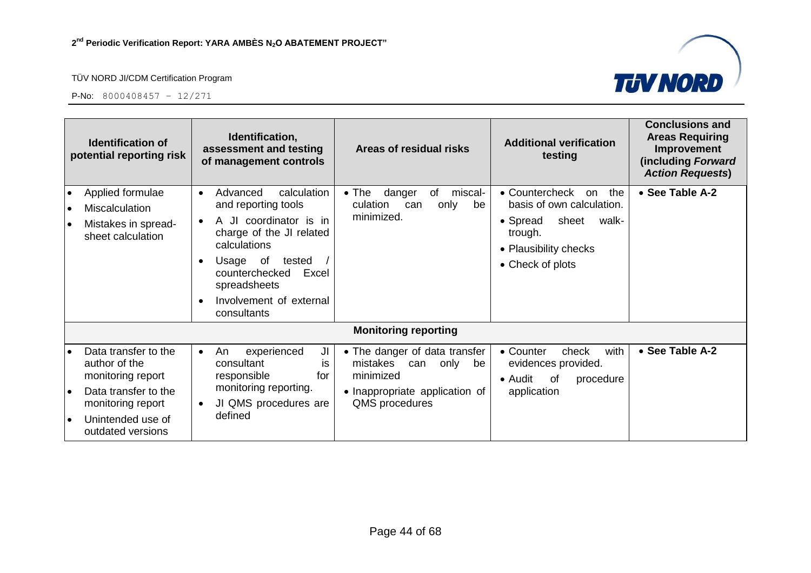



| <b>Identification of</b><br>potential reporting risk                                                                                                                               | Identification,<br>assessment and testing<br>of management controls                                                                                                                                                                          | Areas of residual risks                                                                                                         | <b>Additional verification</b><br>testing                                                                                                      | <b>Conclusions and</b><br><b>Areas Requiring</b><br>Improvement<br>(including Forward<br><b>Action Requests)</b> |
|------------------------------------------------------------------------------------------------------------------------------------------------------------------------------------|----------------------------------------------------------------------------------------------------------------------------------------------------------------------------------------------------------------------------------------------|---------------------------------------------------------------------------------------------------------------------------------|------------------------------------------------------------------------------------------------------------------------------------------------|------------------------------------------------------------------------------------------------------------------|
| Applied formulae<br>$\bullet$<br><b>Miscalculation</b><br>$\bullet$<br>Mistakes in spread-<br>$\bullet$<br>sheet calculation                                                       | calculation<br>Advanced<br>$\bullet$<br>and reporting tools<br>A JI coordinator is in<br>charge of the JI related<br>calculations<br>Usage of<br>tested<br>counterchecked<br>Excel<br>spreadsheets<br>Involvement of external<br>consultants | danger<br>miscal-<br>$\bullet$ The<br>of<br>culation<br>only<br>can<br>be<br>minimized.                                         | • Countercheck<br>the<br>on<br>basis of own calculation.<br>• Spread<br>sheet<br>walk-<br>trough.<br>• Plausibility checks<br>• Check of plots | • See Table A-2                                                                                                  |
|                                                                                                                                                                                    |                                                                                                                                                                                                                                              | <b>Monitoring reporting</b>                                                                                                     |                                                                                                                                                |                                                                                                                  |
| Data transfer to the<br>$\bullet$<br>author of the<br>monitoring report<br>Data transfer to the<br>l e<br>monitoring report<br>Unintended use of<br>$\bullet$<br>outdated versions | experienced<br>JI<br>An<br>$\bullet$<br>consultant<br>is<br>responsible<br>for<br>monitoring reporting.<br>JI QMS procedures are<br>defined                                                                                                  | • The danger of data transfer<br>mistakes<br>only<br>be<br>can<br>minimized<br>• Inappropriate application of<br>QMS procedures | • Counter<br>with<br>check<br>evidences provided.<br>• Audit<br>0f<br>procedure<br>application                                                 | • See Table A-2                                                                                                  |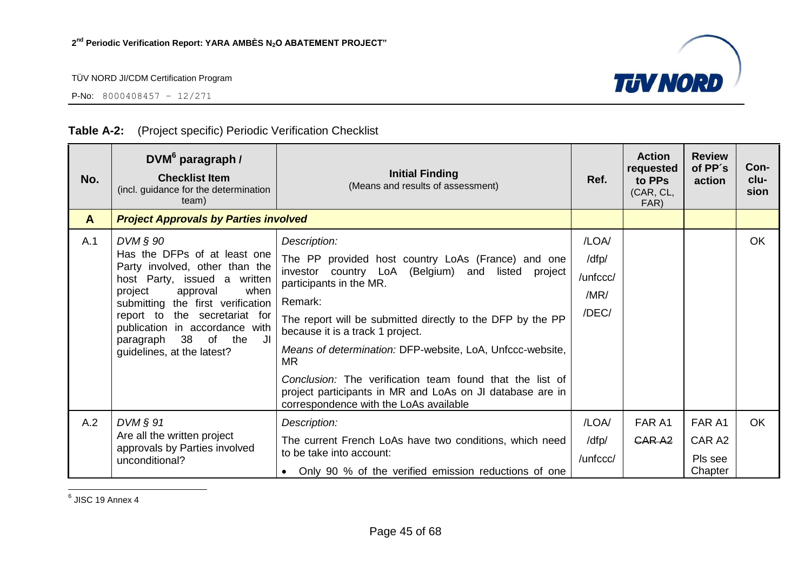P-No: 8000408457 – 12/271



#### **Table A-2:** (Project specific) Periodic Verification Checklist

l 6 JISC 19 Annex 4

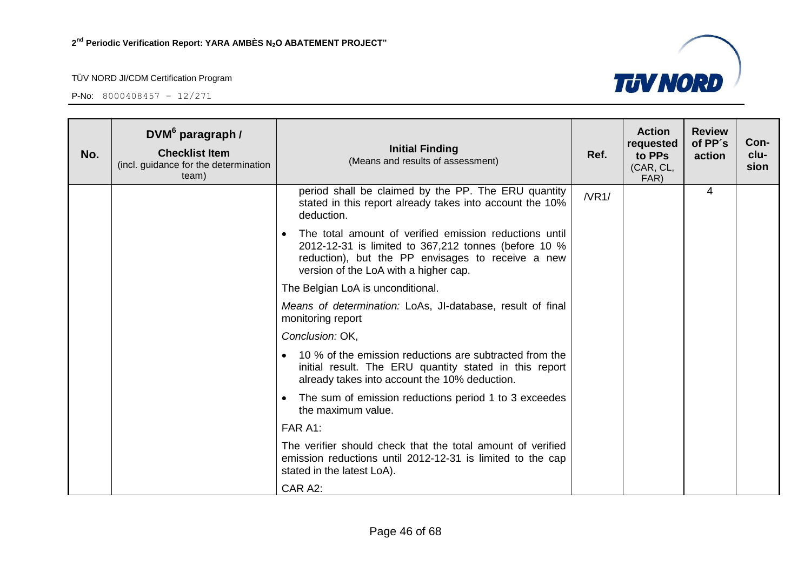

| No. | DVM <sup>6</sup> paragraph /<br><b>Checklist Item</b><br>(incl. guidance for the determination<br>team) | <b>Initial Finding</b><br>(Means and results of assessment)                                                                                                                                                               | Ref.  | <b>Action</b><br>requested<br>to PPs<br>(CAR, CL,<br>FAR) | <b>Review</b><br>of PP's<br>action | Con-<br>clu-<br>sion |
|-----|---------------------------------------------------------------------------------------------------------|---------------------------------------------------------------------------------------------------------------------------------------------------------------------------------------------------------------------------|-------|-----------------------------------------------------------|------------------------------------|----------------------|
|     |                                                                                                         | period shall be claimed by the PP. The ERU quantity<br>stated in this report already takes into account the 10%<br>deduction.                                                                                             | /NR1/ |                                                           | 4                                  |                      |
|     |                                                                                                         | The total amount of verified emission reductions until<br>$\bullet$<br>2012-12-31 is limited to 367,212 tonnes (before 10 %<br>reduction), but the PP envisages to receive a new<br>version of the LoA with a higher cap. |       |                                                           |                                    |                      |
|     |                                                                                                         | The Belgian LoA is unconditional.                                                                                                                                                                                         |       |                                                           |                                    |                      |
|     |                                                                                                         | Means of determination: LoAs, JI-database, result of final<br>monitoring report                                                                                                                                           |       |                                                           |                                    |                      |
|     |                                                                                                         | Conclusion: OK,                                                                                                                                                                                                           |       |                                                           |                                    |                      |
|     |                                                                                                         | 10 % of the emission reductions are subtracted from the<br>initial result. The ERU quantity stated in this report<br>already takes into account the 10% deduction.                                                        |       |                                                           |                                    |                      |
|     |                                                                                                         | The sum of emission reductions period 1 to 3 exceedes<br>$\bullet$<br>the maximum value.                                                                                                                                  |       |                                                           |                                    |                      |
|     |                                                                                                         | FAR A1:                                                                                                                                                                                                                   |       |                                                           |                                    |                      |
|     |                                                                                                         | The verifier should check that the total amount of verified<br>emission reductions until 2012-12-31 is limited to the cap<br>stated in the latest LoA).                                                                   |       |                                                           |                                    |                      |
|     |                                                                                                         | CAR A2:                                                                                                                                                                                                                   |       |                                                           |                                    |                      |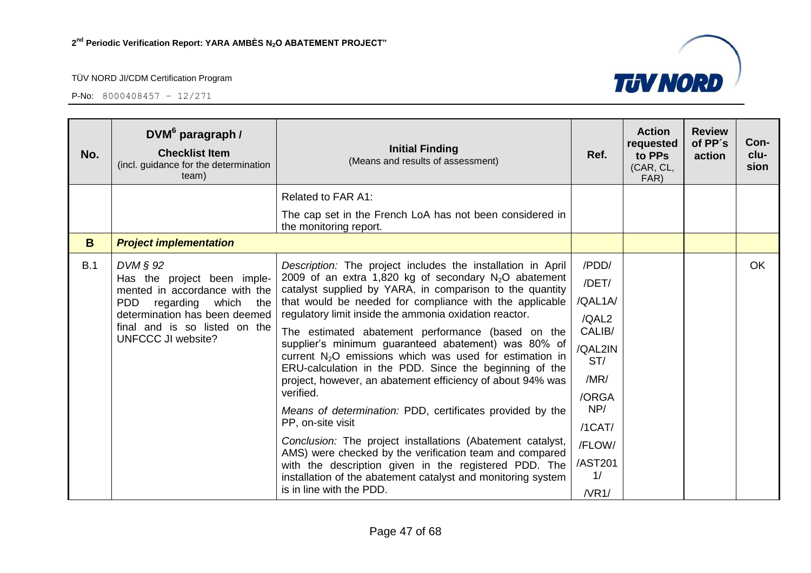

| No. | DVM <sup>6</sup> paragraph /<br><b>Checklist Item</b><br>(incl. guidance for the determination<br>team)                                                                                                        | <b>Initial Finding</b><br>(Means and results of assessment)                                                                                                                                                                                                                                                                                                                                                                                                                                                                                                                                                                                                                                                                                                                                                                                                                                                                                                                           | Ref.                                                                                                                                       | <b>Action</b><br>requested<br>to PPs<br>(CAR, CL,<br>FAR) | <b>Review</b><br>of PP's<br>action | Con-<br>clu-<br>sion |
|-----|----------------------------------------------------------------------------------------------------------------------------------------------------------------------------------------------------------------|---------------------------------------------------------------------------------------------------------------------------------------------------------------------------------------------------------------------------------------------------------------------------------------------------------------------------------------------------------------------------------------------------------------------------------------------------------------------------------------------------------------------------------------------------------------------------------------------------------------------------------------------------------------------------------------------------------------------------------------------------------------------------------------------------------------------------------------------------------------------------------------------------------------------------------------------------------------------------------------|--------------------------------------------------------------------------------------------------------------------------------------------|-----------------------------------------------------------|------------------------------------|----------------------|
|     |                                                                                                                                                                                                                | <b>Related to FAR A1:</b>                                                                                                                                                                                                                                                                                                                                                                                                                                                                                                                                                                                                                                                                                                                                                                                                                                                                                                                                                             |                                                                                                                                            |                                                           |                                    |                      |
|     |                                                                                                                                                                                                                | The cap set in the French LoA has not been considered in<br>the monitoring report.                                                                                                                                                                                                                                                                                                                                                                                                                                                                                                                                                                                                                                                                                                                                                                                                                                                                                                    |                                                                                                                                            |                                                           |                                    |                      |
| B   | <b>Project implementation</b>                                                                                                                                                                                  |                                                                                                                                                                                                                                                                                                                                                                                                                                                                                                                                                                                                                                                                                                                                                                                                                                                                                                                                                                                       |                                                                                                                                            |                                                           |                                    |                      |
| B.1 | $DVM \S 92$<br>Has the project been imple-<br>mented in accordance with the<br><b>PDD</b><br>which<br>regarding<br>the<br>determination has been deemed<br>final and is so listed on the<br>UNFCCC JI website? | Description: The project includes the installation in April<br>2009 of an extra 1,820 kg of secondary $N_2O$ abatement<br>catalyst supplied by YARA, in comparison to the quantity<br>that would be needed for compliance with the applicable<br>regulatory limit inside the ammonia oxidation reactor.<br>The estimated abatement performance (based on the<br>supplier's minimum guaranteed abatement) was 80% of<br>current $N_2O$ emissions which was used for estimation in<br>ERU-calculation in the PDD. Since the beginning of the<br>project, however, an abatement efficiency of about 94% was<br>verified.<br>Means of determination: PDD, certificates provided by the<br>PP, on-site visit<br>Conclusion: The project installations (Abatement catalyst,<br>AMS) were checked by the verification team and compared<br>with the description given in the registered PDD. The<br>installation of the abatement catalyst and monitoring system<br>is in line with the PDD. | /PDD/<br>/DET/<br>/QAL1A/<br>/QAL2<br>CALIB/<br>/QAL2IN<br>ST/<br>/MR/<br>/ORGA<br>NP/<br>$/1$ CAT $/$<br>/FLOW/<br>/AST201<br>1/<br>/NR1/ |                                                           |                                    | <b>OK</b>            |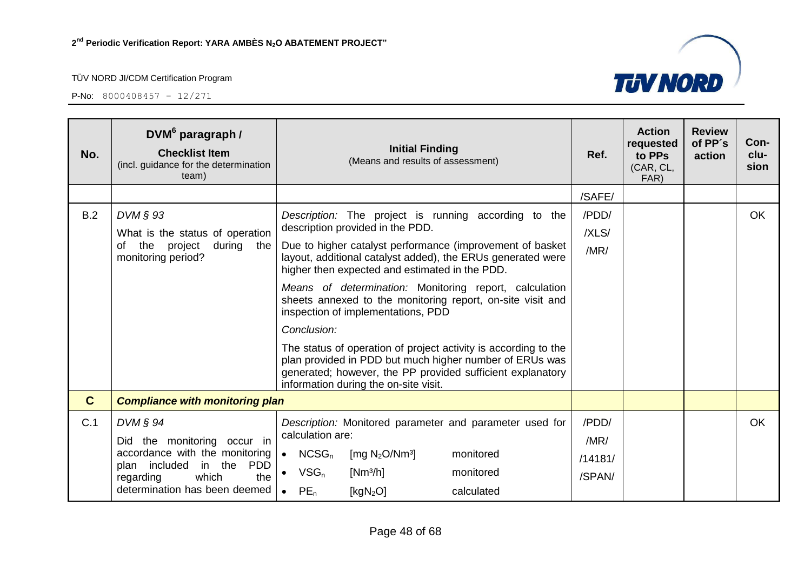| /SAFE/<br>B.2<br>DVM § 93<br>/PDD/<br>Description: The project is running according to the<br>description provided in the PDD.<br>/XLS/<br>What is the status of operation<br>of the project<br>Due to higher catalyst performance (improvement of basket<br>during the<br>/MR/<br>monitoring period?<br>layout, additional catalyst added), the ERUs generated were<br>higher then expected and estimated in the PDD.<br>Means of determination: Monitoring report, calculation<br>sheets annexed to the monitoring report, on-site visit and<br>inspection of implementations, PDD<br>Conclusion:<br>The status of operation of project activity is according to the<br>plan provided in PDD but much higher number of ERUs was<br>generated; however, the PP provided sufficient explanatory<br>information during the on-site visit.<br>$\mathbf C$<br><b>Compliance with monitoring plan</b><br>$DVM \S 94$<br>/PDD/<br>Description: Monitored parameter and parameter used for | No. | <b>Review</b><br>of PP's<br>Con-<br>clu-<br>action<br>sion |
|--------------------------------------------------------------------------------------------------------------------------------------------------------------------------------------------------------------------------------------------------------------------------------------------------------------------------------------------------------------------------------------------------------------------------------------------------------------------------------------------------------------------------------------------------------------------------------------------------------------------------------------------------------------------------------------------------------------------------------------------------------------------------------------------------------------------------------------------------------------------------------------------------------------------------------------------------------------------------------------|-----|------------------------------------------------------------|
|                                                                                                                                                                                                                                                                                                                                                                                                                                                                                                                                                                                                                                                                                                                                                                                                                                                                                                                                                                                      |     |                                                            |
|                                                                                                                                                                                                                                                                                                                                                                                                                                                                                                                                                                                                                                                                                                                                                                                                                                                                                                                                                                                      |     | <b>OK</b>                                                  |
|                                                                                                                                                                                                                                                                                                                                                                                                                                                                                                                                                                                                                                                                                                                                                                                                                                                                                                                                                                                      |     |                                                            |
| calculation are:<br>Did the monitoring occur in<br>/MR/<br>accordance with the monitoring<br>$\bullet$ NCSG <sub>n</sub><br>[mg $N_2O/Nm^3$ ]<br>monitored<br>/14181/<br>plan included<br>in the<br><b>PDD</b><br>$VSG_n$<br>$[Nm^3/h]$<br>monitored<br>/SPAN/<br>the<br>which<br>regarding<br>determination has been deemed<br>$PE_n$<br>[ $kgN2O$ ]<br>calculated                                                                                                                                                                                                                                                                                                                                                                                                                                                                                                                                                                                                                  | C.1 | OK.                                                        |

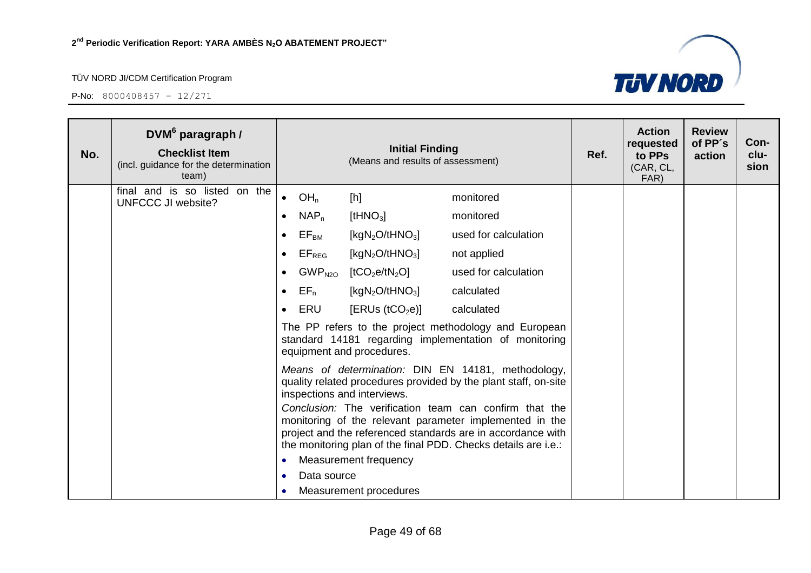

| No. | DVM <sup>6</sup> paragraph /<br><b>Checklist Item</b><br>(incl. guidance for the determination<br>team) |           | <b>Initial Finding</b><br>(Means and results of assessment)                                                                                                                                                                                                                                                                                                                                                |                                                    |                      |  | <b>Action</b><br>requested<br>to PPs<br>(CAR, CL,<br>FAR) | <b>Review</b><br>of PP's<br>action | Con-<br>clu-<br>sion |
|-----|---------------------------------------------------------------------------------------------------------|-----------|------------------------------------------------------------------------------------------------------------------------------------------------------------------------------------------------------------------------------------------------------------------------------------------------------------------------------------------------------------------------------------------------------------|----------------------------------------------------|----------------------|--|-----------------------------------------------------------|------------------------------------|----------------------|
|     | final and is so listed on the<br><b>UNFCCC JI website?</b>                                              | $\bullet$ | OH <sub>n</sub>                                                                                                                                                                                                                                                                                                                                                                                            | [h]                                                | monitored            |  |                                                           |                                    |                      |
|     |                                                                                                         | $\bullet$ | $NAP_n$                                                                                                                                                                                                                                                                                                                                                                                                    | [tHN $O_3$ ]                                       | monitored            |  |                                                           |                                    |                      |
|     |                                                                                                         | $\bullet$ | $\mathsf{EF}_\mathsf{BM}$                                                                                                                                                                                                                                                                                                                                                                                  | [kgN <sub>2</sub> O/tHNO <sub>3</sub> ]            | used for calculation |  |                                                           |                                    |                      |
|     |                                                                                                         | $\bullet$ | $\mathsf{EF}_{\mathsf{REG}}$                                                                                                                                                                                                                                                                                                                                                                               | [kgN <sub>2</sub> O/tHNO <sub>3</sub> ]            | not applied          |  |                                                           |                                    |                      |
|     |                                                                                                         | $\bullet$ |                                                                                                                                                                                                                                                                                                                                                                                                            | $GWP_{N2O}$ [tCO <sub>2</sub> e/tN <sub>2</sub> O] | used for calculation |  |                                                           |                                    |                      |
|     |                                                                                                         | $\bullet$ | $EF_n$                                                                                                                                                                                                                                                                                                                                                                                                     | [kgN <sub>2</sub> O/tHNO <sub>3</sub> ]            | calculated           |  |                                                           |                                    |                      |
|     |                                                                                                         | $\bullet$ | ERU                                                                                                                                                                                                                                                                                                                                                                                                        | [ERUs (tCO <sub>2</sub> e)]                        | calculated           |  |                                                           |                                    |                      |
|     |                                                                                                         |           | The PP refers to the project methodology and European<br>standard 14181 regarding implementation of monitoring<br>equipment and procedures.                                                                                                                                                                                                                                                                |                                                    |                      |  |                                                           |                                    |                      |
|     |                                                                                                         |           | Means of determination: DIN EN 14181, methodology,<br>quality related procedures provided by the plant staff, on-site<br>inspections and interviews.<br>Conclusion: The verification team can confirm that the<br>monitoring of the relevant parameter implemented in the<br>project and the referenced standards are in accordance with<br>the monitoring plan of the final PDD. Checks details are i.e.: |                                                    |                      |  |                                                           |                                    |                      |
|     |                                                                                                         | $\bullet$ |                                                                                                                                                                                                                                                                                                                                                                                                            | Measurement frequency                              |                      |  |                                                           |                                    |                      |
|     |                                                                                                         | $\bullet$ | Data source                                                                                                                                                                                                                                                                                                                                                                                                |                                                    |                      |  |                                                           |                                    |                      |
|     |                                                                                                         | $\bullet$ |                                                                                                                                                                                                                                                                                                                                                                                                            | Measurement procedures                             |                      |  |                                                           |                                    |                      |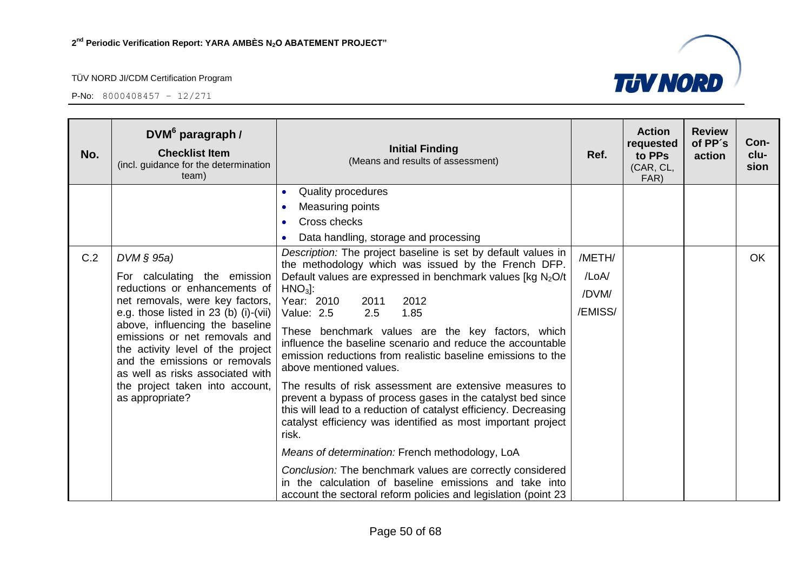

| No. | DVM <sup>6</sup> paragraph /<br><b>Checklist Item</b><br>(incl. guidance for the determination<br>team)                                                                                                                                                                     | <b>Initial Finding</b><br>(Means and results of assessment)                                                                                                                                                                                                                                                                                                                                                                                                                        | Ref.    | <b>Action</b><br>requested<br>to PPs<br>(CAR, CL,<br>FAR) | <b>Review</b><br>of PP's<br>action | Con-<br>clu-<br>sion |
|-----|-----------------------------------------------------------------------------------------------------------------------------------------------------------------------------------------------------------------------------------------------------------------------------|------------------------------------------------------------------------------------------------------------------------------------------------------------------------------------------------------------------------------------------------------------------------------------------------------------------------------------------------------------------------------------------------------------------------------------------------------------------------------------|---------|-----------------------------------------------------------|------------------------------------|----------------------|
|     |                                                                                                                                                                                                                                                                             | Quality procedures<br>$\bullet$                                                                                                                                                                                                                                                                                                                                                                                                                                                    |         |                                                           |                                    |                      |
|     |                                                                                                                                                                                                                                                                             | Measuring points                                                                                                                                                                                                                                                                                                                                                                                                                                                                   |         |                                                           |                                    |                      |
|     |                                                                                                                                                                                                                                                                             | Cross checks                                                                                                                                                                                                                                                                                                                                                                                                                                                                       |         |                                                           |                                    |                      |
|     |                                                                                                                                                                                                                                                                             | Data handling, storage and processing                                                                                                                                                                                                                                                                                                                                                                                                                                              |         |                                                           |                                    |                      |
| C.2 | $DVM \S 95a)$                                                                                                                                                                                                                                                               | Description: The project baseline is set by default values in<br>the methodology which was issued by the French DFP.                                                                                                                                                                                                                                                                                                                                                               | /METH/  |                                                           |                                    | <b>OK</b>            |
|     | For calculating the emission                                                                                                                                                                                                                                                | Default values are expressed in benchmark values [kg $N_2O/t$                                                                                                                                                                                                                                                                                                                                                                                                                      | /LoA/   |                                                           |                                    |                      |
|     | reductions or enhancements of                                                                                                                                                                                                                                               | $HNO3$ :                                                                                                                                                                                                                                                                                                                                                                                                                                                                           | /DVM/   |                                                           |                                    |                      |
|     | net removals, were key factors,                                                                                                                                                                                                                                             | Year: 2010<br>2012<br>2011<br>Value: 2.5<br>2.5<br>1.85                                                                                                                                                                                                                                                                                                                                                                                                                            | /EMISS/ |                                                           |                                    |                      |
|     | e.g. those listed in $23$ (b) (i)-(vii)<br>above, influencing the baseline<br>emissions or net removals and<br>the activity level of the project<br>and the emissions or removals<br>as well as risks associated with<br>the project taken into account,<br>as appropriate? | These benchmark values are the key factors, which<br>influence the baseline scenario and reduce the accountable<br>emission reductions from realistic baseline emissions to the<br>above mentioned values.<br>The results of risk assessment are extensive measures to<br>prevent a bypass of process gases in the catalyst bed since<br>this will lead to a reduction of catalyst efficiency. Decreasing<br>catalyst efficiency was identified as most important project<br>risk. |         |                                                           |                                    |                      |
|     |                                                                                                                                                                                                                                                                             | Means of determination: French methodology, LoA                                                                                                                                                                                                                                                                                                                                                                                                                                    |         |                                                           |                                    |                      |
|     |                                                                                                                                                                                                                                                                             | Conclusion: The benchmark values are correctly considered<br>in the calculation of baseline emissions and take into<br>account the sectoral reform policies and legislation (point 23                                                                                                                                                                                                                                                                                              |         |                                                           |                                    |                      |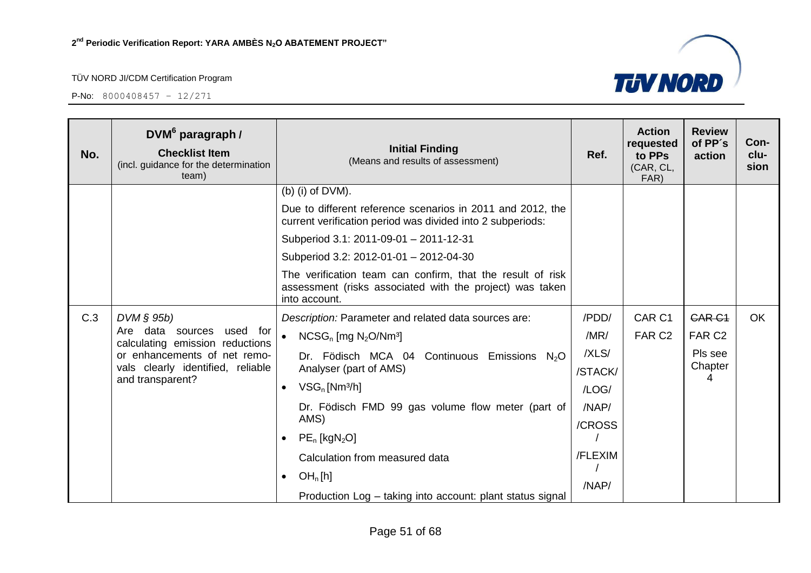

| No. | DVM <sup>6</sup> paragraph /<br><b>Checklist Item</b><br>(incl. guidance for the determination<br>team) | <b>Initial Finding</b><br>(Means and results of assessment)                                                                             | Ref.    | <b>Action</b><br>requested<br>to PPs<br>(CAR, CL,<br>FAR) | <b>Review</b><br>of PP's<br>action | Con-<br>clu-<br>sion |
|-----|---------------------------------------------------------------------------------------------------------|-----------------------------------------------------------------------------------------------------------------------------------------|---------|-----------------------------------------------------------|------------------------------------|----------------------|
|     |                                                                                                         | (b) (i) of $DVM$ ).                                                                                                                     |         |                                                           |                                    |                      |
|     |                                                                                                         | Due to different reference scenarios in 2011 and 2012, the<br>current verification period was divided into 2 subperiods:                |         |                                                           |                                    |                      |
|     |                                                                                                         | Subperiod 3.1: 2011-09-01 - 2011-12-31                                                                                                  |         |                                                           |                                    |                      |
|     |                                                                                                         | Subperiod 3.2: 2012-01-01 - 2012-04-30                                                                                                  |         |                                                           |                                    |                      |
|     |                                                                                                         | The verification team can confirm, that the result of risk<br>assessment (risks associated with the project) was taken<br>into account. |         |                                                           |                                    |                      |
| C.3 | $DVM \S 95b$                                                                                            | Description: Parameter and related data sources are:                                                                                    | /PDD/   | CAR <sub>C1</sub>                                         | <b>CAR C1</b>                      | <b>OK</b>            |
|     | Are data sources<br>used for<br>calculating emission reductions                                         | $NCSG_n$ [mg $N_2O/Nm^3$ ]<br>$\bullet$                                                                                                 | /MR/    | FAR <sub>C2</sub>                                         | FAR <sub>C2</sub>                  |                      |
|     | or enhancements of net remo-                                                                            | Dr. Födisch MCA 04<br>Continuous<br>Emissions $N2O$                                                                                     | /XLS/   |                                                           | Pls see                            |                      |
|     | vals clearly identified, reliable<br>and transparent?                                                   | Analyser (part of AMS)                                                                                                                  | /STACK/ |                                                           | Chapter<br>4                       |                      |
|     |                                                                                                         | $VSG_n$ [Nm <sup>3</sup> /h]<br>$\bullet$                                                                                               | /LOG/   |                                                           |                                    |                      |
|     |                                                                                                         | Dr. Födisch FMD 99 gas volume flow meter (part of                                                                                       | /NAP/   |                                                           |                                    |                      |
|     |                                                                                                         | AMS)                                                                                                                                    | /CROSS  |                                                           |                                    |                      |
|     |                                                                                                         | $PE_n$ [kgN <sub>2</sub> O]<br>$\bullet$                                                                                                |         |                                                           |                                    |                      |
|     |                                                                                                         | Calculation from measured data                                                                                                          | /FLEXIM |                                                           |                                    |                      |
|     |                                                                                                         | OH <sub>n</sub> [h]<br>$\bullet$                                                                                                        | /NAP/   |                                                           |                                    |                      |
|     |                                                                                                         | Production Log - taking into account: plant status signal                                                                               |         |                                                           |                                    |                      |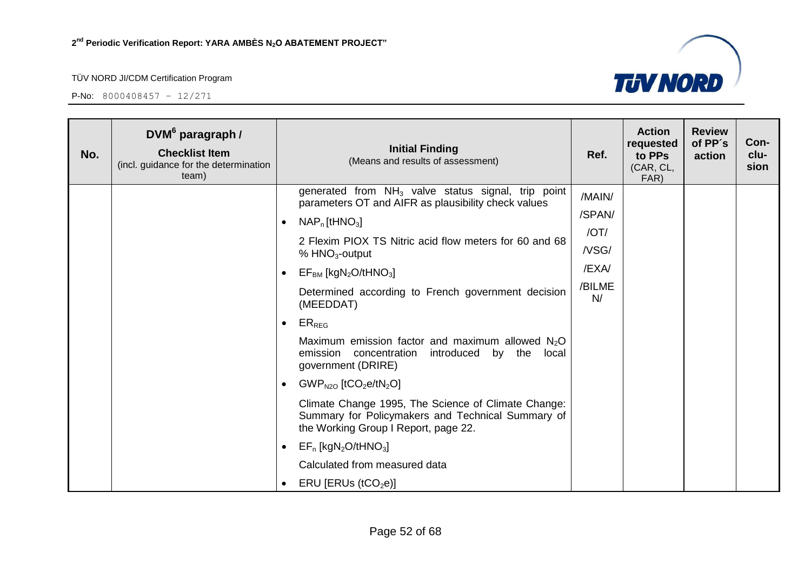

| No. | DVM <sup>6</sup> paragraph /<br><b>Checklist Item</b><br>(incl. guidance for the determination<br>team) |                                      | <b>Initial Finding</b><br>(Means and results of assessment)                                                                                                                                                                                                                                                                                                                                                                                                                                                                                                                                                                                                                                                                      | Ref.                                                       | <b>Action</b><br>requested<br>to PPs<br>(CAR, CL,<br>FAR) | <b>Review</b><br>of PP's<br>action | Con-<br>clu-<br>sion |
|-----|---------------------------------------------------------------------------------------------------------|--------------------------------------|----------------------------------------------------------------------------------------------------------------------------------------------------------------------------------------------------------------------------------------------------------------------------------------------------------------------------------------------------------------------------------------------------------------------------------------------------------------------------------------------------------------------------------------------------------------------------------------------------------------------------------------------------------------------------------------------------------------------------------|------------------------------------------------------------|-----------------------------------------------------------|------------------------------------|----------------------|
|     |                                                                                                         | (MEEDDAT)<br>$ER_{REG}$<br>$\bullet$ | generated from $NH3$ valve status signal, trip point<br>parameters OT and AIFR as plausibility check values<br>$NAP_n$ [tHNO <sub>3</sub> ]<br>2 Flexim PIOX TS Nitric acid flow meters for 60 and 68<br>% $HNO3$ -output<br>$EFBM$ [kgN <sub>2</sub> O/tHNO <sub>3</sub> ]<br>Determined according to French government decision<br>Maximum emission factor and maximum allowed $N2O$<br>introduced by the<br>emission concentration<br>local<br>government (DRIRE)<br>$GWP_{N2O}$ [tCO <sub>2</sub> e/tN <sub>2</sub> O]<br>Climate Change 1995, The Science of Climate Change:<br>Summary for Policymakers and Technical Summary of<br>the Working Group I Report, page 22.<br>$EF_n$ [kgN <sub>2</sub> O/tHNO <sub>3</sub> ] | /MAIN/<br>/SPAN/<br>/OT/<br>/VSG/<br>/EXA/<br>/BILME<br>N/ |                                                           |                                    |                      |
|     |                                                                                                         |                                      | Calculated from measured data<br>ERU [ERUs ( $tCO2e$ )]                                                                                                                                                                                                                                                                                                                                                                                                                                                                                                                                                                                                                                                                          |                                                            |                                                           |                                    |                      |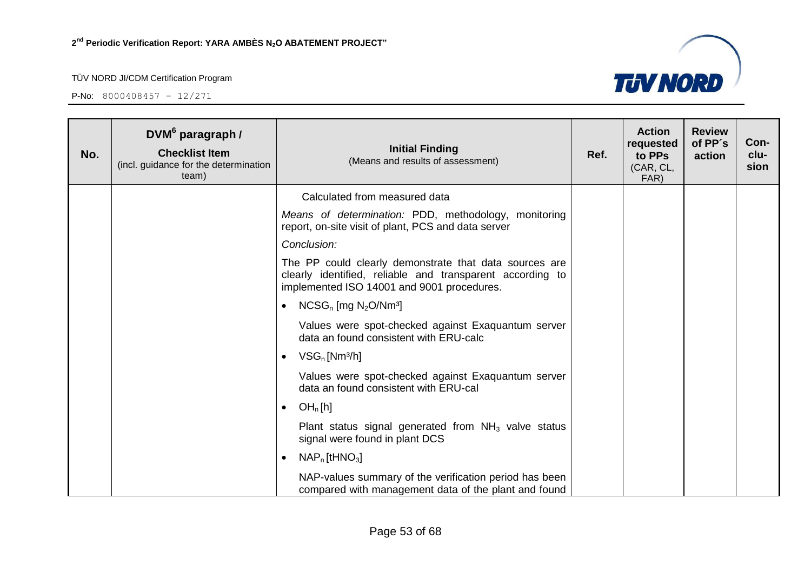

| No. | DVM <sup>6</sup> paragraph /<br><b>Checklist Item</b><br>(incl. guidance for the determination<br>team) | <b>Initial Finding</b><br>(Means and results of assessment)                                                                                                       | Ref. | <b>Action</b><br>requested<br>to PPs<br>(CAR, CL,<br>FAR) | <b>Review</b><br>of PP's<br>action | Con-<br>clu-<br>sion |
|-----|---------------------------------------------------------------------------------------------------------|-------------------------------------------------------------------------------------------------------------------------------------------------------------------|------|-----------------------------------------------------------|------------------------------------|----------------------|
|     |                                                                                                         | Calculated from measured data                                                                                                                                     |      |                                                           |                                    |                      |
|     |                                                                                                         | Means of determination: PDD, methodology, monitoring<br>report, on-site visit of plant, PCS and data server                                                       |      |                                                           |                                    |                      |
|     |                                                                                                         | Conclusion:                                                                                                                                                       |      |                                                           |                                    |                      |
|     |                                                                                                         | The PP could clearly demonstrate that data sources are<br>clearly identified, reliable and transparent according to<br>implemented ISO 14001 and 9001 procedures. |      |                                                           |                                    |                      |
|     |                                                                                                         | $NCSG_n$ [mg $N_2O/Nm^3$ ]<br>$\bullet$                                                                                                                           |      |                                                           |                                    |                      |
|     |                                                                                                         | Values were spot-checked against Exaquantum server<br>data an found consistent with ERU-calc                                                                      |      |                                                           |                                    |                      |
|     |                                                                                                         | $VSG_n$ [Nm <sup>3</sup> /h]<br>$\bullet$                                                                                                                         |      |                                                           |                                    |                      |
|     |                                                                                                         | Values were spot-checked against Exaquantum server<br>data an found consistent with ERU-cal                                                                       |      |                                                           |                                    |                      |
|     |                                                                                                         | OH <sub>n</sub> [h]<br>$\bullet$                                                                                                                                  |      |                                                           |                                    |                      |
|     |                                                                                                         | Plant status signal generated from $NH3$ valve status<br>signal were found in plant DCS                                                                           |      |                                                           |                                    |                      |
|     |                                                                                                         | $NAPn$ [tHNO <sub>3</sub> ]<br>$\bullet$                                                                                                                          |      |                                                           |                                    |                      |
|     |                                                                                                         | NAP-values summary of the verification period has been<br>compared with management data of the plant and found                                                    |      |                                                           |                                    |                      |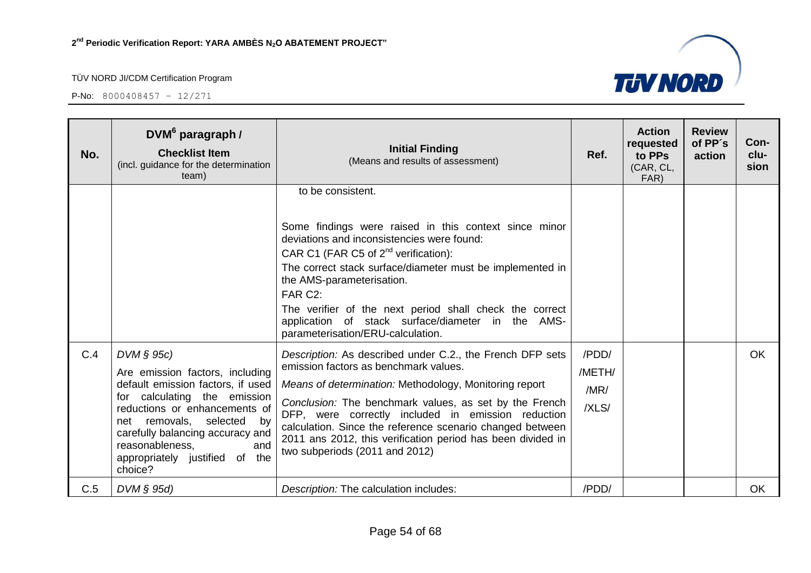

| No. | DVM <sup>6</sup> paragraph /<br><b>Checklist Item</b><br>(incl. guidance for the determination<br>team)                                                                                                                                                                                          | <b>Initial Finding</b><br>(Means and results of assessment)                                                                                                                                                                                                                                                                                                                                                                                | Ref.                             | <b>Action</b><br>requested<br>to PPs<br>(CAR, CL,<br>FAR) | <b>Review</b><br>of PP's<br>action | Con-<br>clu-<br>sion |
|-----|--------------------------------------------------------------------------------------------------------------------------------------------------------------------------------------------------------------------------------------------------------------------------------------------------|--------------------------------------------------------------------------------------------------------------------------------------------------------------------------------------------------------------------------------------------------------------------------------------------------------------------------------------------------------------------------------------------------------------------------------------------|----------------------------------|-----------------------------------------------------------|------------------------------------|----------------------|
|     |                                                                                                                                                                                                                                                                                                  | to be consistent.<br>Some findings were raised in this context since minor<br>deviations and inconsistencies were found:<br>CAR C1 (FAR C5 of $2^{nd}$ verification):<br>The correct stack surface/diameter must be implemented in<br>the AMS-parameterisation.<br>FAR C2:<br>The verifier of the next period shall check the correct<br>application of stack surface/diameter in the AMS-<br>parameterisation/ERU-calculation.            |                                  |                                                           |                                    |                      |
| C.4 | $DVM \S 95c$<br>Are emission factors, including<br>default emission factors, if used<br>for calculating the emission<br>reductions or enhancements of<br>selected by<br>net removals,<br>carefully balancing accuracy and<br>reasonableness,<br>and<br>appropriately justified of the<br>choice? | Description: As described under C.2., the French DFP sets<br>emission factors as benchmark values.<br>Means of determination: Methodology, Monitoring report<br>Conclusion: The benchmark values, as set by the French<br>DFP, were correctly included in emission reduction<br>calculation. Since the reference scenario changed between<br>2011 ans 2012, this verification period has been divided in<br>two subperiods (2011 and 2012) | /PDD/<br>/METH/<br>/MR/<br>/XLS/ |                                                           |                                    | <b>OK</b>            |
| C.5 | $DVM \S 95d$                                                                                                                                                                                                                                                                                     | Description: The calculation includes:                                                                                                                                                                                                                                                                                                                                                                                                     | /PDD/                            |                                                           |                                    | <b>OK</b>            |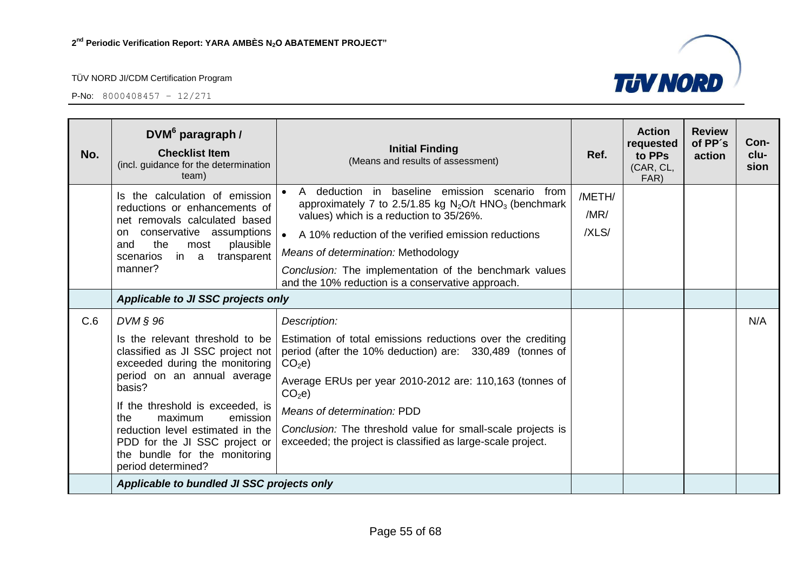

| No. | DVM <sup>6</sup> paragraph /<br><b>Checklist Item</b><br>(incl. guidance for the determination<br>team)                                                                                                                                                                                                                                                       | <b>Initial Finding</b><br>(Means and results of assessment)                                                                                                                                                                                                                                                                                                                                               | Ref.                    | <b>Action</b><br>requested<br>to PPs<br>(CAR, CL,<br>FAR) | <b>Review</b><br>of PP's<br>action | Con-<br>clu-<br>sion |
|-----|---------------------------------------------------------------------------------------------------------------------------------------------------------------------------------------------------------------------------------------------------------------------------------------------------------------------------------------------------------------|-----------------------------------------------------------------------------------------------------------------------------------------------------------------------------------------------------------------------------------------------------------------------------------------------------------------------------------------------------------------------------------------------------------|-------------------------|-----------------------------------------------------------|------------------------------------|----------------------|
|     | Is the calculation of emission<br>reductions or enhancements of<br>net removals calculated based<br>conservative assumptions<br>on.<br>the<br>plausible<br>and<br>most<br>in a<br>transparent<br>scenarios<br>manner?                                                                                                                                         | A deduction in baseline emission scenario from<br>approximately 7 to 2.5/1.85 kg $N_2O/t$ HNO <sub>3</sub> (benchmark<br>values) which is a reduction to 35/26%.<br>A 10% reduction of the verified emission reductions<br>$\bullet$<br>Means of determination: Methodology<br>Conclusion: The implementation of the benchmark values<br>and the 10% reduction is a conservative approach.                | /METH/<br>/MR/<br>/XLS/ |                                                           |                                    |                      |
|     |                                                                                                                                                                                                                                                                                                                                                               | Applicable to JI SSC projects only                                                                                                                                                                                                                                                                                                                                                                        |                         |                                                           |                                    |                      |
| C.6 | $DVM$ $\S$ 96<br>Is the relevant threshold to be<br>classified as JI SSC project not<br>exceeded during the monitoring<br>period on an annual average<br>basis?<br>If the threshold is exceeded, is<br>the<br>maximum<br>emission<br>reduction level estimated in the<br>PDD for the JI SSC project or<br>the bundle for the monitoring<br>period determined? | Description:<br>Estimation of total emissions reductions over the crediting<br>period (after the 10% deduction) are: 330,489 (tonnes of<br>CO <sub>2</sub> e<br>Average ERUs per year 2010-2012 are: 110,163 (tonnes of<br>CO <sub>2</sub> e<br>Means of determination: PDD<br>Conclusion: The threshold value for small-scale projects is<br>exceeded; the project is classified as large-scale project. |                         |                                                           |                                    | N/A                  |
|     | Applicable to bundled JI SSC projects only                                                                                                                                                                                                                                                                                                                    |                                                                                                                                                                                                                                                                                                                                                                                                           |                         |                                                           |                                    |                      |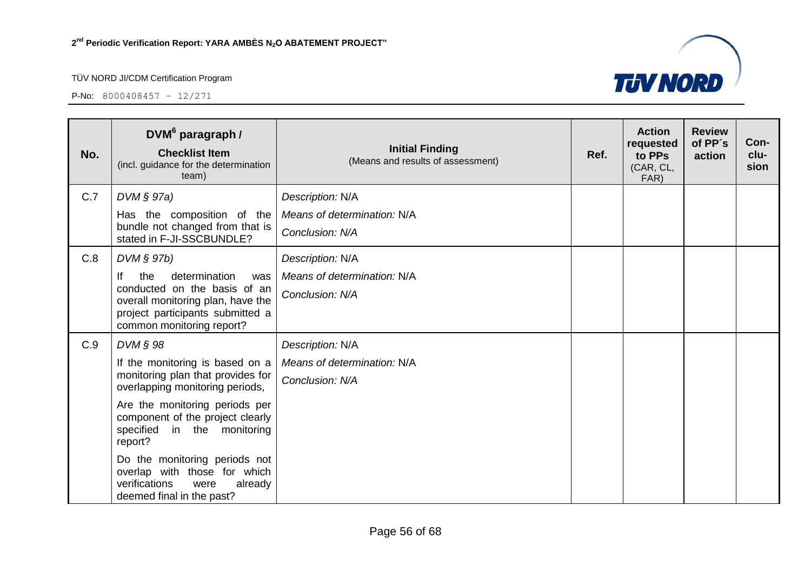

| No. | DVM <sup>6</sup> paragraph /<br><b>Checklist Item</b><br>(incl. guidance for the determination<br>team)                                                                 | <b>Initial Finding</b><br>(Means and results of assessment) | Ref. | <b>Action</b><br>requested<br>to PPs<br>(CAR, CL,<br>FAR) | <b>Review</b><br>of PP's<br>action | Con-<br>clu-<br>sion |
|-----|-------------------------------------------------------------------------------------------------------------------------------------------------------------------------|-------------------------------------------------------------|------|-----------------------------------------------------------|------------------------------------|----------------------|
| C.7 | $DVM \S 97a)$                                                                                                                                                           | Description: N/A                                            |      |                                                           |                                    |                      |
|     | Has the composition of the<br>bundle not changed from that is<br>stated in F-JI-SSCBUNDLE?                                                                              | Means of determination: N/A<br>Conclusion: N/A              |      |                                                           |                                    |                      |
| C.8 | DVM § 97b)                                                                                                                                                              | Description: N/A                                            |      |                                                           |                                    |                      |
|     | lf<br>determination<br>the<br>was<br>conducted on the basis of an<br>overall monitoring plan, have the<br>project participants submitted a<br>common monitoring report? | Means of determination: N/A<br>Conclusion: N/A              |      |                                                           |                                    |                      |
| C.9 | $DVM \S 98$                                                                                                                                                             | Description: N/A                                            |      |                                                           |                                    |                      |
|     | If the monitoring is based on a                                                                                                                                         | Means of determination: N/A                                 |      |                                                           |                                    |                      |
|     | monitoring plan that provides for<br>overlapping monitoring periods,                                                                                                    | Conclusion: N/A                                             |      |                                                           |                                    |                      |
|     | Are the monitoring periods per<br>component of the project clearly<br>specified in the monitoring<br>report?                                                            |                                                             |      |                                                           |                                    |                      |
|     | Do the monitoring periods not<br>overlap with those for which<br>verifications<br>already<br>were<br>deemed final in the past?                                          |                                                             |      |                                                           |                                    |                      |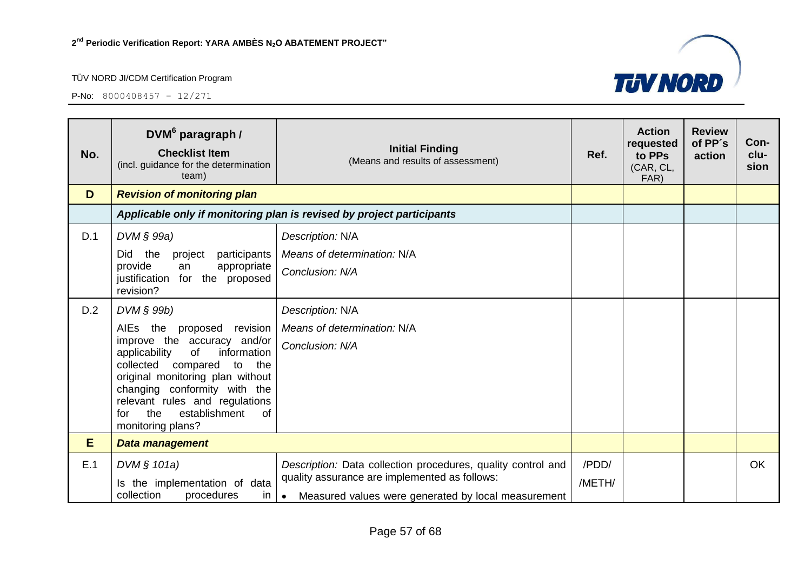

| No. | DVM <sup>6</sup> paragraph /<br><b>Checklist Item</b><br>(incl. guidance for the determination<br>team)                                                                                                                                                                                                      | <b>Initial Finding</b><br>(Means and results of assessment)                                                                                                                       | Ref.            | <b>Action</b><br>requested<br>to PPs<br>(CAR, CL,<br>FAR) | <b>Review</b><br>of PP's<br>action | Con-<br>clu-<br>sion |
|-----|--------------------------------------------------------------------------------------------------------------------------------------------------------------------------------------------------------------------------------------------------------------------------------------------------------------|-----------------------------------------------------------------------------------------------------------------------------------------------------------------------------------|-----------------|-----------------------------------------------------------|------------------------------------|----------------------|
| D   | <b>Revision of monitoring plan</b>                                                                                                                                                                                                                                                                           |                                                                                                                                                                                   |                 |                                                           |                                    |                      |
|     |                                                                                                                                                                                                                                                                                                              | Applicable only if monitoring plan is revised by project participants                                                                                                             |                 |                                                           |                                    |                      |
| D.1 | $DVM$ $\S$ 99a)                                                                                                                                                                                                                                                                                              | Description: N/A                                                                                                                                                                  |                 |                                                           |                                    |                      |
|     | the<br><b>Did</b><br>participants<br>project                                                                                                                                                                                                                                                                 | Means of determination: N/A                                                                                                                                                       |                 |                                                           |                                    |                      |
|     | provide<br>appropriate<br>an<br>justification for the proposed<br>revision?                                                                                                                                                                                                                                  | Conclusion: N/A                                                                                                                                                                   |                 |                                                           |                                    |                      |
| D.2 | $DVM$ $\S$ 99b)                                                                                                                                                                                                                                                                                              | Description: N/A                                                                                                                                                                  |                 |                                                           |                                    |                      |
|     | AIEs the<br>proposed revision<br>improve the accuracy and/or<br>information<br>applicability<br><b>of</b><br>collected compared<br>to<br>the<br>original monitoring plan without<br>changing conformity with the<br>relevant rules and regulations<br>the<br>establishment<br>0f<br>for<br>monitoring plans? | Means of determination: N/A<br>Conclusion: N/A                                                                                                                                    |                 |                                                           |                                    |                      |
| E   | <b>Data management</b>                                                                                                                                                                                                                                                                                       |                                                                                                                                                                                   |                 |                                                           |                                    |                      |
| E.1 | DVM § 101a)<br>Is the implementation of data<br>collection<br>procedures<br>in                                                                                                                                                                                                                               | Description: Data collection procedures, quality control and<br>quality assurance are implemented as follows:<br>Measured values were generated by local measurement<br>$\bullet$ | /PDD/<br>/METH/ |                                                           |                                    | <b>OK</b>            |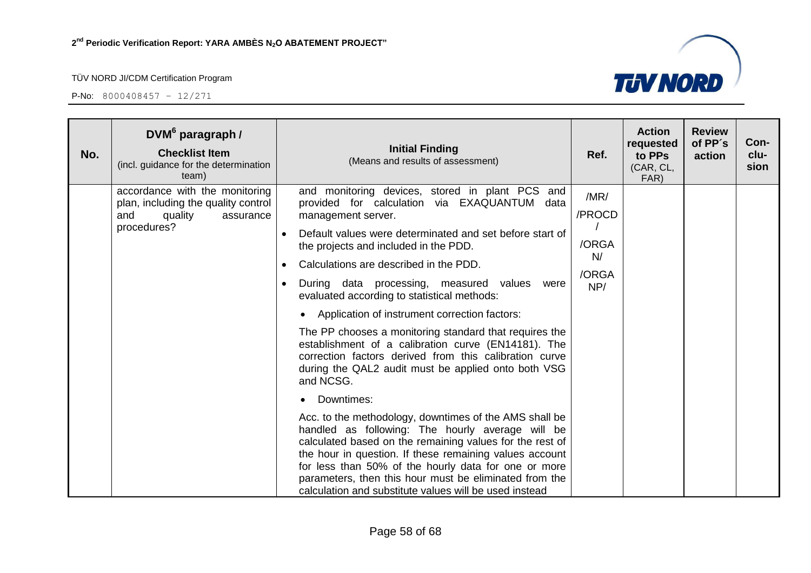

| No. | DVM <sup>6</sup> paragraph /<br><b>Checklist Item</b><br>(incl. guidance for the determination<br>team)             | <b>Initial Finding</b><br>(Means and results of assessment)                                                                                                                                                                                                                                                                                                                                                                                                                                                                                                                                                                                                                                                                                                                                                                                                                                                                                                                                                                                                                                                                                  | Ref.                                          | <b>Action</b><br>requested<br>to PPs<br>(CAR, CL,<br>FAR) | <b>Review</b><br>of PP's<br>action | Con-<br>clu-<br>sion |
|-----|---------------------------------------------------------------------------------------------------------------------|----------------------------------------------------------------------------------------------------------------------------------------------------------------------------------------------------------------------------------------------------------------------------------------------------------------------------------------------------------------------------------------------------------------------------------------------------------------------------------------------------------------------------------------------------------------------------------------------------------------------------------------------------------------------------------------------------------------------------------------------------------------------------------------------------------------------------------------------------------------------------------------------------------------------------------------------------------------------------------------------------------------------------------------------------------------------------------------------------------------------------------------------|-----------------------------------------------|-----------------------------------------------------------|------------------------------------|----------------------|
|     | accordance with the monitoring<br>plan, including the quality control<br>quality<br>and<br>assurance<br>procedures? | and monitoring devices, stored in plant PCS and<br>provided for calculation via EXAQUANTUM data<br>management server.<br>Default values were determinated and set before start of<br>$\bullet$<br>the projects and included in the PDD.<br>Calculations are described in the PDD.<br>$\bullet$<br>During data processing, measured values<br>were<br>evaluated according to statistical methods:<br>Application of instrument correction factors:<br>$\bullet$<br>The PP chooses a monitoring standard that requires the<br>establishment of a calibration curve (EN14181). The<br>correction factors derived from this calibration curve<br>during the QAL2 audit must be applied onto both VSG<br>and NCSG.<br>Downtimes:<br>Acc. to the methodology, downtimes of the AMS shall be<br>handled as following: The hourly average will be<br>calculated based on the remaining values for the rest of<br>the hour in question. If these remaining values account<br>for less than 50% of the hourly data for one or more<br>parameters, then this hour must be eliminated from the<br>calculation and substitute values will be used instead | /MR/<br>/PROCD<br>/ORGA<br>N/<br>/ORGA<br>NP/ |                                                           |                                    |                      |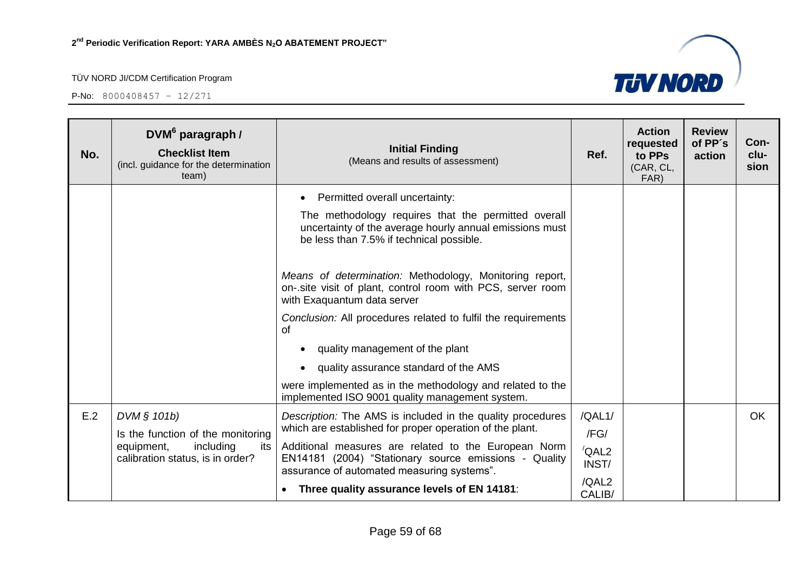

| No. | DVM <sup>6</sup> paragraph /<br><b>Checklist Item</b><br>(incl. guidance for the determination<br>team)                | <b>Initial Finding</b><br>(Means and results of assessment)                                                                                                                                  | Ref.                            | <b>Action</b><br>requested<br>to PPs<br>(CAR, CL,<br>FAR) | <b>Review</b><br>of PP's<br>action | Con-<br>clu-<br>sion |
|-----|------------------------------------------------------------------------------------------------------------------------|----------------------------------------------------------------------------------------------------------------------------------------------------------------------------------------------|---------------------------------|-----------------------------------------------------------|------------------------------------|----------------------|
|     |                                                                                                                        | Permitted overall uncertainty:<br>The methodology requires that the permitted overall<br>uncertainty of the average hourly annual emissions must<br>be less than 7.5% if technical possible. |                                 |                                                           |                                    |                      |
|     |                                                                                                                        | Means of determination: Methodology, Monitoring report,<br>on-.site visit of plant, control room with PCS, server room<br>with Exaguantum data server                                        |                                 |                                                           |                                    |                      |
|     |                                                                                                                        | Conclusion: All procedures related to fulfil the requirements<br><b>of</b><br>quality management of the plant                                                                                |                                 |                                                           |                                    |                      |
|     |                                                                                                                        | quality assurance standard of the AMS<br>$\bullet$                                                                                                                                           |                                 |                                                           |                                    |                      |
|     |                                                                                                                        | were implemented as in the methodology and related to the<br>implemented ISO 9001 quality management system.                                                                                 |                                 |                                                           |                                    |                      |
| E.2 | DVM § 101b)<br>Is the function of the monitoring<br>including<br>equipment,<br>its<br>calibration status, is in order? | Description: The AMS is included in the quality procedures<br>which are established for proper operation of the plant.                                                                       | /QAL1/<br>/FG/                  |                                                           |                                    | <b>OK</b>            |
|     |                                                                                                                        | Additional measures are related to the European Norm<br>EN14181 (2004) "Stationary source emissions - Quality<br>assurance of automated measuring systems".                                  | $\sqrt{\mathsf{QAL2}}$<br>INST/ |                                                           |                                    |                      |
|     |                                                                                                                        | Three quality assurance levels of EN 14181:<br>$\bullet$                                                                                                                                     | /QAL2<br>CALIB/                 |                                                           |                                    |                      |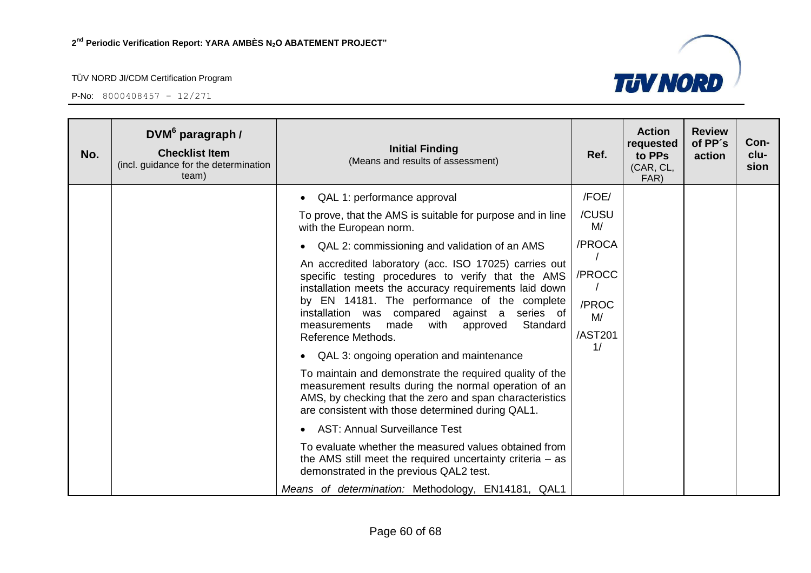

| No. | DVM <sup>6</sup> paragraph /<br><b>Checklist Item</b><br>(incl. guidance for the determination<br>team) | <b>Initial Finding</b><br>(Means and results of assessment)                                                                                                                                                                                                                                                                                                                                                                                                    | Ref.                                   | <b>Action</b><br>requested<br>to PPs<br>(CAR, CL,<br>FAR) | <b>Review</b><br>of PP's<br>action | Con-<br>clu-<br>sion |
|-----|---------------------------------------------------------------------------------------------------------|----------------------------------------------------------------------------------------------------------------------------------------------------------------------------------------------------------------------------------------------------------------------------------------------------------------------------------------------------------------------------------------------------------------------------------------------------------------|----------------------------------------|-----------------------------------------------------------|------------------------------------|----------------------|
|     |                                                                                                         | QAL 1: performance approval                                                                                                                                                                                                                                                                                                                                                                                                                                    | /FOE/                                  |                                                           |                                    |                      |
|     |                                                                                                         | To prove, that the AMS is suitable for purpose and in line<br>with the European norm.                                                                                                                                                                                                                                                                                                                                                                          | /CUSU<br>M/                            |                                                           |                                    |                      |
|     |                                                                                                         | QAL 2: commissioning and validation of an AMS                                                                                                                                                                                                                                                                                                                                                                                                                  | /PROCA                                 |                                                           |                                    |                      |
|     |                                                                                                         | An accredited laboratory (acc. ISO 17025) carries out<br>specific testing procedures to verify that the AMS<br>installation meets the accuracy requirements laid down<br>by EN 14181. The performance of the complete<br>installation was compared against a<br>series of<br>Standard<br>measurements<br>made<br>approved<br>with<br>Reference Methods.<br>QAL 3: ongoing operation and maintenance<br>To maintain and demonstrate the required quality of the | /PROCC<br>/PROC<br>M/<br>/AST201<br>1/ |                                                           |                                    |                      |
|     |                                                                                                         | measurement results during the normal operation of an<br>AMS, by checking that the zero and span characteristics<br>are consistent with those determined during QAL1.                                                                                                                                                                                                                                                                                          |                                        |                                                           |                                    |                      |
|     |                                                                                                         | <b>AST: Annual Surveillance Test</b>                                                                                                                                                                                                                                                                                                                                                                                                                           |                                        |                                                           |                                    |                      |
|     |                                                                                                         | To evaluate whether the measured values obtained from<br>the AMS still meet the required uncertainty criteria $-$ as<br>demonstrated in the previous QAL2 test.                                                                                                                                                                                                                                                                                                |                                        |                                                           |                                    |                      |
|     |                                                                                                         | Means of determination: Methodology, EN14181, QAL1                                                                                                                                                                                                                                                                                                                                                                                                             |                                        |                                                           |                                    |                      |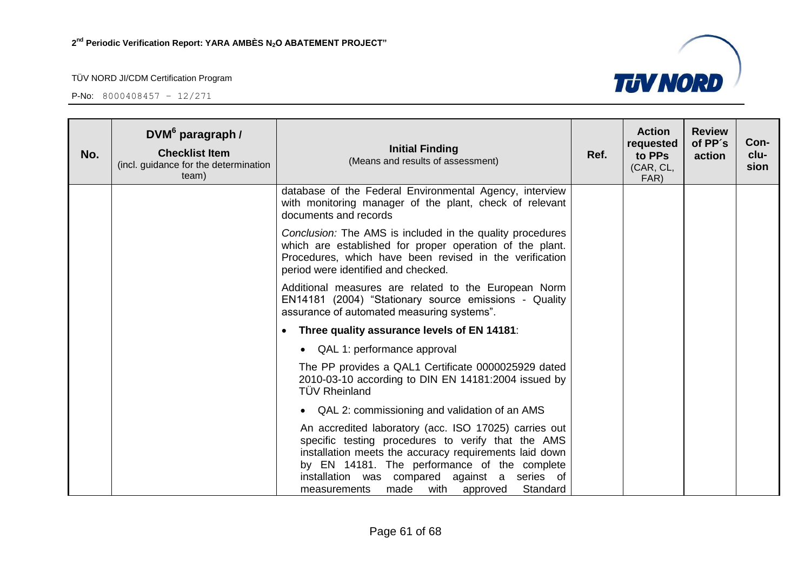

| No. | $DWM6$ paragraph /<br><b>Checklist Item</b><br>(incl. guidance for the determination<br>team) | <b>Initial Finding</b><br>(Means and results of assessment)                                                                                                                                                                                                                                                              | Ref. | <b>Action</b><br>requested<br>to PPs<br>(CAR, CL,<br>FAR) | <b>Review</b><br>of PP's<br>action | Con-<br>clu-<br>sion |
|-----|-----------------------------------------------------------------------------------------------|--------------------------------------------------------------------------------------------------------------------------------------------------------------------------------------------------------------------------------------------------------------------------------------------------------------------------|------|-----------------------------------------------------------|------------------------------------|----------------------|
|     |                                                                                               | database of the Federal Environmental Agency, interview<br>with monitoring manager of the plant, check of relevant<br>documents and records                                                                                                                                                                              |      |                                                           |                                    |                      |
|     |                                                                                               | Conclusion: The AMS is included in the quality procedures<br>which are established for proper operation of the plant.<br>Procedures, which have been revised in the verification<br>period were identified and checked.                                                                                                  |      |                                                           |                                    |                      |
|     |                                                                                               | Additional measures are related to the European Norm<br>EN14181 (2004) "Stationary source emissions - Quality<br>assurance of automated measuring systems".                                                                                                                                                              |      |                                                           |                                    |                      |
|     |                                                                                               | Three quality assurance levels of EN 14181:<br>$\bullet$                                                                                                                                                                                                                                                                 |      |                                                           |                                    |                      |
|     |                                                                                               | • QAL 1: performance approval                                                                                                                                                                                                                                                                                            |      |                                                           |                                    |                      |
|     |                                                                                               | The PP provides a QAL1 Certificate 0000025929 dated<br>2010-03-10 according to DIN EN 14181:2004 issued by<br><b>TÜV Rheinland</b>                                                                                                                                                                                       |      |                                                           |                                    |                      |
|     |                                                                                               | • QAL 2: commissioning and validation of an AMS                                                                                                                                                                                                                                                                          |      |                                                           |                                    |                      |
|     |                                                                                               | An accredited laboratory (acc. ISO 17025) carries out<br>specific testing procedures to verify that the AMS<br>installation meets the accuracy requirements laid down<br>by EN 14181. The performance of the complete<br>installation was compared against a series of<br>made with approved<br>Standard<br>measurements |      |                                                           |                                    |                      |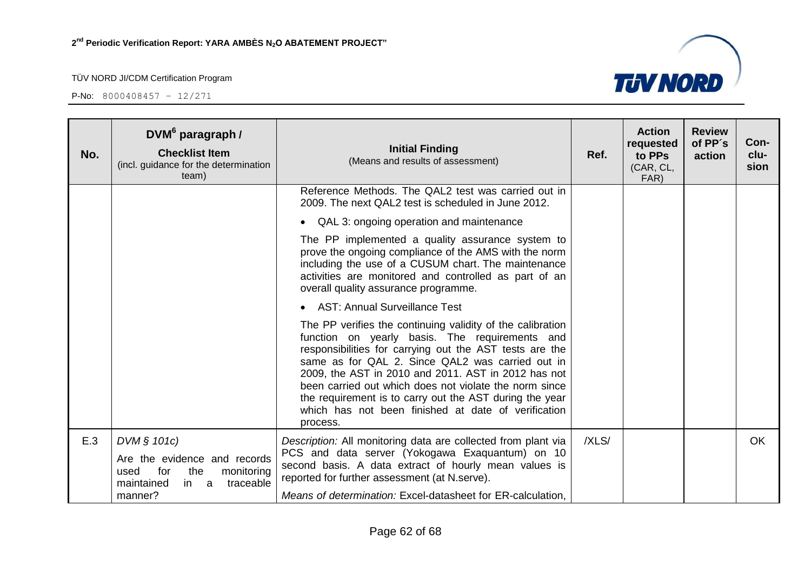P-No: 8000408457 – 12/271



| No. | DVM <sup>6</sup> paragraph /<br><b>Checklist Item</b><br>(incl. guidance for the determination<br>team)            | <b>Initial Finding</b><br>(Means and results of assessment)                                                                                                                                                                                                                                                                                                                                                                                                                | Ref.  | <b>Action</b><br>requested<br>to PPs<br>(CAR, CL,<br>FAR) | <b>Review</b><br>of PP's<br>action | Con-<br>clu-<br>sion |
|-----|--------------------------------------------------------------------------------------------------------------------|----------------------------------------------------------------------------------------------------------------------------------------------------------------------------------------------------------------------------------------------------------------------------------------------------------------------------------------------------------------------------------------------------------------------------------------------------------------------------|-------|-----------------------------------------------------------|------------------------------------|----------------------|
|     |                                                                                                                    | Reference Methods. The QAL2 test was carried out in<br>2009. The next QAL2 test is scheduled in June 2012.                                                                                                                                                                                                                                                                                                                                                                 |       |                                                           |                                    |                      |
|     |                                                                                                                    | • QAL 3: ongoing operation and maintenance                                                                                                                                                                                                                                                                                                                                                                                                                                 |       |                                                           |                                    |                      |
|     |                                                                                                                    | The PP implemented a quality assurance system to<br>prove the ongoing compliance of the AMS with the norm<br>including the use of a CUSUM chart. The maintenance<br>activities are monitored and controlled as part of an<br>overall quality assurance programme.                                                                                                                                                                                                          |       |                                                           |                                    |                      |
|     |                                                                                                                    | <b>AST: Annual Surveillance Test</b>                                                                                                                                                                                                                                                                                                                                                                                                                                       |       |                                                           |                                    |                      |
|     |                                                                                                                    | The PP verifies the continuing validity of the calibration<br>function on yearly basis. The requirements and<br>responsibilities for carrying out the AST tests are the<br>same as for QAL 2. Since QAL2 was carried out in<br>2009, the AST in 2010 and 2011. AST in 2012 has not<br>been carried out which does not violate the norm since<br>the requirement is to carry out the AST during the year<br>which has not been finished at date of verification<br>process. |       |                                                           |                                    |                      |
| E.3 | DVM § 101c)<br>Are the evidence and records<br>for<br>the<br>monitoring<br>used<br>maintained<br>traceable<br>in a | Description: All monitoring data are collected from plant via<br>PCS and data server (Yokogawa Exaquantum) on 10<br>second basis. A data extract of hourly mean values is<br>reported for further assessment (at N.serve).                                                                                                                                                                                                                                                 | /XLS/ |                                                           |                                    | <b>OK</b>            |
|     | manner?                                                                                                            | Means of determination: Excel-datasheet for ER-calculation,                                                                                                                                                                                                                                                                                                                                                                                                                |       |                                                           |                                    |                      |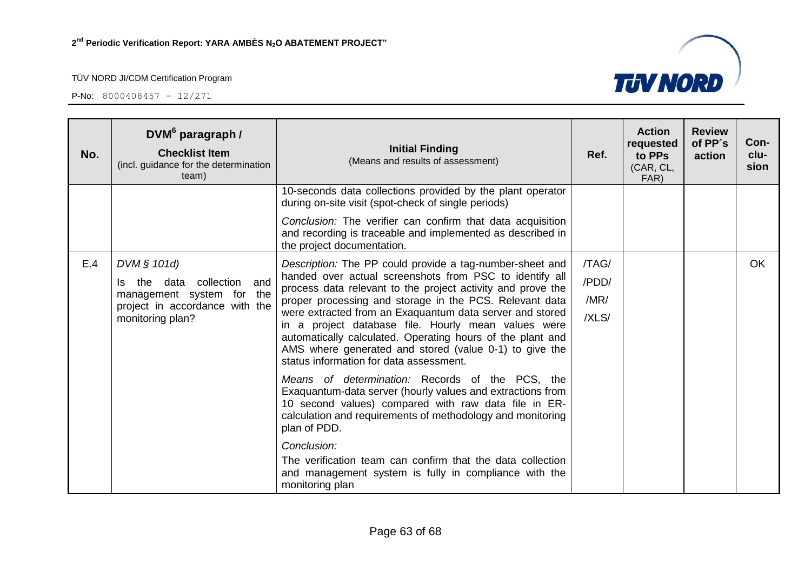

| No. | DVM <sup>6</sup> paragraph /<br><b>Checklist Item</b><br>(incl. guidance for the determination<br>team)                                | <b>Initial Finding</b><br>(Means and results of assessment)                                                                                                                                                                                                                                                                                                                                                                                                                                                                         | Ref.                            | <b>Action</b><br>requested<br>to PPs<br>(CAR, CL,<br>FAR) | <b>Review</b><br>of PP's<br>action | Con-<br>clu-<br>sion |
|-----|----------------------------------------------------------------------------------------------------------------------------------------|-------------------------------------------------------------------------------------------------------------------------------------------------------------------------------------------------------------------------------------------------------------------------------------------------------------------------------------------------------------------------------------------------------------------------------------------------------------------------------------------------------------------------------------|---------------------------------|-----------------------------------------------------------|------------------------------------|----------------------|
|     |                                                                                                                                        | 10-seconds data collections provided by the plant operator<br>during on-site visit (spot-check of single periods)                                                                                                                                                                                                                                                                                                                                                                                                                   |                                 |                                                           |                                    |                      |
|     |                                                                                                                                        | Conclusion: The verifier can confirm that data acquisition<br>and recording is traceable and implemented as described in<br>the project documentation.                                                                                                                                                                                                                                                                                                                                                                              |                                 |                                                           |                                    |                      |
| E.4 | DVM § 101d)<br>collection<br>and<br>the data<br>Is.<br>management system for the<br>project in accordance with the<br>monitoring plan? | Description: The PP could provide a tag-number-sheet and<br>handed over actual screenshots from PSC to identify all<br>process data relevant to the project activity and prove the<br>proper processing and storage in the PCS. Relevant data<br>were extracted from an Exaquantum data server and stored<br>in a project database file. Hourly mean values were<br>automatically calculated. Operating hours of the plant and<br>AMS where generated and stored (value 0-1) to give the<br>status information for data assessment. | /TAG/<br>/PDD/<br>/MR/<br>/XLS/ |                                                           |                                    | <b>OK</b>            |
|     |                                                                                                                                        | Means of determination: Records of the PCS, the<br>Exaquantum-data server (hourly values and extractions from<br>10 second values) compared with raw data file in ER-<br>calculation and requirements of methodology and monitoring<br>plan of PDD.                                                                                                                                                                                                                                                                                 |                                 |                                                           |                                    |                      |
|     |                                                                                                                                        | Conclusion:<br>The verification team can confirm that the data collection<br>and management system is fully in compliance with the<br>monitoring plan                                                                                                                                                                                                                                                                                                                                                                               |                                 |                                                           |                                    |                      |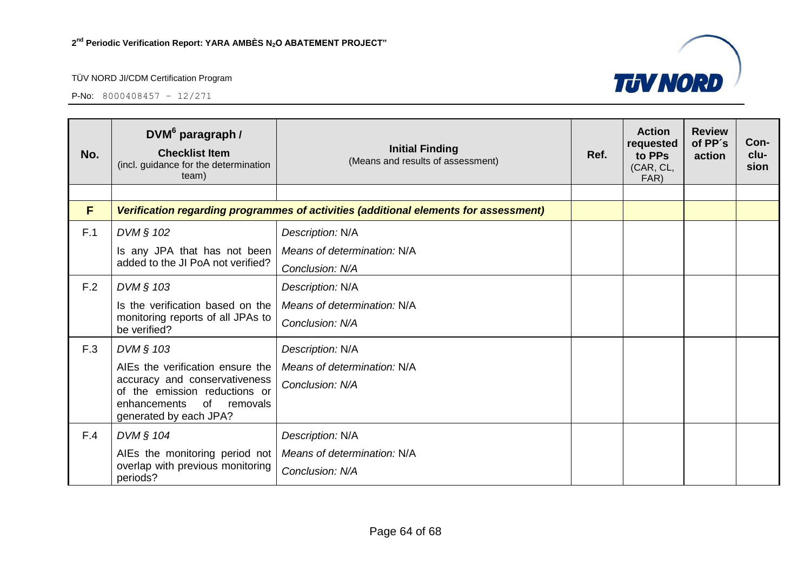P-No: 8000408457 – 12/271



| No. | DVM <sup>6</sup> paragraph /<br><b>Checklist Item</b><br>(incl. guidance for the determination<br>team) | <b>Initial Finding</b><br>(Means and results of assessment)                          | Ref. | <b>Action</b><br>requested<br>to PPs<br>(CAR, CL,<br>FAR) | <b>Review</b><br>of PP's<br>action | Con-<br>clu-<br>sion |
|-----|---------------------------------------------------------------------------------------------------------|--------------------------------------------------------------------------------------|------|-----------------------------------------------------------|------------------------------------|----------------------|
|     |                                                                                                         |                                                                                      |      |                                                           |                                    |                      |
| F   |                                                                                                         | Verification regarding programmes of activities (additional elements for assessment) |      |                                                           |                                    |                      |
| F.1 | DVM § 102                                                                                               | Description: N/A                                                                     |      |                                                           |                                    |                      |
|     | Is any JPA that has not been                                                                            | Means of determination: N/A                                                          |      |                                                           |                                    |                      |
|     | added to the JI PoA not verified?                                                                       | Conclusion: N/A                                                                      |      |                                                           |                                    |                      |
| F.2 | DVM § 103                                                                                               | Description: N/A                                                                     |      |                                                           |                                    |                      |
|     | Is the verification based on the                                                                        | Means of determination: N/A                                                          |      |                                                           |                                    |                      |
|     | monitoring reports of all JPAs to<br>be verified?                                                       | Conclusion: N/A                                                                      |      |                                                           |                                    |                      |
| F.3 | DVM § 103                                                                                               | Description: N/A                                                                     |      |                                                           |                                    |                      |
|     | AIEs the verification ensure the                                                                        | Means of determination: N/A                                                          |      |                                                           |                                    |                      |
|     | accuracy and conservativeness<br>of the emission reductions or                                          | Conclusion: N/A                                                                      |      |                                                           |                                    |                      |
|     | of<br>enhancements<br>removals<br>generated by each JPA?                                                |                                                                                      |      |                                                           |                                    |                      |
| F.4 | DVM § 104                                                                                               | Description: N/A                                                                     |      |                                                           |                                    |                      |
|     | AIEs the monitoring period not                                                                          | Means of determination: N/A                                                          |      |                                                           |                                    |                      |
|     | overlap with previous monitoring<br>periods?                                                            | Conclusion: N/A                                                                      |      |                                                           |                                    |                      |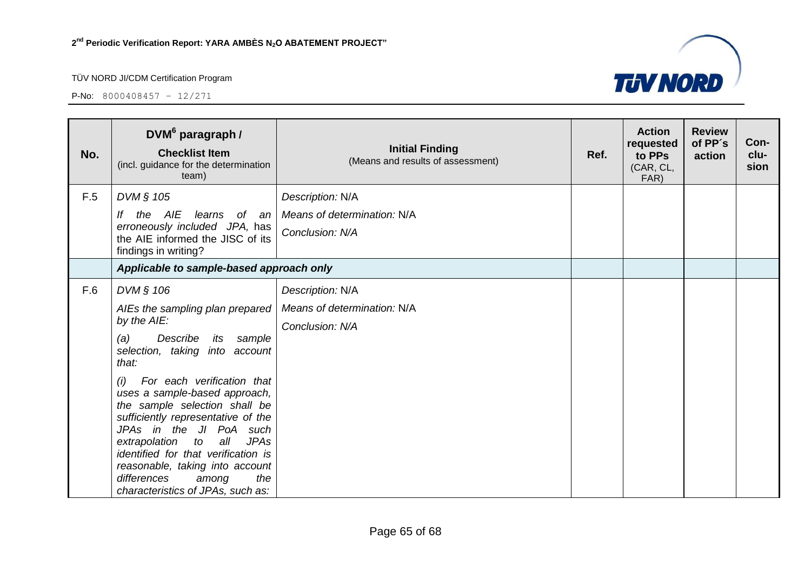

| No. | DVM <sup>6</sup> paragraph /<br><b>Checklist Item</b><br>(incl. guidance for the determination<br>team)                                                                                                                                                                                                                                                                                                                                                                                                       | <b>Initial Finding</b><br>(Means and results of assessment)        | Ref. | <b>Action</b><br>requested<br>to PPs<br>(CAR, CL,<br>FAR) | <b>Review</b><br>of PP's<br>action | Con-<br>clu-<br>sion |
|-----|---------------------------------------------------------------------------------------------------------------------------------------------------------------------------------------------------------------------------------------------------------------------------------------------------------------------------------------------------------------------------------------------------------------------------------------------------------------------------------------------------------------|--------------------------------------------------------------------|------|-----------------------------------------------------------|------------------------------------|----------------------|
| F.5 | DVM § 105<br>lf<br>the AIE<br>learns of an<br>erroneously included JPA, has<br>the AIE informed the JISC of its<br>findings in writing?                                                                                                                                                                                                                                                                                                                                                                       | Description: N/A<br>Means of determination: N/A<br>Conclusion: N/A |      |                                                           |                                    |                      |
|     | Applicable to sample-based approach only                                                                                                                                                                                                                                                                                                                                                                                                                                                                      |                                                                    |      |                                                           |                                    |                      |
| F.6 | DVM § 106<br>AIEs the sampling plan prepared<br>by the AIE:<br>(a)<br>Describe<br>its sample<br>selection, taking into account<br>that:<br>For each verification that<br>(i)<br>uses a sample-based approach,<br>the sample selection shall be<br>sufficiently representative of the<br>JPAs in the JI PoA<br>such<br>all<br>extrapolation<br><b>JPAs</b><br>to<br>identified for that verification is<br>reasonable, taking into account<br>differences<br>the<br>among<br>characteristics of JPAs, such as: | Description: N/A<br>Means of determination: N/A<br>Conclusion: N/A |      |                                                           |                                    |                      |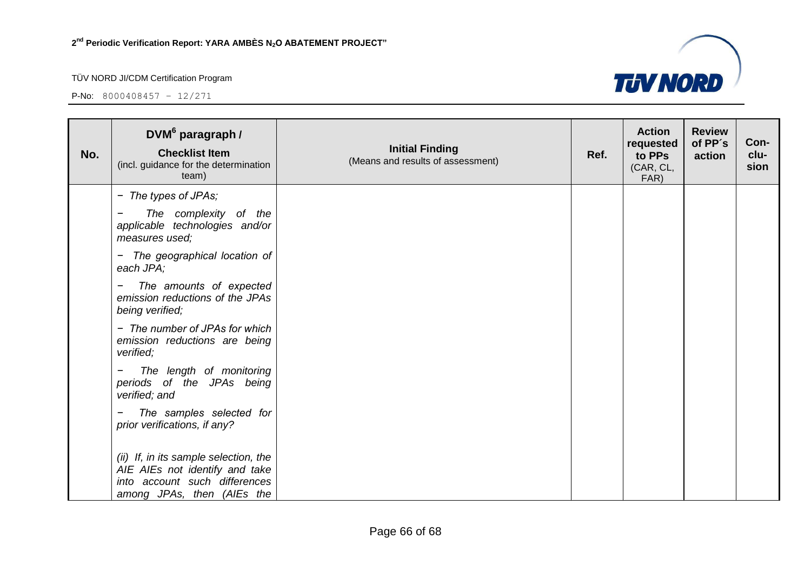

| No. | DVM <sup>6</sup> paragraph /<br><b>Checklist Item</b><br>(incl. guidance for the determination<br>team)                                | <b>Initial Finding</b><br>(Means and results of assessment) | Ref. | <b>Action</b><br>requested<br>to PPs<br>(CAR, CL,<br>FAR) | <b>Review</b><br>of PP's<br>action | Con-<br>clu-<br>sion |
|-----|----------------------------------------------------------------------------------------------------------------------------------------|-------------------------------------------------------------|------|-----------------------------------------------------------|------------------------------------|----------------------|
|     | - The types of JPAs;                                                                                                                   |                                                             |      |                                                           |                                    |                      |
|     | The complexity of the<br>applicable technologies and/or<br>measures used;                                                              |                                                             |      |                                                           |                                    |                      |
|     | - The geographical location of<br>each JPA;                                                                                            |                                                             |      |                                                           |                                    |                      |
|     | The amounts of expected<br>Ξ.<br>emission reductions of the JPAs<br>being verified;                                                    |                                                             |      |                                                           |                                    |                      |
|     | - The number of JPAs for which<br>emission reductions are being<br>verified;                                                           |                                                             |      |                                                           |                                    |                      |
|     | The length of monitoring<br>periods of the JPAs being<br>verified; and                                                                 |                                                             |      |                                                           |                                    |                      |
|     | The samples selected for<br>-<br>prior verifications, if any?                                                                          |                                                             |      |                                                           |                                    |                      |
|     | (ii) If, in its sample selection, the<br>AIE AIEs not identify and take<br>into account such differences<br>among JPAs, then (AIEs the |                                                             |      |                                                           |                                    |                      |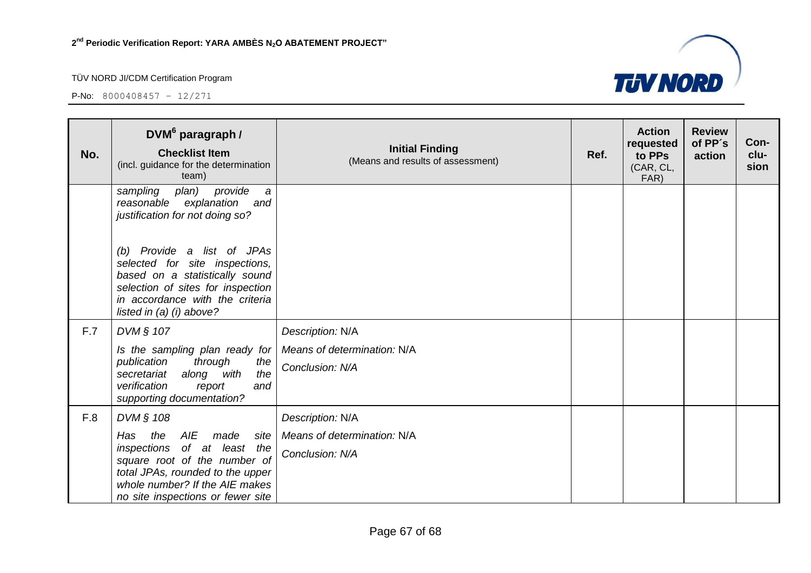

| No. | DVM <sup>6</sup> paragraph /<br><b>Checklist Item</b><br>(incl. guidance for the determination<br>team)                                                                                                        | <b>Initial Finding</b><br>(Means and results of assessment) | Ref. | <b>Action</b><br>requested<br>to PPs<br>(CAR, CL,<br>FAR) | <b>Review</b><br>of PP's<br>action | Con-<br>clu-<br>sion |
|-----|----------------------------------------------------------------------------------------------------------------------------------------------------------------------------------------------------------------|-------------------------------------------------------------|------|-----------------------------------------------------------|------------------------------------|----------------------|
|     | provide<br>plan)<br>sampling<br>$\partial$<br>reasonable explanation<br>and<br>justification for not doing so?                                                                                                 |                                                             |      |                                                           |                                    |                      |
|     | (b) Provide a list of JPAs<br>selected for site inspections,<br>based on a statistically sound<br>selection of sites for inspection<br>in accordance with the criteria<br>listed in (a) (i) above?             |                                                             |      |                                                           |                                    |                      |
| F.7 | DVM § 107                                                                                                                                                                                                      | Description: N/A                                            |      |                                                           |                                    |                      |
|     | Is the sampling plan ready for                                                                                                                                                                                 | Means of determination: N/A                                 |      |                                                           |                                    |                      |
|     | through<br>publication<br>the<br>the<br>along with<br>secretariat<br>verification<br>and<br>report<br>supporting documentation?                                                                                | Conclusion: N/A                                             |      |                                                           |                                    |                      |
| F.8 | DVM § 108                                                                                                                                                                                                      | Description: N/A                                            |      |                                                           |                                    |                      |
|     | AIE<br>Has<br>the<br>made<br>site<br>of at least the<br>inspections<br>square root of the number of<br>total JPAs, rounded to the upper<br>whole number? If the AIE makes<br>no site inspections or fewer site | Means of determination: N/A<br>Conclusion: N/A              |      |                                                           |                                    |                      |